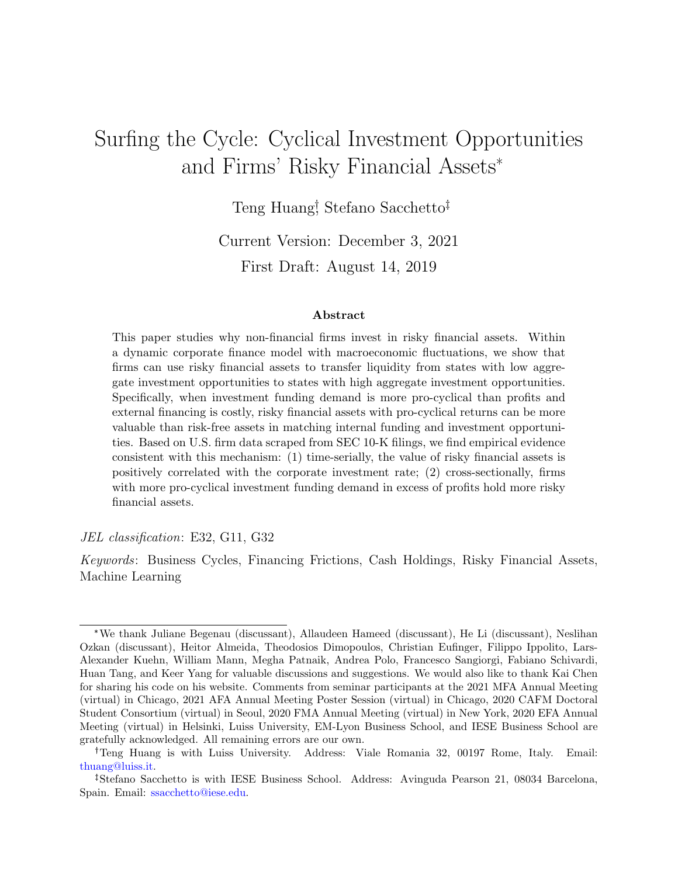# Surfing the Cycle: Cyclical Investment Opportunities and Firms' Risky Financial Assets\*

Teng Huang<sup>†</sup>, Stefano Sacchetto<sup>†</sup>

Current Version: December 3, 2021

First Draft: August 14, 2019

#### Abstract

This paper studies why non-financial firms invest in risky financial assets. Within a dynamic corporate finance model with macroeconomic fluctuations, we show that firms can use risky financial assets to transfer liquidity from states with low aggregate investment opportunities to states with high aggregate investment opportunities. Specifically, when investment funding demand is more pro-cyclical than profits and external financing is costly, risky financial assets with pro-cyclical returns can be more valuable than risk-free assets in matching internal funding and investment opportunities. Based on U.S. firm data scraped from SEC 10-K filings, we find empirical evidence consistent with this mechanism: (1) time-serially, the value of risky financial assets is positively correlated with the corporate investment rate; (2) cross-sectionally, firms with more pro-cyclical investment funding demand in excess of profits hold more risky financial assets.

#### JEL classification: E32, G11, G32

Keywords: Business Cycles, Financing Frictions, Cash Holdings, Risky Financial Assets, Machine Learning

<sup>\*</sup>We thank Juliane Begenau (discussant), Allaudeen Hameed (discussant), He Li (discussant), Neslihan Ozkan (discussant), Heitor Almeida, Theodosios Dimopoulos, Christian Eufinger, Filippo Ippolito, Lars-Alexander Kuehn, William Mann, Megha Patnaik, Andrea Polo, Francesco Sangiorgi, Fabiano Schivardi, Huan Tang, and Keer Yang for valuable discussions and suggestions. We would also like to thank Kai Chen for sharing his code on his website. Comments from seminar participants at the 2021 MFA Annual Meeting (virtual) in Chicago, 2021 AFA Annual Meeting Poster Session (virtual) in Chicago, 2020 CAFM Doctoral Student Consortium (virtual) in Seoul, 2020 FMA Annual Meeting (virtual) in New York, 2020 EFA Annual Meeting (virtual) in Helsinki, Luiss University, EM-Lyon Business School, and IESE Business School are gratefully acknowledged. All remaining errors are our own.

Teng Huang is with Luiss University. Address: Viale Romania 32, 00197 Rome, Italy. Email: [thuang@luiss.it.](mailto: thuang@luiss.it)

<sup>&</sup>lt;sup>‡</sup>Stefano Sacchetto is with IESE Business School. Address: Avinguda Pearson 21, 08034 Barcelona, Spain. Email: [ssacchetto@iese.edu.](mailto: ssacchetto@iese.edu)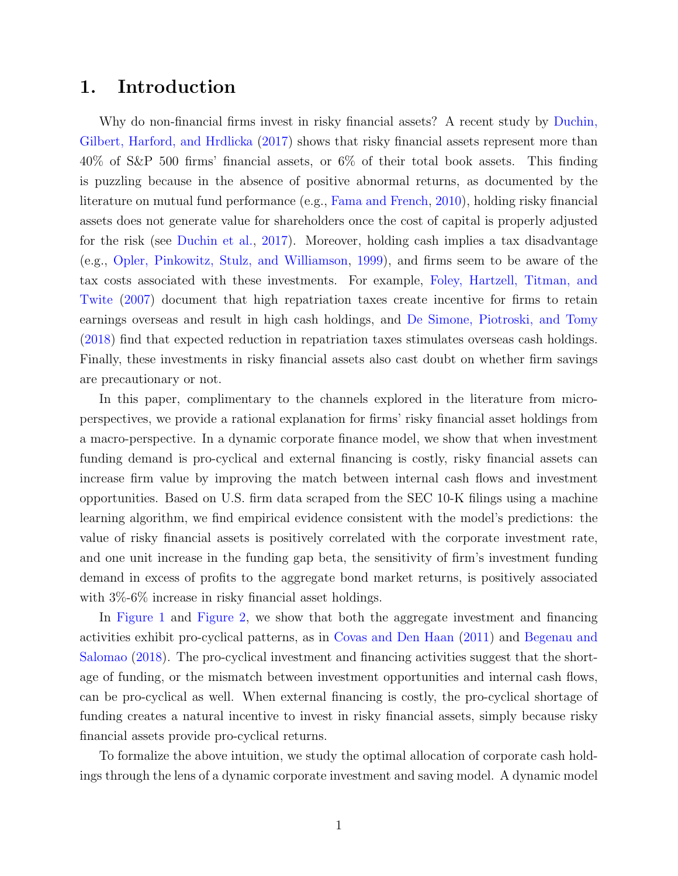### 1. Introduction

Why do non-financial firms invest in risky financial assets? A recent study by [Duchin,](#page-32-0) [Gilbert, Harford, and Hrdlicka](#page-32-0) [\(2017\)](#page-32-0) shows that risky financial assets represent more than 40% of S&P 500 firms' financial assets, or 6% of their total book assets. This finding is puzzling because in the absence of positive abnormal returns, as documented by the literature on mutual fund performance (e.g., [Fama and French,](#page-32-1) [2010\)](#page-32-1), holding risky financial assets does not generate value for shareholders once the cost of capital is properly adjusted for the risk (see [Duchin et al.,](#page-32-0) [2017\)](#page-32-0). Moreover, holding cash implies a tax disadvantage (e.g., [Opler, Pinkowitz, Stulz, and Williamson,](#page-34-0) [1999\)](#page-34-0), and firms seem to be aware of the tax costs associated with these investments. For example, [Foley, Hartzell, Titman, and](#page-33-0) [Twite](#page-33-0) [\(2007\)](#page-33-0) document that high repatriation taxes create incentive for firms to retain earnings overseas and result in high cash holdings, and [De Simone, Piotroski, and Tomy](#page-31-0) [\(2018\)](#page-31-0) find that expected reduction in repatriation taxes stimulates overseas cash holdings. Finally, these investments in risky financial assets also cast doubt on whether firm savings are precautionary or not.

In this paper, complimentary to the channels explored in the literature from microperspectives, we provide a rational explanation for firms' risky financial asset holdings from a macro-perspective. In a dynamic corporate finance model, we show that when investment funding demand is pro-cyclical and external financing is costly, risky financial assets can increase firm value by improving the match between internal cash flows and investment opportunities. Based on U.S. firm data scraped from the SEC 10-K filings using a machine learning algorithm, we find empirical evidence consistent with the model's predictions: the value of risky financial assets is positively correlated with the corporate investment rate, and one unit increase in the funding gap beta, the sensitivity of firm's investment funding demand in excess of profits to the aggregate bond market returns, is positively associated with  $3\%$ -6\% increase in risky financial asset holdings.

In [Figure 1](#page-35-0) and [Figure 2,](#page-36-0) we show that both the aggregate investment and financing activities exhibit pro-cyclical patterns, as in [Covas and Den Haan](#page-31-1) [\(2011\)](#page-31-1) and [Begenau and](#page-30-0) [Salomao](#page-30-0) [\(2018\)](#page-30-0). The pro-cyclical investment and financing activities suggest that the shortage of funding, or the mismatch between investment opportunities and internal cash flows, can be pro-cyclical as well. When external financing is costly, the pro-cyclical shortage of funding creates a natural incentive to invest in risky financial assets, simply because risky financial assets provide pro-cyclical returns.

To formalize the above intuition, we study the optimal allocation of corporate cash holdings through the lens of a dynamic corporate investment and saving model. A dynamic model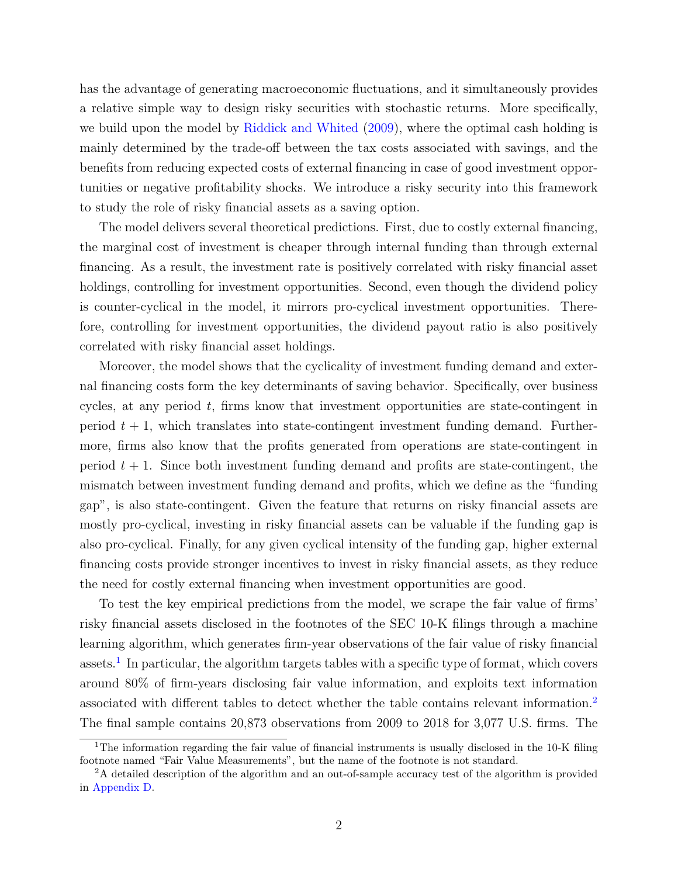has the advantage of generating macroeconomic fluctuations, and it simultaneously provides a relative simple way to design risky securities with stochastic returns. More specifically, we build upon the model by [Riddick and Whited](#page-34-1) [\(2009\)](#page-34-1), where the optimal cash holding is mainly determined by the trade-off between the tax costs associated with savings, and the benefits from reducing expected costs of external financing in case of good investment opportunities or negative profitability shocks. We introduce a risky security into this framework to study the role of risky financial assets as a saving option.

The model delivers several theoretical predictions. First, due to costly external financing, the marginal cost of investment is cheaper through internal funding than through external financing. As a result, the investment rate is positively correlated with risky financial asset holdings, controlling for investment opportunities. Second, even though the dividend policy is counter-cyclical in the model, it mirrors pro-cyclical investment opportunities. Therefore, controlling for investment opportunities, the dividend payout ratio is also positively correlated with risky financial asset holdings.

Moreover, the model shows that the cyclicality of investment funding demand and external financing costs form the key determinants of saving behavior. Specifically, over business cycles, at any period  $t$ , firms know that investment opportunities are state-contingent in period  $t + 1$ , which translates into state-contingent investment funding demand. Furthermore, firms also know that the profits generated from operations are state-contingent in period  $t + 1$ . Since both investment funding demand and profits are state-contingent, the mismatch between investment funding demand and profits, which we define as the "funding gap", is also state-contingent. Given the feature that returns on risky financial assets are mostly pro-cyclical, investing in risky financial assets can be valuable if the funding gap is also pro-cyclical. Finally, for any given cyclical intensity of the funding gap, higher external financing costs provide stronger incentives to invest in risky financial assets, as they reduce the need for costly external financing when investment opportunities are good.

To test the key empirical predictions from the model, we scrape the fair value of firms' risky financial assets disclosed in the footnotes of the SEC 10-K filings through a machine learning algorithm, which generates firm-year observations of the fair value of risky financial assets.<sup>[1](#page-2-0)</sup> In particular, the algorithm targets tables with a specific type of format, which covers around 80% of firm-years disclosing fair value information, and exploits text information associated with different tables to detect whether the table contains relevant information.[2](#page-2-1) The final sample contains 20,873 observations from 2009 to 2018 for 3,077 U.S. firms. The

<span id="page-2-0"></span><sup>&</sup>lt;sup>1</sup>The information regarding the fair value of financial instruments is usually disclosed in the 10-K filing footnote named "Fair Value Measurements", but the name of the footnote is not standard.

<span id="page-2-1"></span><sup>&</sup>lt;sup>2</sup>A detailed description of the algorithm and an out-of-sample accuracy test of the algorithm is provided in [Appendix D.](#page-56-0)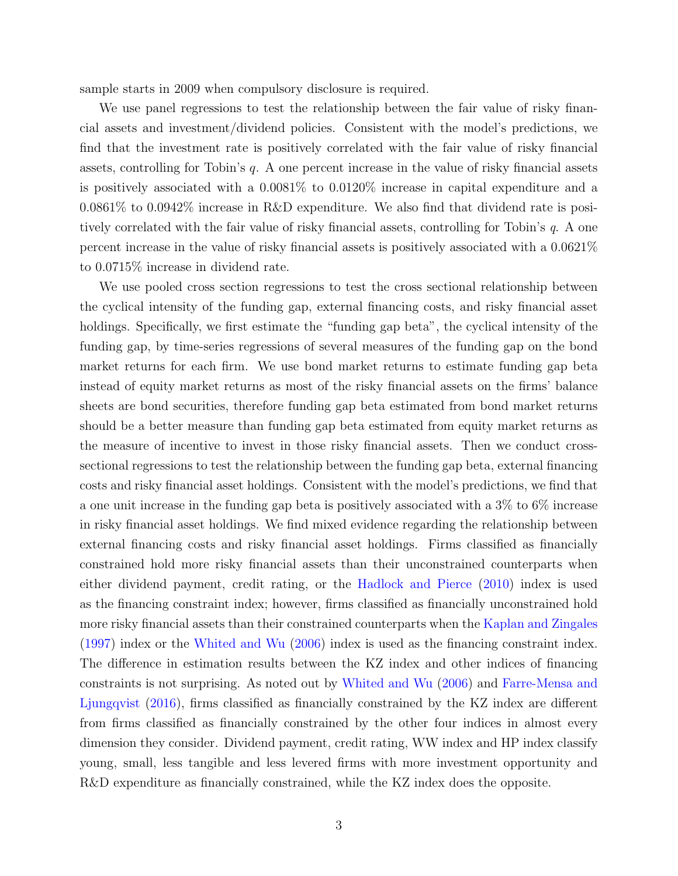sample starts in 2009 when compulsory disclosure is required.

We use panel regressions to test the relationship between the fair value of risky financial assets and investment/dividend policies. Consistent with the model's predictions, we find that the investment rate is positively correlated with the fair value of risky financial assets, controlling for Tobin's  $q$ . A one percent increase in the value of risky financial assets is positively associated with a 0.0081% to 0.0120% increase in capital expenditure and a 0.0861% to 0.0942% increase in R&D expenditure. We also find that dividend rate is positively correlated with the fair value of risky financial assets, controlling for Tobin's q. A one percent increase in the value of risky financial assets is positively associated with a 0.0621% to 0.0715% increase in dividend rate.

We use pooled cross section regressions to test the cross sectional relationship between the cyclical intensity of the funding gap, external financing costs, and risky financial asset holdings. Specifically, we first estimate the "funding gap beta", the cyclical intensity of the funding gap, by time-series regressions of several measures of the funding gap on the bond market returns for each firm. We use bond market returns to estimate funding gap beta instead of equity market returns as most of the risky financial assets on the firms' balance sheets are bond securities, therefore funding gap beta estimated from bond market returns should be a better measure than funding gap beta estimated from equity market returns as the measure of incentive to invest in those risky financial assets. Then we conduct crosssectional regressions to test the relationship between the funding gap beta, external financing costs and risky financial asset holdings. Consistent with the model's predictions, we find that a one unit increase in the funding gap beta is positively associated with a 3% to 6% increase in risky financial asset holdings. We find mixed evidence regarding the relationship between external financing costs and risky financial asset holdings. Firms classified as financially constrained hold more risky financial assets than their unconstrained counterparts when either dividend payment, credit rating, or the [Hadlock and Pierce](#page-33-1) [\(2010\)](#page-33-1) index is used as the financing constraint index; however, firms classified as financially unconstrained hold more risky financial assets than their constrained counterparts when the [Kaplan and Zingales](#page-33-2) [\(1997\)](#page-33-2) index or the [Whited and Wu](#page-34-2) [\(2006\)](#page-34-2) index is used as the financing constraint index. The difference in estimation results between the KZ index and other indices of financing constraints is not surprising. As noted out by [Whited and Wu](#page-34-2) [\(2006\)](#page-34-2) and [Farre-Mensa and](#page-32-2) [Ljungqvist](#page-32-2) [\(2016\)](#page-32-2), firms classified as financially constrained by the KZ index are different from firms classified as financially constrained by the other four indices in almost every dimension they consider. Dividend payment, credit rating, WW index and HP index classify young, small, less tangible and less levered firms with more investment opportunity and R&D expenditure as financially constrained, while the KZ index does the opposite.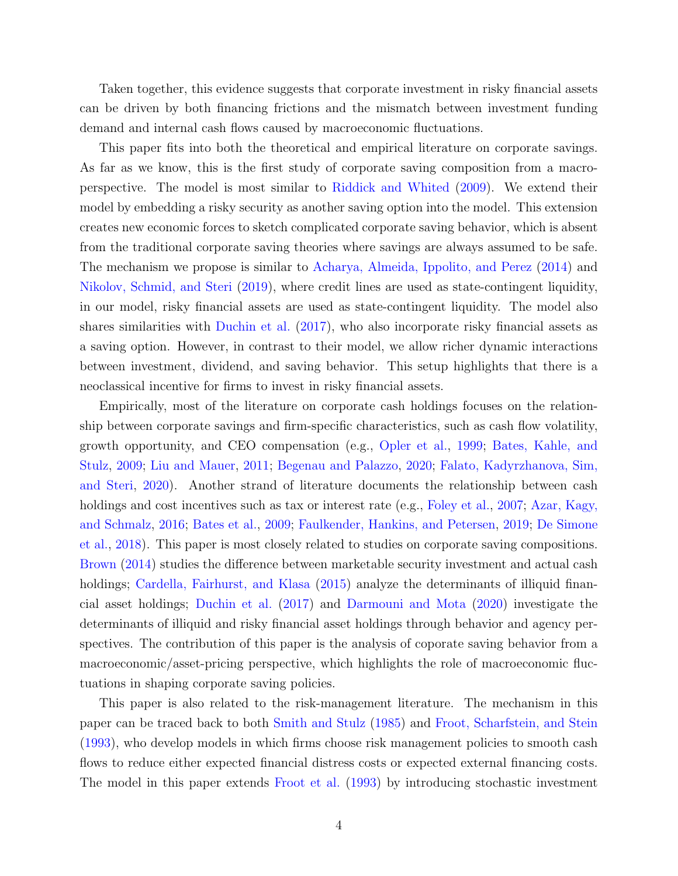Taken together, this evidence suggests that corporate investment in risky financial assets can be driven by both financing frictions and the mismatch between investment funding demand and internal cash flows caused by macroeconomic fluctuations.

This paper fits into both the theoretical and empirical literature on corporate savings. As far as we know, this is the first study of corporate saving composition from a macroperspective. The model is most similar to [Riddick and Whited](#page-34-1) [\(2009\)](#page-34-1). We extend their model by embedding a risky security as another saving option into the model. This extension creates new economic forces to sketch complicated corporate saving behavior, which is absent from the traditional corporate saving theories where savings are always assumed to be safe. The mechanism we propose is similar to [Acharya, Almeida, Ippolito, and Perez](#page-30-1) [\(2014\)](#page-30-1) and [Nikolov, Schmid, and Steri](#page-34-3) [\(2019\)](#page-34-3), where credit lines are used as state-contingent liquidity, in our model, risky financial assets are used as state-contingent liquidity. The model also shares similarities with [Duchin et al.](#page-32-0) [\(2017\)](#page-32-0), who also incorporate risky financial assets as a saving option. However, in contrast to their model, we allow richer dynamic interactions between investment, dividend, and saving behavior. This setup highlights that there is a neoclassical incentive for firms to invest in risky financial assets.

Empirically, most of the literature on corporate cash holdings focuses on the relationship between corporate savings and firm-specific characteristics, such as cash flow volatility, growth opportunity, and CEO compensation (e.g., [Opler et al.,](#page-34-0) [1999;](#page-34-0) [Bates, Kahle, and](#page-30-2) [Stulz,](#page-30-2) [2009;](#page-30-2) [Liu and Mauer,](#page-33-3) [2011;](#page-33-3) [Begenau and Palazzo,](#page-30-3) [2020;](#page-30-3) [Falato, Kadyrzhanova, Sim,](#page-32-3) [and Steri,](#page-32-3) [2020\)](#page-32-3). Another strand of literature documents the relationship between cash holdings and cost incentives such as tax or interest rate (e.g., [Foley et al.,](#page-33-0) [2007;](#page-33-0) [Azar, Kagy,](#page-30-4) [and Schmalz,](#page-30-4) [2016;](#page-30-4) [Bates et al.,](#page-30-2) [2009;](#page-30-2) [Faulkender, Hankins, and Petersen,](#page-32-4) [2019;](#page-32-4) [De Simone](#page-31-0) [et al.,](#page-31-0) [2018\)](#page-31-0). This paper is most closely related to studies on corporate saving compositions. [Brown](#page-31-2) [\(2014\)](#page-31-2) studies the difference between marketable security investment and actual cash holdings; [Cardella, Fairhurst, and Klasa](#page-31-3) [\(2015\)](#page-31-3) analyze the determinants of illiquid financial asset holdings; [Duchin et al.](#page-32-0) [\(2017\)](#page-32-0) and [Darmouni and Mota](#page-31-4) [\(2020\)](#page-31-4) investigate the determinants of illiquid and risky financial asset holdings through behavior and agency perspectives. The contribution of this paper is the analysis of coporate saving behavior from a macroeconomic/asset-pricing perspective, which highlights the role of macroeconomic fluctuations in shaping corporate saving policies.

This paper is also related to the risk-management literature. The mechanism in this paper can be traced back to both [Smith and Stulz](#page-34-4) [\(1985\)](#page-34-4) and [Froot, Scharfstein, and Stein](#page-33-4) [\(1993\)](#page-33-4), who develop models in which firms choose risk management policies to smooth cash flows to reduce either expected financial distress costs or expected external financing costs. The model in this paper extends [Froot et al.](#page-33-4) [\(1993\)](#page-33-4) by introducing stochastic investment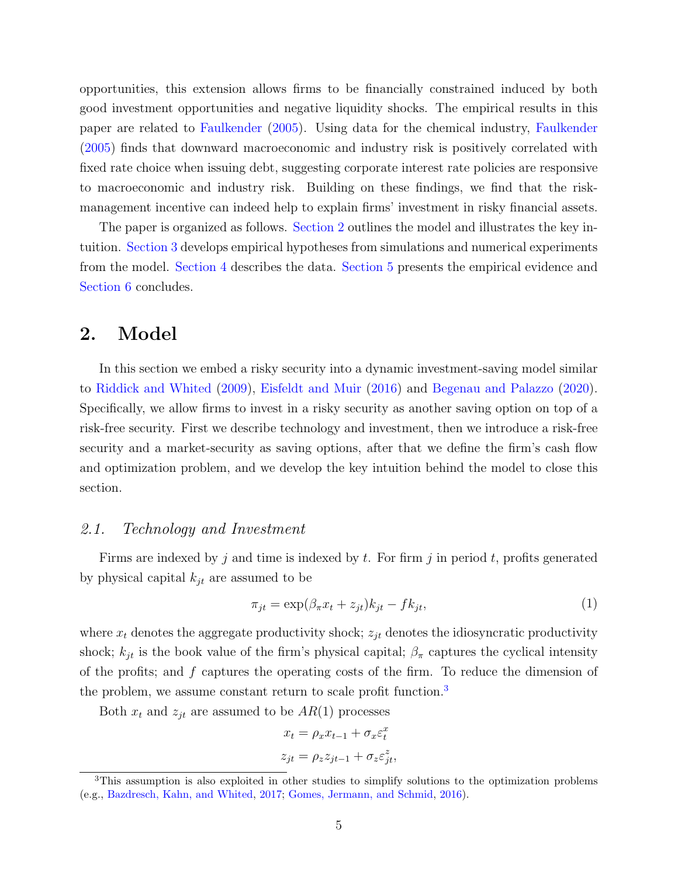opportunities, this extension allows firms to be financially constrained induced by both good investment opportunities and negative liquidity shocks. The empirical results in this paper are related to [Faulkender](#page-32-5) [\(2005\)](#page-32-5). Using data for the chemical industry, [Faulkender](#page-32-5) [\(2005\)](#page-32-5) finds that downward macroeconomic and industry risk is positively correlated with fixed rate choice when issuing debt, suggesting corporate interest rate policies are responsive to macroeconomic and industry risk. Building on these findings, we find that the riskmanagement incentive can indeed help to explain firms' investment in risky financial assets.

The paper is organized as follows. [Section 2](#page-5-0) outlines the model and illustrates the key intuition. [Section 3](#page-10-0) develops empirical hypotheses from simulations and numerical experiments from the model. [Section 4](#page-16-0) describes the data. [Section 5](#page-21-0) presents the empirical evidence and [Section 6](#page-29-0) concludes.

### <span id="page-5-0"></span>2. Model

In this section we embed a risky security into a dynamic investment-saving model similar to [Riddick and Whited](#page-34-1) [\(2009\)](#page-34-1), [Eisfeldt and Muir](#page-32-6) [\(2016\)](#page-32-6) and [Begenau and Palazzo](#page-30-3) [\(2020\)](#page-30-3). Specifically, we allow firms to invest in a risky security as another saving option on top of a risk-free security. First we describe technology and investment, then we introduce a risk-free security and a market-security as saving options, after that we define the firm's cash flow and optimization problem, and we develop the key intuition behind the model to close this section.

#### 2.1. Technology and Investment

Firms are indexed by j and time is indexed by t. For firm j in period t, profits generated by physical capital  $k_{jt}$  are assumed to be

$$
\pi_{jt} = \exp(\beta_{\pi}x_t + z_{jt})k_{jt} - fk_{jt},\tag{1}
$$

where  $x_t$  denotes the aggregate productivity shock;  $z_{it}$  denotes the idiosyncratic productivity shock;  $k_{jt}$  is the book value of the firm's physical capital;  $\beta_{\pi}$  captures the cyclical intensity of the profits; and f captures the operating costs of the firm. To reduce the dimension of the problem, we assume constant return to scale profit function.<sup>[3](#page-5-1)</sup>

Both  $x_t$  and  $z_{jt}$  are assumed to be  $AR(1)$  processes

$$
x_t = \rho_x x_{t-1} + \sigma_x \varepsilon_t^x
$$

$$
z_{jt} = \rho_z z_{jt-1} + \sigma_z \varepsilon_{jt}^z,
$$

<span id="page-5-1"></span><sup>3</sup>This assumption is also exploited in other studies to simplify solutions to the optimization problems (e.g., [Bazdresch, Kahn, and Whited,](#page-30-5) [2017;](#page-30-5) [Gomes, Jermann, and Schmid,](#page-33-5) [2016\)](#page-33-5).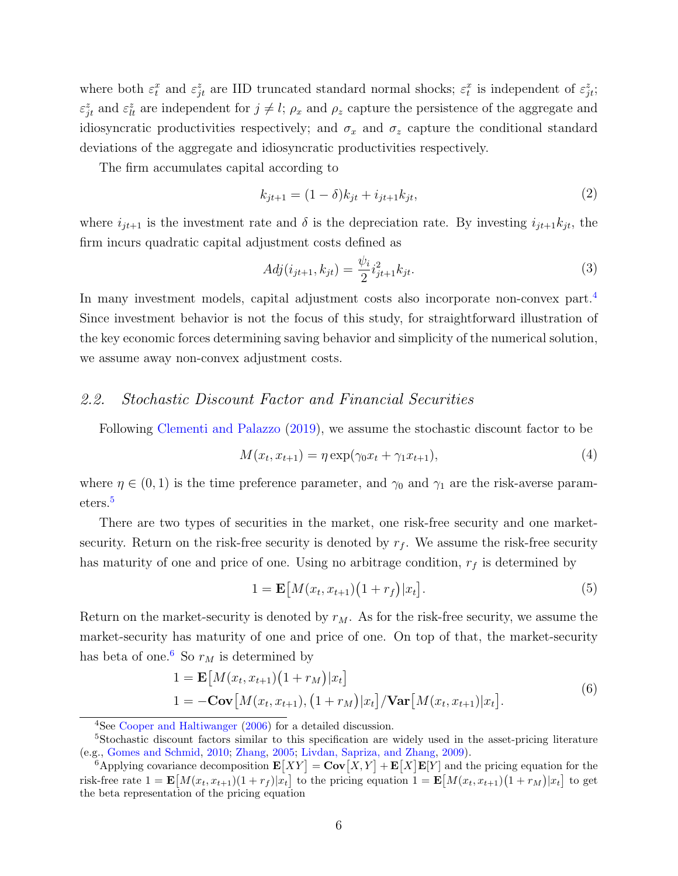where both  $\varepsilon_t^x$  and  $\varepsilon_{jt}^z$  are IID truncated standard normal shocks;  $\varepsilon_t^x$  is independent of  $\varepsilon_{jt}^z$ ;  $\varepsilon_{jt}^z$  and  $\varepsilon_{lt}^z$  are independent for  $j \neq l$ ;  $\rho_x$  and  $\rho_z$  capture the persistence of the aggregate and idiosyncratic productivities respectively; and  $\sigma_x$  and  $\sigma_z$  capture the conditional standard deviations of the aggregate and idiosyncratic productivities respectively.

The firm accumulates capital according to

$$
k_{jt+1} = (1 - \delta)k_{jt} + i_{jt+1}k_{jt},\tag{2}
$$

where  $i_{jt+1}$  is the investment rate and  $\delta$  is the depreciation rate. By investing  $i_{jt+1}k_{jt}$ , the firm incurs quadratic capital adjustment costs defined as

$$
Adj(i_{jt+1}, k_{jt}) = \frac{\psi_i}{2} i_{jt+1}^2 k_{jt}.
$$
\n(3)

In many investment models, capital adjustment costs also incorporate non-convex part.<sup>[4](#page-6-0)</sup> Since investment behavior is not the focus of this study, for straightforward illustration of the key economic forces determining saving behavior and simplicity of the numerical solution, we assume away non-convex adjustment costs.

#### 2.2. Stochastic Discount Factor and Financial Securities

Following [Clementi and Palazzo](#page-31-5) [\(2019\)](#page-31-5), we assume the stochastic discount factor to be

$$
M(x_t, x_{t+1}) = \eta \exp(\gamma_0 x_t + \gamma_1 x_{t+1}),
$$
\n(4)

where  $\eta \in (0,1)$  is the time preference parameter, and  $\gamma_0$  and  $\gamma_1$  are the risk-averse parameters.[5](#page-6-1)

There are two types of securities in the market, one risk-free security and one marketsecurity. Return on the risk-free security is denoted by  $r_f$ . We assume the risk-free security has maturity of one and price of one. Using no arbitrage condition,  $r_f$  is determined by

<span id="page-6-4"></span>
$$
1 = \mathbf{E}\big[M(x_t, x_{t+1})(1+r_f)|x_t\big].\tag{5}
$$

Return on the market-security is denoted by  $r_M$ . As for the risk-free security, we assume the market-security has maturity of one and price of one. On top of that, the market-security has beta of one.<sup>[6](#page-6-2)</sup> So  $r_M$  is determined by

<span id="page-6-3"></span>
$$
1 = \mathbf{E}[M(x_t, x_{t+1})(1 + r_M)|x_t]
$$
  
\n
$$
1 = -\mathbf{Cov}[M(x_t, x_{t+1}), (1 + r_M)|x_t]/\mathbf{Var}[M(x_t, x_{t+1})|x_t].
$$
\n(6)

<span id="page-6-1"></span><span id="page-6-0"></span><sup>4</sup>See [Cooper and Haltiwanger](#page-31-6) [\(2006\)](#page-31-6) for a detailed discussion.

<sup>5</sup>Stochastic discount factors similar to this specification are widely used in the asset-pricing literature (e.g., [Gomes and Schmid,](#page-33-6) [2010;](#page-33-6) [Zhang,](#page-34-5) [2005;](#page-34-5) [Livdan, Sapriza, and Zhang,](#page-33-7) [2009\)](#page-33-7).

<span id="page-6-2"></span><sup>&</sup>lt;sup>6</sup>Applying covariance decomposition  $\mathbf{E}[XY] = \mathbf{Cov}[X, Y] + \mathbf{E}[X]\mathbf{E}[Y]$  and the pricing equation for the risk-free rate  $1 = \mathbf{E}[M(x_t, x_{t+1})(1+r_f)|x_t]$  to the pricing equation  $1 = \mathbf{E}[M(x_t, x_{t+1})(1+r_M)|x_t]$  to get the beta representation of the pricing equation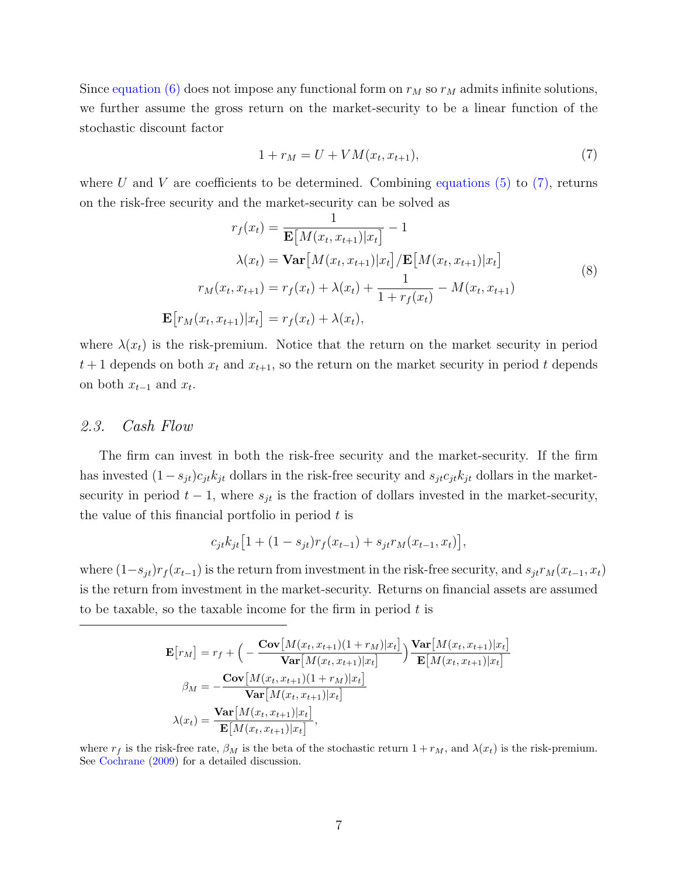Since [equation \(6\)](#page-6-3) does not impose any functional form on  $r_M$  so  $r_M$  admits infinite solutions, we further assume the gross return on the market-security to be a linear function of the stochastic discount factor

<span id="page-7-0"></span>
$$
1 + r_M = U + VM(x_t, x_{t+1}),
$$
\n(7)

where U and V are coefficients to be determined. Combining [equations \(5\)](#page-6-4) to [\(7\),](#page-7-0) returns on the risk-free security and the market-security can be solved as

$$
r_f(x_t) = \frac{1}{\mathbf{E}[M(x_t, x_{t+1})|x_t]} - 1
$$

$$
\lambda(x_t) = \mathbf{Var}[M(x_t, x_{t+1})|x_t] / \mathbf{E}[M(x_t, x_{t+1})|x_t]
$$

$$
r_M(x_t, x_{t+1}) = r_f(x_t) + \lambda(x_t) + \frac{1}{1 + r_f(x_t)} - M(x_t, x_{t+1})
$$
(8)
$$
\mathbf{E}[r_M(x_t, x_{t+1})|x_t] = r_f(x_t) + \lambda(x_t),
$$

where  $\lambda(x_t)$  is the risk-premium. Notice that the return on the market security in period  $t+1$  depends on both  $x_t$  and  $x_{t+1}$ , so the return on the market security in period t depends on both  $x_{t-1}$  and  $x_t$ .

#### 2.3. Cash Flow

The firm can invest in both the risk-free security and the market-security. If the firm has invested  $(1-s_{jt})c_{jt}k_{jt}$  dollars in the risk-free security and  $s_{jt}c_{jt}k_{jt}$  dollars in the marketsecurity in period  $t - 1$ , where  $s_{jt}$  is the fraction of dollars invested in the market-security, the value of this financial portfolio in period  $t$  is

$$
c_{jt}k_{jt}[1+(1-s_{jt})r_f(x_{t-1})+s_{jt}r_M(x_{t-1},x_t)],
$$

where  $(1-s_{jt})r_f(x_{t-1})$  is the return from investment in the risk-free security, and  $s_{jt}r_M(x_{t-1}, x_t)$ is the return from investment in the market-security. Returns on financial assets are assumed to be taxable, so the taxable income for the firm in period  $t$  is

$$
\mathbf{E}[r_M] = r_f + \left( -\frac{\mathbf{Cov}[M(x_t, x_{t+1})(1 + r_M)|x_t]}{\mathbf{Var}[M(x_t, x_{t+1})|x_t]} \right) \frac{\mathbf{Var}[M(x_t, x_{t+1})|x_t]}{\mathbf{E}[M(x_t, x_{t+1})|x_t]} \n\beta_M = -\frac{\mathbf{Cov}[M(x_t, x_{t+1})(1 + r_M)|x_t]}{\mathbf{Var}[M(x_t, x_{t+1})|x_t]} \n\lambda(x_t) = \frac{\mathbf{Var}[M(x_t, x_{t+1})|x_t]}{\mathbf{E}[M(x_t, x_{t+1})|x_t]},
$$

where  $r_f$  is the risk-free rate,  $\beta_M$  is the beta of the stochastic return  $1 + r_M$ , and  $\lambda(x_t)$  is the risk-premium. See [Cochrane](#page-31-7) [\(2009\)](#page-31-7) for a detailed discussion.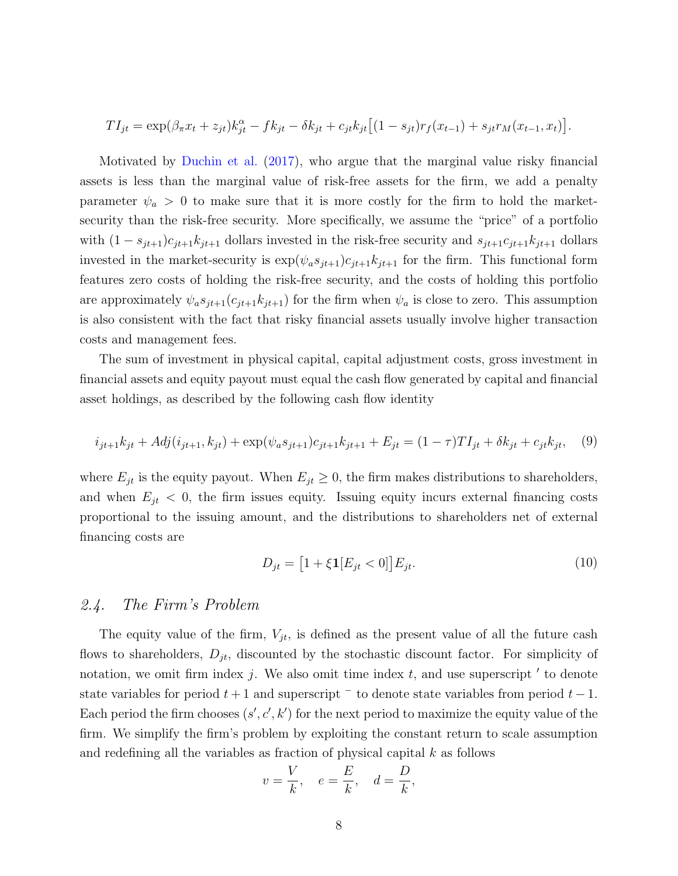$$
TI_{jt} = \exp(\beta_{\pi}x_t + z_{jt})k_{jt}^{\alpha} - fk_{jt} - \delta k_{jt} + c_{jt}k_{jt}[(1 - s_{jt})r_f(x_{t-1}) + s_{jt}r_M(x_{t-1}, x_t)].
$$

Motivated by [Duchin et al.](#page-32-0) [\(2017\)](#page-32-0), who argue that the marginal value risky financial assets is less than the marginal value of risk-free assets for the firm, we add a penalty parameter  $\psi_a > 0$  to make sure that it is more costly for the firm to hold the marketsecurity than the risk-free security. More specifically, we assume the "price" of a portfolio with  $(1 - s_{jt+1})c_{jt+1}k_{jt+1}$  dollars invested in the risk-free security and  $s_{jt+1}c_{jt+1}k_{jt+1}$  dollars invested in the market-security is  $\exp(\psi_a s_{it+1})c_{it+1}k_{it+1}$  for the firm. This functional form features zero costs of holding the risk-free security, and the costs of holding this portfolio are approximately  $\psi_a s_{jt+1}(c_{jt+1}k_{jt+1})$  for the firm when  $\psi_a$  is close to zero. This assumption is also consistent with the fact that risky financial assets usually involve higher transaction costs and management fees.

The sum of investment in physical capital, capital adjustment costs, gross investment in financial assets and equity payout must equal the cash flow generated by capital and financial asset holdings, as described by the following cash flow identity

$$
i_{jt+1}k_{jt} + Adj(i_{jt+1}, k_{jt}) + \exp(\psi_a s_{jt+1})c_{jt+1}k_{jt+1} + E_{jt} = (1 - \tau)TI_{jt} + \delta k_{jt} + c_{jt}k_{jt}, \quad (9)
$$

where  $E_{jt}$  is the equity payout. When  $E_{jt} \geq 0$ , the firm makes distributions to shareholders, and when  $E_{jt} < 0$ , the firm issues equity. Issuing equity incurs external financing costs proportional to the issuing amount, and the distributions to shareholders net of external financing costs are

$$
D_{jt} = [1 + \xi \mathbf{1}[E_{jt} < 0]] E_{jt}.
$$
\n(10)

#### 2.4. The Firm's Problem

The equity value of the firm,  $V_{jt}$ , is defined as the present value of all the future cash flows to shareholders,  $D_{jt}$ , discounted by the stochastic discount factor. For simplicity of notation, we omit firm index  $j$ . We also omit time index  $t$ , and use superscript  $\prime$  to denote state variables for period  $t + 1$  and superscript  $\bar{ }$  to denote state variables from period  $t - 1$ . Each period the firm chooses  $(s', c', k')$  for the next period to maximize the equity value of the firm. We simplify the firm's problem by exploiting the constant return to scale assumption and redefining all the variables as fraction of physical capital k as follows

$$
v = \frac{V}{k}, \quad e = \frac{E}{k}, \quad d = \frac{D}{k},
$$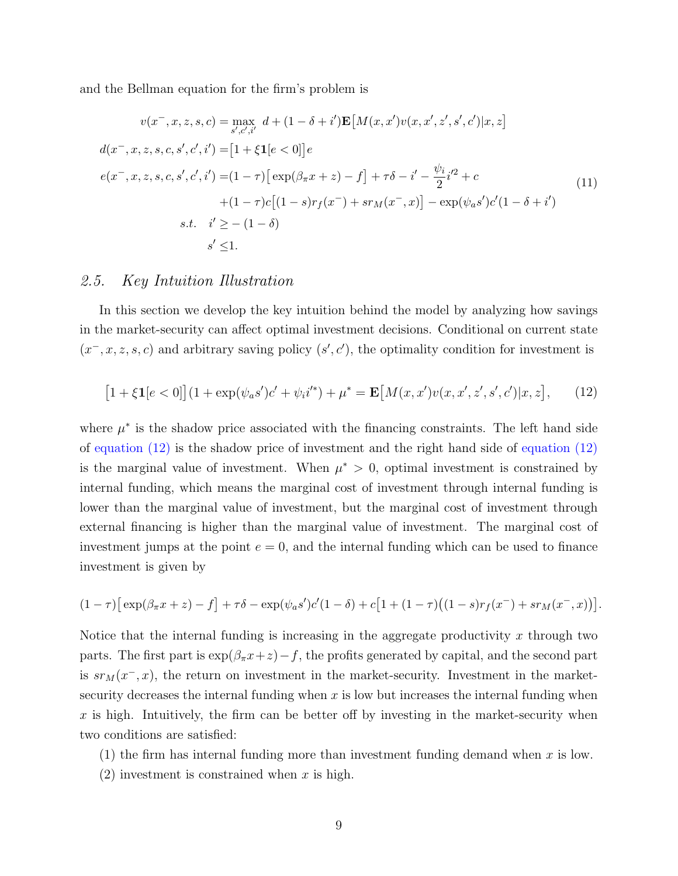and the Bellman equation for the firm's problem is

$$
v(x^-, x, z, s, c) = \max_{s', c', i'} d + (1 - \delta + i') \mathbf{E}[M(x, x')v(x, x', z', s', c')|x, z]
$$
  
\n
$$
d(x^-, x, z, s, c, s', c', i') = [1 + \xi \mathbf{1}[e < 0]]e
$$
  
\n
$$
e(x^-, x, z, s, c, s', c', i') = (1 - \tau) [\exp(\beta_\pi x + z) - f] + \tau \delta - i' - \frac{\psi_i}{2} i'^2 + c
$$
  
\n
$$
+ (1 - \tau)c[(1 - s)r_f(x^-) + sr_M(x^-, x)] - \exp(\psi_a s')c'(1 - \delta + i')
$$
  
\n
$$
s.t. \quad i' \ge - (1 - \delta)
$$
  
\n
$$
s' \le 1.
$$
\n(11)

### 2.5. Key Intuition Illustration

In this section we develop the key intuition behind the model by analyzing how savings in the market-security can affect optimal investment decisions. Conditional on current state  $(x^-, x, z, s, c)$  and arbitrary saving policy  $(s', c')$ , the optimality condition for investment is

<span id="page-9-0"></span>
$$
[1 + \xi \mathbf{1}[e < 0]](1 + \exp(\psi_a s')c' + \psi_i i'^*) + \mu^* = \mathbf{E}[M(x, x')v(x, x', z', s', c')|x, z], \quad (12)
$$

where  $\mu^*$  is the shadow price associated with the financing constraints. The left hand side of [equation \(12\)](#page-9-0) is the shadow price of investment and the right hand side of [equation \(12\)](#page-9-0) is the marginal value of investment. When  $\mu^* > 0$ , optimal investment is constrained by internal funding, which means the marginal cost of investment through internal funding is lower than the marginal value of investment, but the marginal cost of investment through external financing is higher than the marginal value of investment. The marginal cost of investment jumps at the point  $e = 0$ , and the internal funding which can be used to finance investment is given by

$$
(1 - \tau) \left[ \exp(\beta_{\pi} x + z) - f \right] + \tau \delta - \exp(\psi_a s') c' (1 - \delta) + c \left[ 1 + (1 - \tau) \left( (1 - s) r_f(x^{-}) + s r_M(x^{-}, x) \right) \right].
$$

Notice that the internal funding is increasing in the aggregate productivity x through two parts. The first part is  $\exp(\beta_\pi x+z)-f$ , the profits generated by capital, and the second part is  $sr_M(x^-, x)$ , the return on investment in the market-security. Investment in the marketsecurity decreases the internal funding when  $x$  is low but increases the internal funding when x is high. Intuitively, the firm can be better off by investing in the market-security when two conditions are satisfied:

(1) the firm has internal funding more than investment funding demand when x is low.

 $(2)$  investment is constrained when x is high.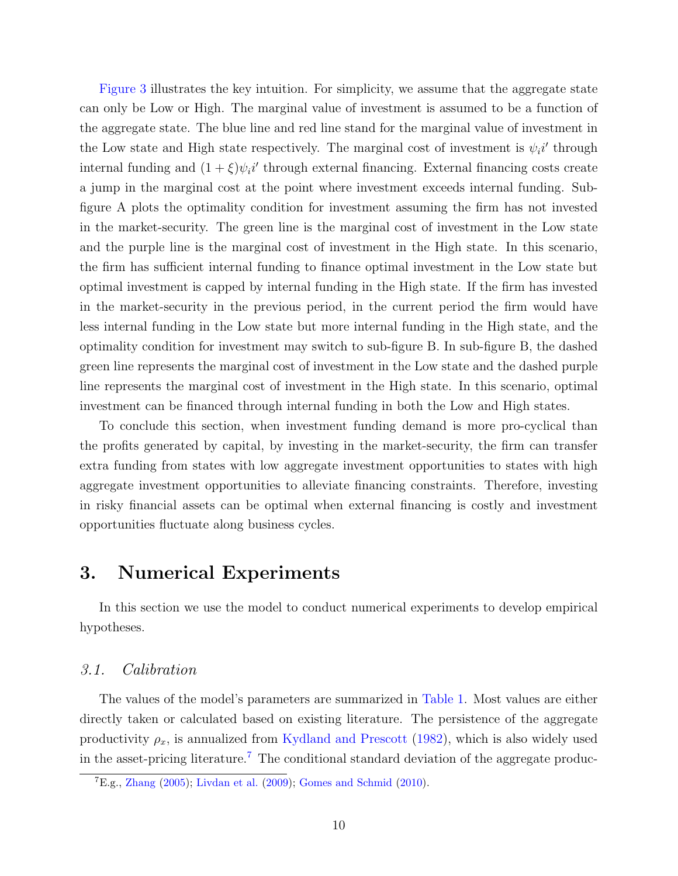[Figure 3](#page-37-0) illustrates the key intuition. For simplicity, we assume that the aggregate state can only be Low or High. The marginal value of investment is assumed to be a function of the aggregate state. The blue line and red line stand for the marginal value of investment in the Low state and High state respectively. The marginal cost of investment is  $\psi_i$ <sup>'</sup> through internal funding and  $(1+\xi)\psi_i i'$  through external financing. External financing costs create a jump in the marginal cost at the point where investment exceeds internal funding. Subfigure A plots the optimality condition for investment assuming the firm has not invested in the market-security. The green line is the marginal cost of investment in the Low state and the purple line is the marginal cost of investment in the High state. In this scenario, the firm has sufficient internal funding to finance optimal investment in the Low state but optimal investment is capped by internal funding in the High state. If the firm has invested in the market-security in the previous period, in the current period the firm would have less internal funding in the Low state but more internal funding in the High state, and the optimality condition for investment may switch to sub-figure B. In sub-figure B, the dashed green line represents the marginal cost of investment in the Low state and the dashed purple line represents the marginal cost of investment in the High state. In this scenario, optimal investment can be financed through internal funding in both the Low and High states.

To conclude this section, when investment funding demand is more pro-cyclical than the profits generated by capital, by investing in the market-security, the firm can transfer extra funding from states with low aggregate investment opportunities to states with high aggregate investment opportunities to alleviate financing constraints. Therefore, investing in risky financial assets can be optimal when external financing is costly and investment opportunities fluctuate along business cycles.

### <span id="page-10-0"></span>3. Numerical Experiments

In this section we use the model to conduct numerical experiments to develop empirical hypotheses.

#### 3.1. Calibration

The values of the model's parameters are summarized in [Table 1.](#page-41-0) Most values are either directly taken or calculated based on existing literature. The persistence of the aggregate productivity  $\rho_x$ , is annualized from [Kydland and Prescott](#page-33-8) [\(1982\)](#page-33-8), which is also widely used in the asset-pricing literature.[7](#page-10-1) The conditional standard deviation of the aggregate produc-

<span id="page-10-1"></span> ${}^{7}E.g., Zhang (2005); Livdan et al. (2009); Gomes and Schmid (2010).$  ${}^{7}E.g., Zhang (2005); Livdan et al. (2009); Gomes and Schmid (2010).$  ${}^{7}E.g., Zhang (2005); Livdan et al. (2009); Gomes and Schmid (2010).$  ${}^{7}E.g., Zhang (2005); Livdan et al. (2009); Gomes and Schmid (2010).$  ${}^{7}E.g., Zhang (2005); Livdan et al. (2009); Gomes and Schmid (2010).$  ${}^{7}E.g., Zhang (2005); Livdan et al. (2009); Gomes and Schmid (2010).$  ${}^{7}E.g., Zhang (2005); Livdan et al. (2009); Gomes and Schmid (2010).$  ${}^{7}E.g., Zhang (2005); Livdan et al. (2009); Gomes and Schmid (2010).$  ${}^{7}E.g., Zhang (2005); Livdan et al. (2009); Gomes and Schmid (2010).$  ${}^{7}E.g., Zhang (2005); Livdan et al. (2009); Gomes and Schmid (2010).$  ${}^{7}E.g., Zhang (2005); Livdan et al. (2009); Gomes and Schmid (2010).$  ${}^{7}E.g., Zhang (2005); Livdan et al. (2009); Gomes and Schmid (2010).$  ${}^{7}E.g., Zhang (2005); Livdan et al. (2009); Gomes and Schmid (2010).$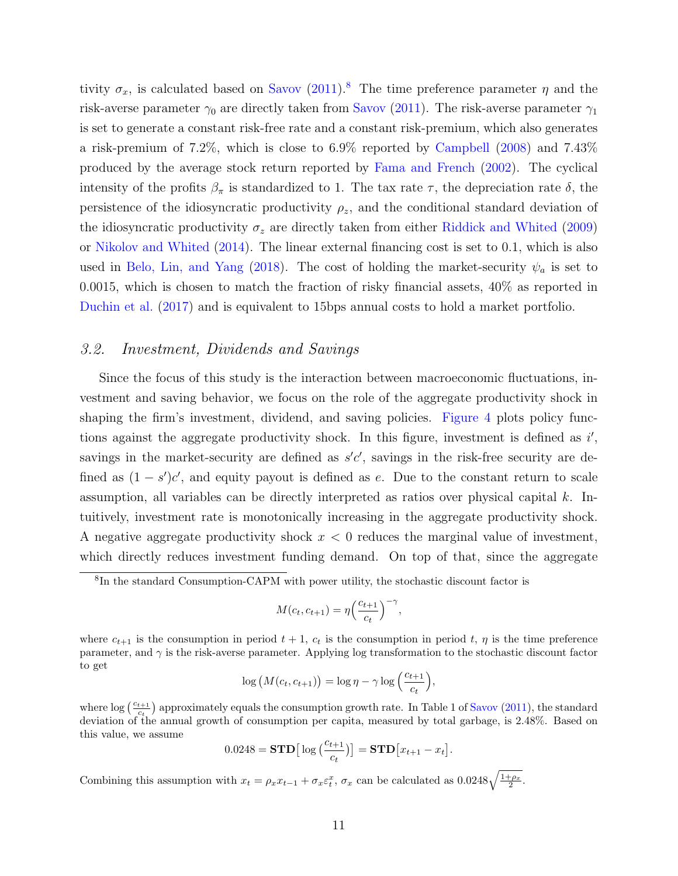tivity  $\sigma_x$ , is calculated based on [Savov](#page-34-6) [\(2011\)](#page-34-6).<sup>[8](#page-11-0)</sup> The time preference parameter  $\eta$  and the risk-averse parameter  $\gamma_0$  are directly taken from [Savov](#page-34-6) [\(2011\)](#page-34-6). The risk-averse parameter  $\gamma_1$ is set to generate a constant risk-free rate and a constant risk-premium, which also generates a risk-premium of 7.2%, which is close to 6.9% reported by [Campbell](#page-31-8) [\(2008\)](#page-31-8) and 7.43% produced by the average stock return reported by [Fama and French](#page-32-7) [\(2002\)](#page-32-7). The cyclical intensity of the profits  $\beta_{\pi}$  is standardized to 1. The tax rate  $\tau$ , the depreciation rate  $\delta$ , the persistence of the idiosyncratic productivity  $\rho_z$ , and the conditional standard deviation of the idiosyncratic productivity  $\sigma_z$  are directly taken from either [Riddick and Whited](#page-34-1) [\(2009\)](#page-34-1) or [Nikolov and Whited](#page-34-7) [\(2014\)](#page-34-7). The linear external financing cost is set to 0.1, which is also used in [Belo, Lin, and Yang](#page-30-6) [\(2018\)](#page-30-6). The cost of holding the market-security  $\psi_a$  is set to 0.0015, which is chosen to match the fraction of risky financial assets, 40% as reported in [Duchin et al.](#page-32-0) [\(2017\)](#page-32-0) and is equivalent to 15bps annual costs to hold a market portfolio.

#### 3.2. Investment, Dividends and Savings

Since the focus of this study is the interaction between macroeconomic fluctuations, investment and saving behavior, we focus on the role of the aggregate productivity shock in shaping the firm's investment, dividend, and saving policies. [Figure 4](#page-38-0) plots policy functions against the aggregate productivity shock. In this figure, investment is defined as  $i'$ , savings in the market-security are defined as  $s'c'$ , savings in the risk-free security are defined as  $(1 - s')c'$ , and equity payout is defined as e. Due to the constant return to scale assumption, all variables can be directly interpreted as ratios over physical capital  $k$ . Intuitively, investment rate is monotonically increasing in the aggregate productivity shock. A negative aggregate productivity shock  $x < 0$  reduces the marginal value of investment, which directly reduces investment funding demand. On top of that, since the aggregate

$$
M(c_t, c_{t+1}) = \eta \left(\frac{c_{t+1}}{c_t}\right)^{-\gamma},
$$

$$
\log\left(M(c_t, c_{t+1})\right) = \log \eta - \gamma \log\left(\frac{c_{t+1}}{c_t}\right),\,
$$

where  $\log\left(\frac{c_{t+1}}{c_t}\right)$  approximately equals the consumption growth rate. In Table 1 of [Savov](#page-34-6) [\(2011\)](#page-34-6), the standard deviation of the annual growth of consumption per capita, measured by total garbage, is 2.48%. Based on this value, we assume

$$
0.0248 = \mathbf{STD}\big[\log\big(\frac{c_{t+1}}{c_t}\big)\big] = \mathbf{STD}\big[x_{t+1} - x_t\big].
$$

Combining this assumption with  $x_t = \rho_x x_{t-1} + \sigma_x \varepsilon_t^x$ ,  $\sigma_x$  can be calculated as  $0.0248 \sqrt{\frac{1+\rho_x}{2}}$ .

<span id="page-11-0"></span><sup>8</sup> In the standard Consumption-CAPM with power utility, the stochastic discount factor is

where  $c_{t+1}$  is the consumption in period  $t + 1$ ,  $c_t$  is the consumption in period t,  $\eta$  is the time preference parameter, and  $\gamma$  is the risk-averse parameter. Applying log transformation to the stochastic discount factor to get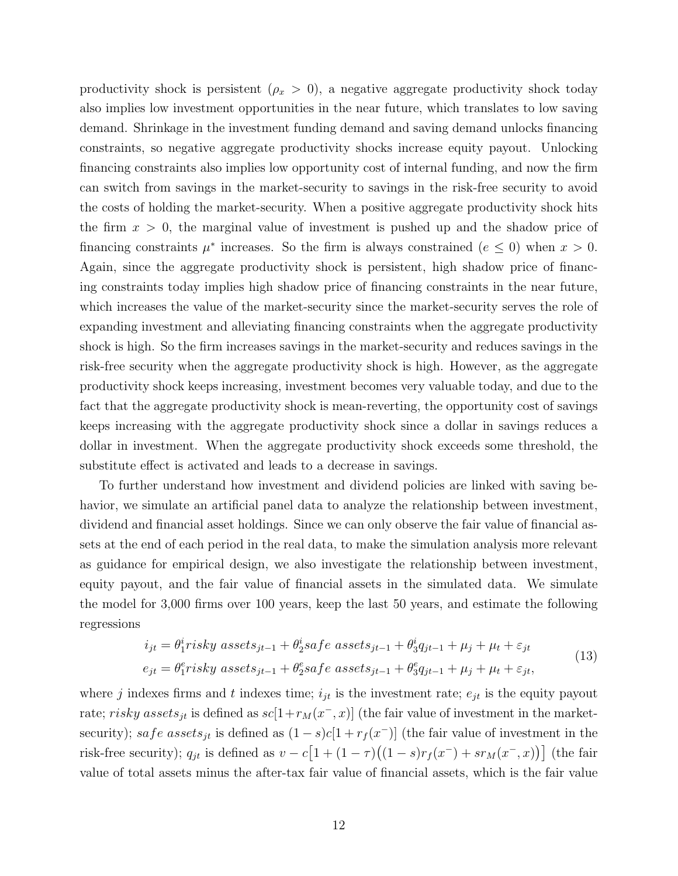productivity shock is persistent  $(\rho_x > 0)$ , a negative aggregate productivity shock today also implies low investment opportunities in the near future, which translates to low saving demand. Shrinkage in the investment funding demand and saving demand unlocks financing constraints, so negative aggregate productivity shocks increase equity payout. Unlocking financing constraints also implies low opportunity cost of internal funding, and now the firm can switch from savings in the market-security to savings in the risk-free security to avoid the costs of holding the market-security. When a positive aggregate productivity shock hits the firm  $x > 0$ , the marginal value of investment is pushed up and the shadow price of financing constraints  $\mu^*$  increases. So the firm is always constrained  $(e \leq 0)$  when  $x > 0$ . Again, since the aggregate productivity shock is persistent, high shadow price of financing constraints today implies high shadow price of financing constraints in the near future, which increases the value of the market-security since the market-security serves the role of expanding investment and alleviating financing constraints when the aggregate productivity shock is high. So the firm increases savings in the market-security and reduces savings in the risk-free security when the aggregate productivity shock is high. However, as the aggregate productivity shock keeps increasing, investment becomes very valuable today, and due to the fact that the aggregate productivity shock is mean-reverting, the opportunity cost of savings keeps increasing with the aggregate productivity shock since a dollar in savings reduces a dollar in investment. When the aggregate productivity shock exceeds some threshold, the substitute effect is activated and leads to a decrease in savings.

To further understand how investment and dividend policies are linked with saving behavior, we simulate an artificial panel data to analyze the relationship between investment, dividend and financial asset holdings. Since we can only observe the fair value of financial assets at the end of each period in the real data, to make the simulation analysis more relevant as guidance for empirical design, we also investigate the relationship between investment, equity payout, and the fair value of financial assets in the simulated data. We simulate the model for 3,000 firms over 100 years, keep the last 50 years, and estimate the following regressions

$$
i_{jt} = \theta_1^i \r{r} isky \; assets_{jt-1} + \theta_2^i \s{a} \t{f} e \; assets_{jt-1} + \theta_3^i \t{g}_{jt-1} + \mu_j + \mu_t + \varepsilon_{jt}
$$
  
\n
$$
e_{jt} = \theta_1^e \r{r} isky \; assets_{jt-1} + \theta_2^e \s{a} \t{f} e \; assets_{jt-1} + \theta_3^e \t{g}_{jt-1} + \mu_j + \mu_t + \varepsilon_{jt},
$$
\n(13)

where j indexes firms and t indexes time;  $i_{jt}$  is the investment rate;  $e_{jt}$  is the equity payout rate; risky assets<sub>jt</sub> is defined as  $sc[1 + r<sub>M</sub>(x<sup>-</sup>, x)]$  (the fair value of investment in the marketsecurity); safe assets<sub>jt</sub> is defined as  $(1-s)c[1+r<sub>f</sub>(x<sup>-</sup>)]$  (the fair value of investment in the risk-free security);  $q_{jt}$  is defined as  $v - c \left[1 + (1 - \tau)((1 - s)r_f(x^{-}) + s r_M(x^{-}, x))\right]$  (the fair value of total assets minus the after-tax fair value of financial assets, which is the fair value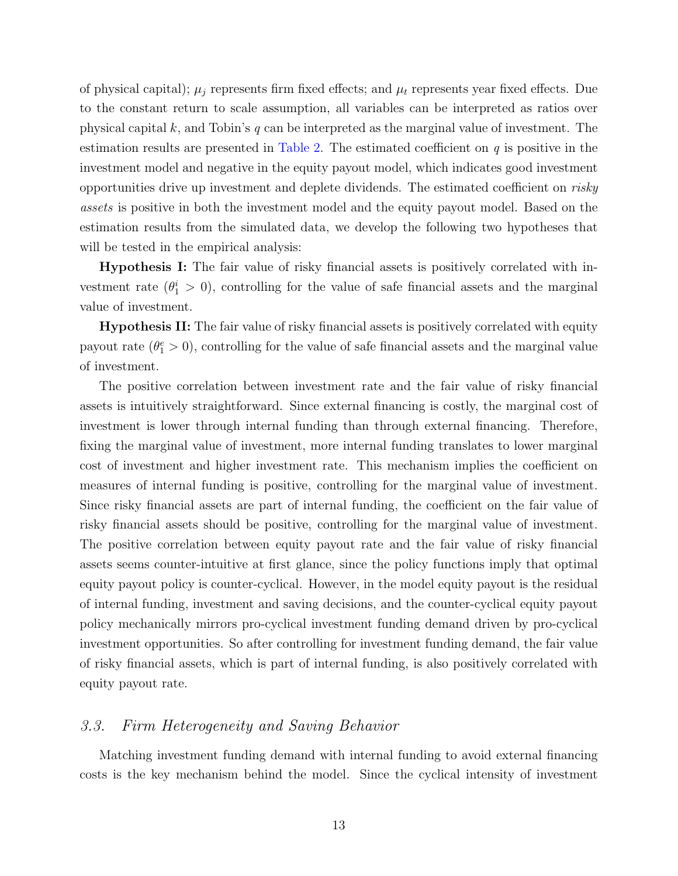of physical capital);  $\mu_j$  represents firm fixed effects; and  $\mu_t$  represents year fixed effects. Due to the constant return to scale assumption, all variables can be interpreted as ratios over physical capital k, and Tobin's  $q$  can be interpreted as the marginal value of investment. The estimation results are presented in [Table 2.](#page-42-0) The estimated coefficient on  $q$  is positive in the investment model and negative in the equity payout model, which indicates good investment opportunities drive up investment and deplete dividends. The estimated coefficient on risky assets is positive in both the investment model and the equity payout model. Based on the estimation results from the simulated data, we develop the following two hypotheses that will be tested in the empirical analysis:

Hypothesis I: The fair value of risky financial assets is positively correlated with investment rate  $(\theta_1^i > 0)$ , controlling for the value of safe financial assets and the marginal value of investment.

Hypothesis II: The fair value of risky financial assets is positively correlated with equity payout rate  $(\theta_1^e > 0)$ , controlling for the value of safe financial assets and the marginal value of investment.

The positive correlation between investment rate and the fair value of risky financial assets is intuitively straightforward. Since external financing is costly, the marginal cost of investment is lower through internal funding than through external financing. Therefore, fixing the marginal value of investment, more internal funding translates to lower marginal cost of investment and higher investment rate. This mechanism implies the coefficient on measures of internal funding is positive, controlling for the marginal value of investment. Since risky financial assets are part of internal funding, the coefficient on the fair value of risky financial assets should be positive, controlling for the marginal value of investment. The positive correlation between equity payout rate and the fair value of risky financial assets seems counter-intuitive at first glance, since the policy functions imply that optimal equity payout policy is counter-cyclical. However, in the model equity payout is the residual of internal funding, investment and saving decisions, and the counter-cyclical equity payout policy mechanically mirrors pro-cyclical investment funding demand driven by pro-cyclical investment opportunities. So after controlling for investment funding demand, the fair value of risky financial assets, which is part of internal funding, is also positively correlated with equity payout rate.

#### <span id="page-13-0"></span>3.3. Firm Heterogeneity and Saving Behavior

Matching investment funding demand with internal funding to avoid external financing costs is the key mechanism behind the model. Since the cyclical intensity of investment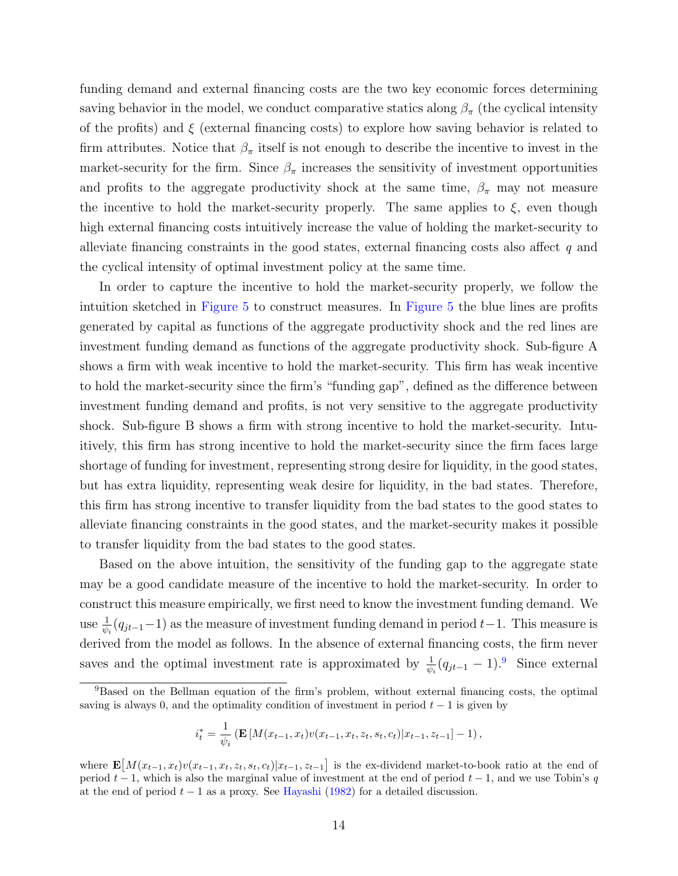funding demand and external financing costs are the two key economic forces determining saving behavior in the model, we conduct comparative statics along  $\beta_{\pi}$  (the cyclical intensity of the profits) and  $\xi$  (external financing costs) to explore how saving behavior is related to firm attributes. Notice that  $\beta_{\pi}$  itself is not enough to describe the incentive to invest in the market-security for the firm. Since  $\beta_{\pi}$  increases the sensitivity of investment opportunities and profits to the aggregate productivity shock at the same time,  $\beta_{\pi}$  may not measure the incentive to hold the market-security properly. The same applies to  $\xi$ , even though high external financing costs intuitively increase the value of holding the market-security to alleviate financing constraints in the good states, external financing costs also affect q and the cyclical intensity of optimal investment policy at the same time.

In order to capture the incentive to hold the market-security properly, we follow the intuition sketched in [Figure 5](#page-39-0) to construct measures. In [Figure 5](#page-39-0) the blue lines are profits generated by capital as functions of the aggregate productivity shock and the red lines are investment funding demand as functions of the aggregate productivity shock. Sub-figure A shows a firm with weak incentive to hold the market-security. This firm has weak incentive to hold the market-security since the firm's "funding gap", defined as the difference between investment funding demand and profits, is not very sensitive to the aggregate productivity shock. Sub-figure B shows a firm with strong incentive to hold the market-security. Intuitively, this firm has strong incentive to hold the market-security since the firm faces large shortage of funding for investment, representing strong desire for liquidity, in the good states, but has extra liquidity, representing weak desire for liquidity, in the bad states. Therefore, this firm has strong incentive to transfer liquidity from the bad states to the good states to alleviate financing constraints in the good states, and the market-security makes it possible to transfer liquidity from the bad states to the good states.

Based on the above intuition, the sensitivity of the funding gap to the aggregate state may be a good candidate measure of the incentive to hold the market-security. In order to construct this measure empirically, we first need to know the investment funding demand. We use  $\frac{1}{\psi_i}(q_{jt-1}-1)$  as the measure of investment funding demand in period  $t-1$ . This measure is derived from the model as follows. In the absence of external financing costs, the firm never saves and the optimal investment rate is approximated by  $\frac{1}{\psi_i}(q_{jt-1} - 1)$ .<sup>[9](#page-14-0)</sup> Since external

$$
i_t^* = \frac{1}{\psi_i} \left( \mathbf{E} \left[ M(x_{t-1}, x_t) v(x_{t-1}, x_t, z_t, s_t, c_t) | x_{t-1}, z_{t-1} \right] - 1 \right),\,
$$

<span id="page-14-0"></span><sup>9</sup>Based on the Bellman equation of the firm's problem, without external financing costs, the optimal saving is always 0, and the optimality condition of investment in period  $t - 1$  is given by

where  $\mathbf{E}[M(x_{t-1},x_t)v(x_{t-1},x_t,z_t,s_t,c_t)|x_{t-1},z_{t-1}]$  is the ex-dividend market-to-book ratio at the end of period  $t - 1$ , which is also the marginal value of investment at the end of period  $t - 1$ , and we use Tobin's q at the end of period  $t - 1$  as a proxy. See [Hayashi](#page-33-9) [\(1982\)](#page-33-9) for a detailed discussion.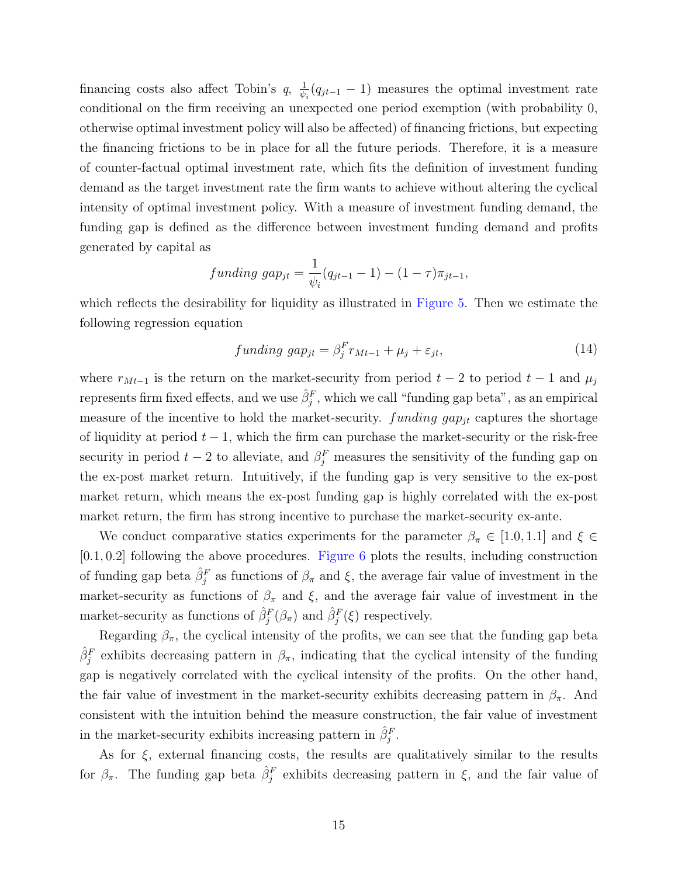financing costs also affect Tobin's  $q, \frac{1}{4b}$  $\frac{1}{\psi_i}(q_{jt-1}-1)$  measures the optimal investment rate conditional on the firm receiving an unexpected one period exemption (with probability 0, otherwise optimal investment policy will also be affected) of financing frictions, but expecting the financing frictions to be in place for all the future periods. Therefore, it is a measure of counter-factual optimal investment rate, which fits the definition of investment funding demand as the target investment rate the firm wants to achieve without altering the cyclical intensity of optimal investment policy. With a measure of investment funding demand, the funding gap is defined as the difference between investment funding demand and profits generated by capital as

$$
funding\ gap_{jt} = \frac{1}{\psi_i}(q_{jt-1} - 1) - (1 - \tau)\pi_{jt-1},
$$

which reflects the desirability for liquidity as illustrated in [Figure 5.](#page-39-0) Then we estimate the following regression equation

$$
funding\ gap_{jt} = \beta_j^F r_{Mt-1} + \mu_j + \varepsilon_{jt},\tag{14}
$$

where  $r_{Mt-1}$  is the return on the market-security from period  $t-2$  to period  $t-1$  and  $\mu_j$ represents firm fixed effects, and we use  $\hat{\beta}_j^F$ , which we call "funding gap beta", as an empirical measure of the incentive to hold the market-security.  $funding\ gap_{jt}$  captures the shortage of liquidity at period  $t - 1$ , which the firm can purchase the market-security or the risk-free security in period  $t-2$  to alleviate, and  $\beta_j^F$  measures the sensitivity of the funding gap on the ex-post market return. Intuitively, if the funding gap is very sensitive to the ex-post market return, which means the ex-post funding gap is highly correlated with the ex-post market return, the firm has strong incentive to purchase the market-security ex-ante.

We conduct comparative statics experiments for the parameter  $\beta_{\pi} \in [1.0, 1.1]$  and  $\xi \in$ [0.1, 0.2] following the above procedures. [Figure 6](#page-40-0) plots the results, including construction of funding gap beta  $\hat{\beta}_j^F$  as functions of  $\beta_\pi$  and  $\xi$ , the average fair value of investment in the market-security as functions of  $\beta_{\pi}$  and  $\xi$ , and the average fair value of investment in the market-security as functions of  $\hat{\beta}_j^F(\beta_\pi)$  and  $\hat{\beta}_j^F(\xi)$  respectively.

Regarding  $\beta_{\pi}$ , the cyclical intensity of the profits, we can see that the funding gap beta  $\hat{\beta}_{j}^{F}$  exhibits decreasing pattern in  $\beta_{\pi}$ , indicating that the cyclical intensity of the funding gap is negatively correlated with the cyclical intensity of the profits. On the other hand, the fair value of investment in the market-security exhibits decreasing pattern in  $\beta_{\pi}$ . And consistent with the intuition behind the measure construction, the fair value of investment in the market-security exhibits increasing pattern in  $\hat{\beta}_j^F$ .

As for  $\xi$ , external financing costs, the results are qualitatively similar to the results for  $\beta_{\pi}$ . The funding gap beta  $\hat{\beta}_{j}^{F}$  exhibits decreasing pattern in  $\xi$ , and the fair value of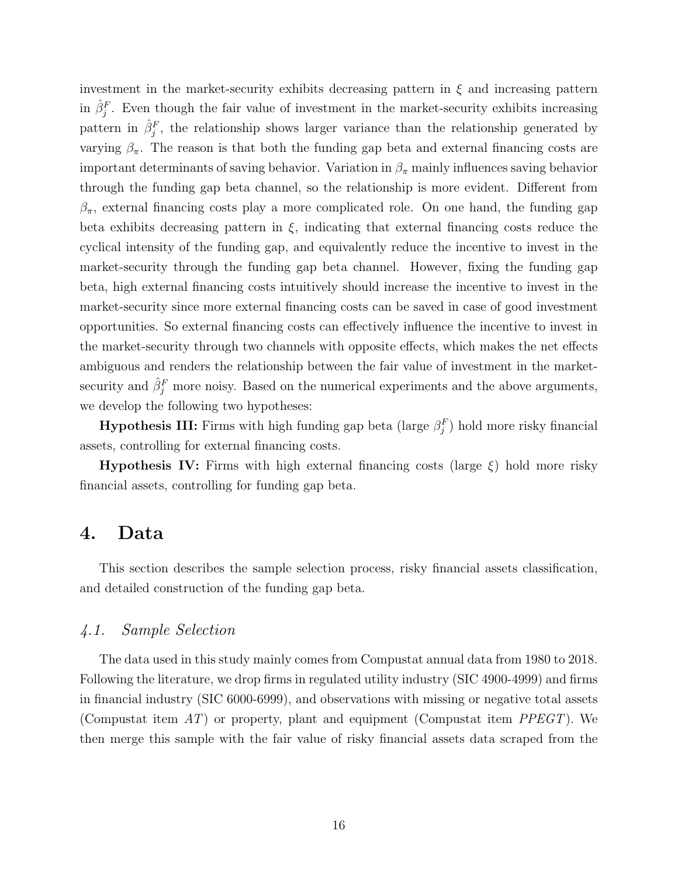investment in the market-security exhibits decreasing pattern in  $\xi$  and increasing pattern in  $\hat{\beta}_j^F$ . Even though the fair value of investment in the market-security exhibits increasing pattern in  $\hat{\beta}_j^F$ , the relationship shows larger variance than the relationship generated by varying  $\beta_{\pi}$ . The reason is that both the funding gap beta and external financing costs are important determinants of saving behavior. Variation in  $\beta_{\pi}$  mainly influences saving behavior through the funding gap beta channel, so the relationship is more evident. Different from  $\beta_{\pi}$ , external financing costs play a more complicated role. On one hand, the funding gap beta exhibits decreasing pattern in  $\xi$ , indicating that external financing costs reduce the cyclical intensity of the funding gap, and equivalently reduce the incentive to invest in the market-security through the funding gap beta channel. However, fixing the funding gap beta, high external financing costs intuitively should increase the incentive to invest in the market-security since more external financing costs can be saved in case of good investment opportunities. So external financing costs can effectively influence the incentive to invest in the market-security through two channels with opposite effects, which makes the net effects ambiguous and renders the relationship between the fair value of investment in the marketsecurity and  $\hat{\beta}_j^F$  more noisy. Based on the numerical experiments and the above arguments, we develop the following two hypotheses:

**Hypothesis III:** Firms with high funding gap beta (large  $\beta_j^F$ ) hold more risky financial assets, controlling for external financing costs.

**Hypothesis IV:** Firms with high external financing costs (large  $\xi$ ) hold more risky financial assets, controlling for funding gap beta.

### <span id="page-16-0"></span>4. Data

This section describes the sample selection process, risky financial assets classification, and detailed construction of the funding gap beta.

#### 4.1. Sample Selection

The data used in this study mainly comes from Compustat annual data from 1980 to 2018. Following the literature, we drop firms in regulated utility industry (SIC 4900-4999) and firms in financial industry (SIC 6000-6999), and observations with missing or negative total assets (Compustat item  $AT$ ) or property, plant and equipment (Compustat item  $PPEGT$ ). We then merge this sample with the fair value of risky financial assets data scraped from the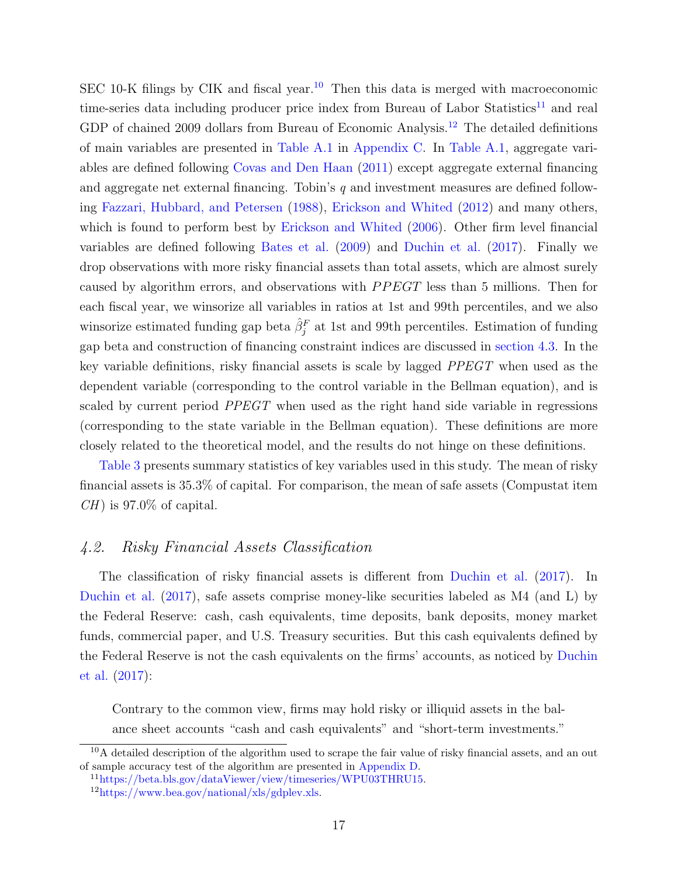SEC [10](#page-17-0)-K filings by CIK and fiscal year.<sup>10</sup> Then this data is merged with macroeconomic time-series data including producer price index from Bureau of Labor Statistics<sup>[11](#page-17-1)</sup> and real GDP of chained 2009 dollars from Bureau of Economic Analysis.<sup>[12](#page-17-2)</sup> The detailed definitions of main variables are presented in [Table A.1](#page-41-0) in [Appendix C.](#page-54-0) In [Table A.1,](#page-41-0) aggregate variables are defined following [Covas and Den Haan](#page-31-1) [\(2011\)](#page-31-1) except aggregate external financing and aggregate net external financing. Tobin's  $q$  and investment measures are defined following [Fazzari, Hubbard, and Petersen](#page-32-8) [\(1988\)](#page-32-8), [Erickson and Whited](#page-32-9) [\(2012\)](#page-32-9) and many others, which is found to perform best by [Erickson and Whited](#page-32-10) [\(2006\)](#page-32-10). Other firm level financial variables are defined following [Bates et al.](#page-30-2) [\(2009\)](#page-30-2) and [Duchin et al.](#page-32-0) [\(2017\)](#page-32-0). Finally we drop observations with more risky financial assets than total assets, which are almost surely caused by algorithm errors, and observations with  $PPECT$  less than 5 millions. Then for each fiscal year, we winsorize all variables in ratios at 1st and 99th percentiles, and we also winsorize estimated funding gap beta  $\hat{\beta}_j^F$  at 1st and 99th percentiles. Estimation of funding gap beta and construction of financing constraint indices are discussed in [section 4.3.](#page-18-0) In the key variable definitions, risky financial assets is scale by lagged PPEGT when used as the dependent variable (corresponding to the control variable in the Bellman equation), and is scaled by current period *PPEGT* when used as the right hand side variable in regressions (corresponding to the state variable in the Bellman equation). These definitions are more closely related to the theoretical model, and the results do not hinge on these definitions.

[Table 3](#page-43-0) presents summary statistics of key variables used in this study. The mean of risky financial assets is 35.3% of capital. For comparison, the mean of safe assets (Compustat item  $CH$ ) is 97.0\% of capital.

### 4.2. Risky Financial Assets Classification

The classification of risky financial assets is different from [Duchin et al.](#page-32-0) [\(2017\)](#page-32-0). In [Duchin et al.](#page-32-0) [\(2017\)](#page-32-0), safe assets comprise money-like securities labeled as M4 (and L) by the Federal Reserve: cash, cash equivalents, time deposits, bank deposits, money market funds, commercial paper, and U.S. Treasury securities. But this cash equivalents defined by the Federal Reserve is not the cash equivalents on the firms' accounts, as noticed by [Duchin](#page-32-0) [et al.](#page-32-0) [\(2017\)](#page-32-0):

Contrary to the common view, firms may hold risky or illiquid assets in the balance sheet accounts "cash and cash equivalents" and "short-term investments."

<span id="page-17-0"></span> $10A$  detailed description of the algorithm used to scrape the fair value of risky financial assets, and an out of sample accuracy test of the algorithm are presented in [Appendix D.](#page-56-0)

<span id="page-17-1"></span><sup>11</sup>[https://beta.bls.gov/dataViewer/view/timeseries/WPU03THRU15.](https://beta.bls.gov/dataViewer/view/timeseries/WPU03THRU15)

<span id="page-17-2"></span> $12$ [https://www.bea.gov/national/xls/gdplev.xls.](https://www.bea.gov/national/xls/gdplev.xls)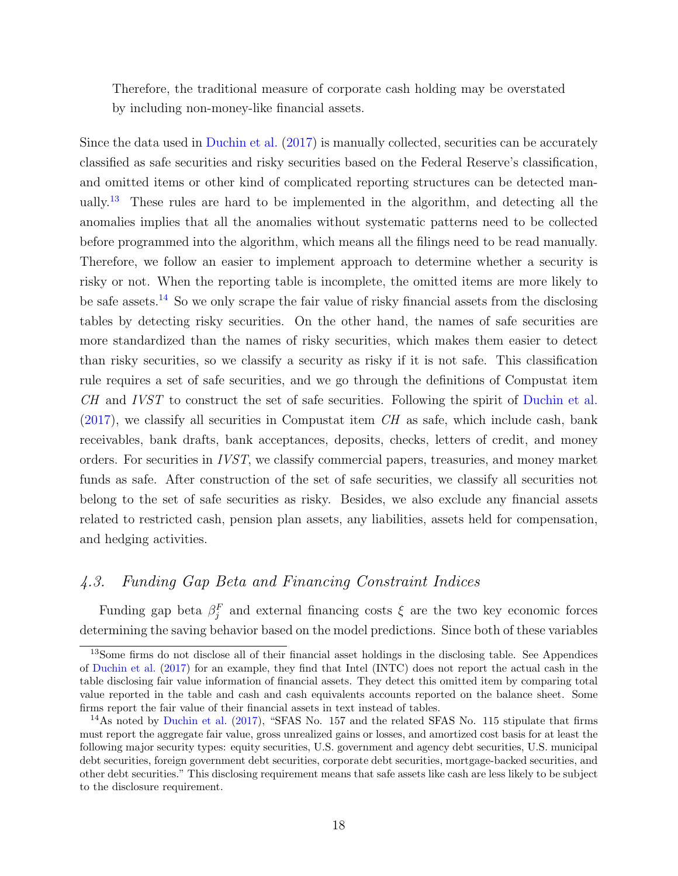Therefore, the traditional measure of corporate cash holding may be overstated by including non-money-like financial assets.

Since the data used in [Duchin et al.](#page-32-0) [\(2017\)](#page-32-0) is manually collected, securities can be accurately classified as safe securities and risky securities based on the Federal Reserve's classification, and omitted items or other kind of complicated reporting structures can be detected man-ually.<sup>[13](#page-18-1)</sup> These rules are hard to be implemented in the algorithm, and detecting all the anomalies implies that all the anomalies without systematic patterns need to be collected before programmed into the algorithm, which means all the filings need to be read manually. Therefore, we follow an easier to implement approach to determine whether a security is risky or not. When the reporting table is incomplete, the omitted items are more likely to be safe assets.<sup>[14](#page-18-2)</sup> So we only scrape the fair value of risky financial assets from the disclosing tables by detecting risky securities. On the other hand, the names of safe securities are more standardized than the names of risky securities, which makes them easier to detect than risky securities, so we classify a security as risky if it is not safe. This classification rule requires a set of safe securities, and we go through the definitions of Compustat item CH and IVST to construct the set of safe securities. Following the spirit of [Duchin et al.](#page-32-0)  $(2017)$ , we classify all securities in Compustat item CH as safe, which include cash, bank receivables, bank drafts, bank acceptances, deposits, checks, letters of credit, and money orders. For securities in IVST, we classify commercial papers, treasuries, and money market funds as safe. After construction of the set of safe securities, we classify all securities not belong to the set of safe securities as risky. Besides, we also exclude any financial assets related to restricted cash, pension plan assets, any liabilities, assets held for compensation, and hedging activities.

### <span id="page-18-0"></span>4.3. Funding Gap Beta and Financing Constraint Indices

Funding gap beta  $\beta_j^F$  and external financing costs  $\xi$  are the two key economic forces determining the saving behavior based on the model predictions. Since both of these variables

<span id="page-18-1"></span><sup>&</sup>lt;sup>13</sup>Some firms do not disclose all of their financial asset holdings in the disclosing table. See Appendices of [Duchin et al.](#page-32-0) [\(2017\)](#page-32-0) for an example, they find that Intel (INTC) does not report the actual cash in the table disclosing fair value information of financial assets. They detect this omitted item by comparing total value reported in the table and cash and cash equivalents accounts reported on the balance sheet. Some firms report the fair value of their financial assets in text instead of tables.

<span id="page-18-2"></span><sup>&</sup>lt;sup>14</sup>As noted by [Duchin et al.](#page-32-0) [\(2017\)](#page-32-0), "SFAS No. 157 and the related SFAS No. 115 stipulate that firms must report the aggregate fair value, gross unrealized gains or losses, and amortized cost basis for at least the following major security types: equity securities, U.S. government and agency debt securities, U.S. municipal debt securities, foreign government debt securities, corporate debt securities, mortgage-backed securities, and other debt securities." This disclosing requirement means that safe assets like cash are less likely to be subject to the disclosure requirement.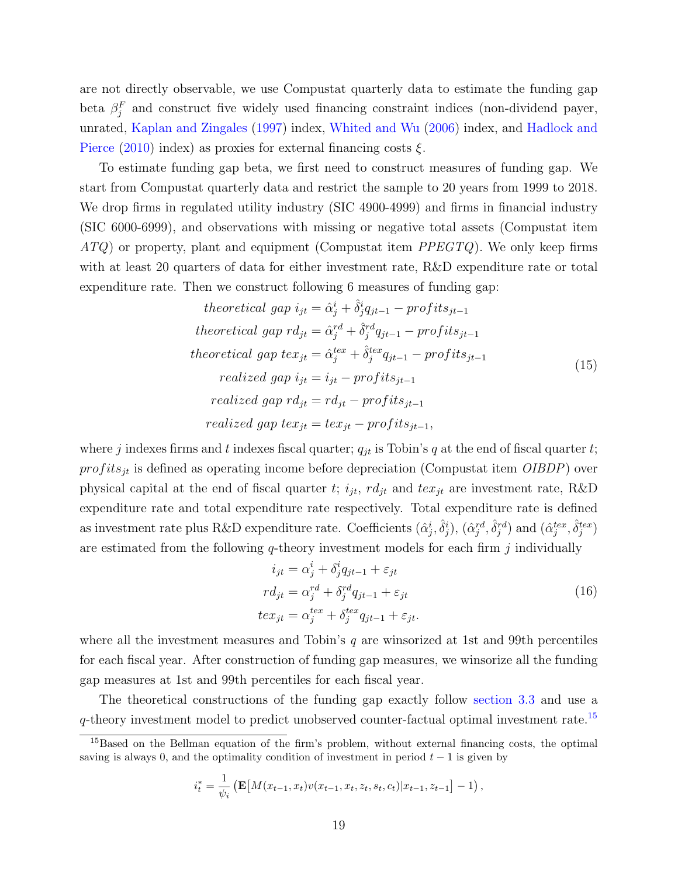are not directly observable, we use Compustat quarterly data to estimate the funding gap beta  $\beta_j^F$  and construct five widely used financing constraint indices (non-dividend payer, unrated, [Kaplan and Zingales](#page-33-2) [\(1997\)](#page-33-2) index, [Whited and Wu](#page-34-2) [\(2006\)](#page-34-2) index, and [Hadlock and](#page-33-1) [Pierce](#page-33-1) [\(2010\)](#page-33-1) index) as proxies for external financing costs  $\xi$ .

To estimate funding gap beta, we first need to construct measures of funding gap. We start from Compustat quarterly data and restrict the sample to 20 years from 1999 to 2018. We drop firms in regulated utility industry (SIC 4900-4999) and firms in financial industry (SIC 6000-6999), and observations with missing or negative total assets (Compustat item  $ATQ$ ) or property, plant and equipment (Compustat item  $PPEGTQ$ ). We only keep firms with at least 20 quarters of data for either investment rate, R&D expenditure rate or total expenditure rate. Then we construct following 6 measures of funding gap:

<span id="page-19-1"></span>theoretical gap 
$$
i_{jt} = \hat{\alpha}_j^i + \hat{\delta}_j^i q_{jt-1} - profits_{jt-1}
$$
  
\ntheoretical gap  $rd_{jt} = \hat{\alpha}_j^{rd} + \hat{\delta}_j^{rd} q_{jt-1} - profits_{jt-1}$   
\ntheoretical gap  $tex_{jt} = \hat{\alpha}_j^{tex} + \hat{\delta}_j^{tex} q_{jt-1} - profits_{jt-1}$   
\nrealized gap  $i_{jt} = i_{jt} - profits_{jt-1}$   
\nrealized gap  $rd_{jt} = rd_{jt} - profits_{jt-1}$   
\nrealized gap  $tex_{jt} = text_{jt} - profits_{jt-1}$ ,  
\nrealized gap  $tex_{jt} = text_{jt} - profits_{jt-1}$ ,

where j indexes firms and t indexes fiscal quarter;  $q_{jt}$  is Tobin's q at the end of fiscal quarter t;  $profits_{it}$  is defined as operating income before depreciation (Compustat item  $OIBDP$ ) over physical capital at the end of fiscal quarter t;  $i_{jt}$ ,  $rd_{jt}$  and  $tex_{jt}$  are investment rate, R&D expenditure rate and total expenditure rate respectively. Total expenditure rate is defined as investment rate plus R&D expenditure rate. Coefficients  $(\hat{\alpha}_j^i, \hat{\delta}_j^i)$ ,  $(\hat{\alpha}_j^{rd}, \hat{\delta}_j^{rd})$  and  $(\hat{\alpha}_j^{tex}, \hat{\delta}_j^{tex})$ are estimated from the following  $q$ -theory investment models for each firm  $j$  individually

$$
i_{jt} = \alpha_j^i + \delta_j^i q_{jt-1} + \varepsilon_{jt}
$$
  
\n
$$
r d_{jt} = \alpha_j^{rd} + \delta_j^{rd} q_{jt-1} + \varepsilon_{jt}
$$
  
\n
$$
t e x_{jt} = \alpha_j^{tex} + \delta_j^{tex} q_{jt-1} + \varepsilon_{jt}.
$$
\n(16)

where all the investment measures and Tobin's  $q$  are winsorized at 1st and 99th percentiles for each fiscal year. After construction of funding gap measures, we winsorize all the funding gap measures at 1st and 99th percentiles for each fiscal year.

The theoretical constructions of the funding gap exactly follow [section 3.3](#page-13-0) and use a  $q$ -theory investment model to predict unobserved counter-factual optimal investment rate.<sup>[15](#page-19-0)</sup>

$$
i_t^* = \frac{1}{\psi_i} \left( \mathbf{E} \big[ M(x_{t-1}, x_t) v(x_{t-1}, x_t, z_t, s_t, c_t) | x_{t-1}, z_{t-1} \big] - 1 \right),
$$

<span id="page-19-0"></span><sup>&</sup>lt;sup>15</sup>Based on the Bellman equation of the firm's problem, without external financing costs, the optimal saving is always 0, and the optimality condition of investment in period  $t - 1$  is given by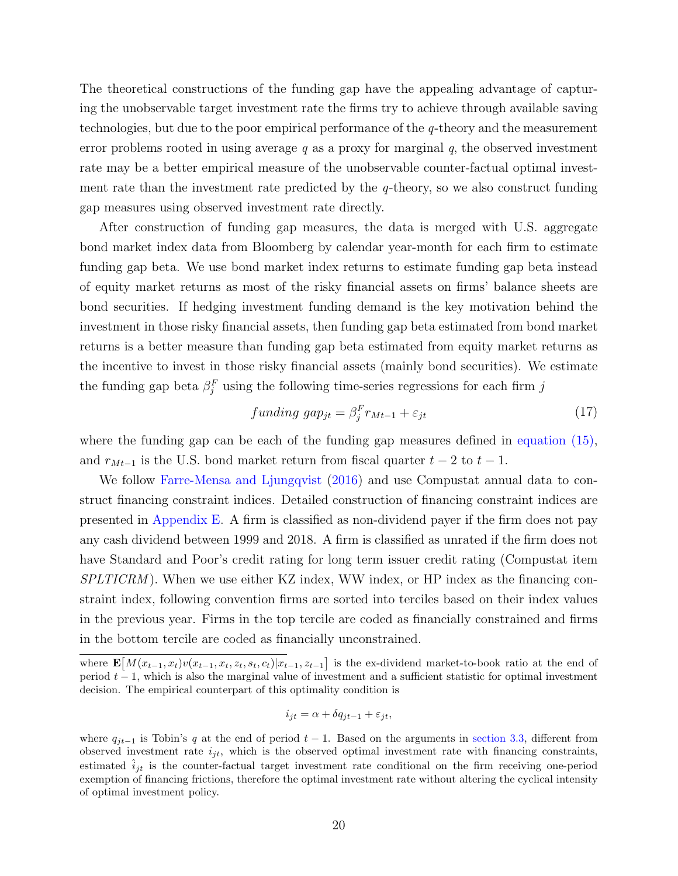The theoretical constructions of the funding gap have the appealing advantage of capturing the unobservable target investment rate the firms try to achieve through available saving technologies, but due to the poor empirical performance of the q-theory and the measurement error problems rooted in using average  $q$  as a proxy for marginal  $q$ , the observed investment rate may be a better empirical measure of the unobservable counter-factual optimal investment rate than the investment rate predicted by the  $q$ -theory, so we also construct funding gap measures using observed investment rate directly.

After construction of funding gap measures, the data is merged with U.S. aggregate bond market index data from Bloomberg by calendar year-month for each firm to estimate funding gap beta. We use bond market index returns to estimate funding gap beta instead of equity market returns as most of the risky financial assets on firms' balance sheets are bond securities. If hedging investment funding demand is the key motivation behind the investment in those risky financial assets, then funding gap beta estimated from bond market returns is a better measure than funding gap beta estimated from equity market returns as the incentive to invest in those risky financial assets (mainly bond securities). We estimate the funding gap beta  $\beta_j^F$  using the following time-series regressions for each firm j

$$
funding\ gap_{jt} = \beta_j^F r_{Mt-1} + \varepsilon_{jt} \tag{17}
$$

where the funding gap can be each of the funding gap measures defined in [equation \(15\),](#page-19-1) and  $r_{Mt-1}$  is the U.S. bond market return from fiscal quarter  $t-2$  to  $t-1$ .

We follow [Farre-Mensa and Ljungqvist](#page-32-2) [\(2016\)](#page-32-2) and use Compustat annual data to construct financing constraint indices. Detailed construction of financing constraint indices are presented in [Appendix E.](#page-61-0) A firm is classified as non-dividend payer if the firm does not pay any cash dividend between 1999 and 2018. A firm is classified as unrated if the firm does not have Standard and Poor's credit rating for long term issuer credit rating (Compustat item  $SPLTICRM$ ). When we use either KZ index, WW index, or HP index as the financing constraint index, following convention firms are sorted into terciles based on their index values in the previous year. Firms in the top tercile are coded as financially constrained and firms in the bottom tercile are coded as financially unconstrained.

$$
i_{jt} = \alpha + \delta q_{jt-1} + \varepsilon_{jt},
$$

where  $\mathbf{E}[M(x_{t-1},x_t)v(x_{t-1},x_t,z_t,s_t,c_t)|x_{t-1},z_{t-1}]$  is the ex-dividend market-to-book ratio at the end of period  $t - 1$ , which is also the marginal value of investment and a sufficient statistic for optimal investment decision. The empirical counterpart of this optimality condition is

where  $q_{jt-1}$  is Tobin's q at the end of period  $t-1$ . Based on the arguments in [section 3.3,](#page-13-0) different from observed investment rate  $i_{it}$ , which is the observed optimal investment rate with financing constraints, estimated  $\hat{i}_{jt}$  is the counter-factual target investment rate conditional on the firm receiving one-period exemption of financing frictions, therefore the optimal investment rate without altering the cyclical intensity of optimal investment policy.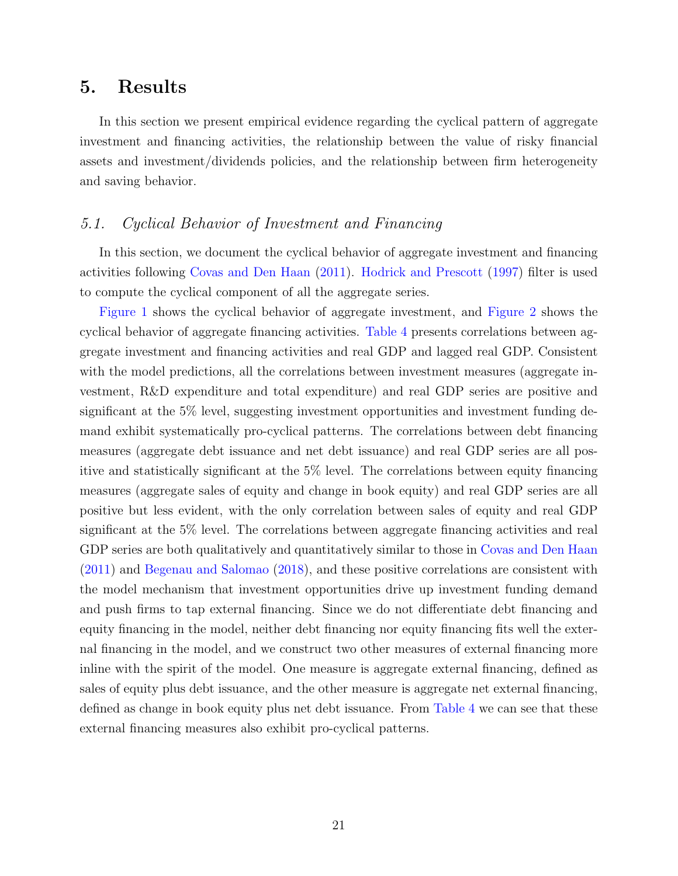### <span id="page-21-0"></span>5. Results

In this section we present empirical evidence regarding the cyclical pattern of aggregate investment and financing activities, the relationship between the value of risky financial assets and investment/dividends policies, and the relationship between firm heterogeneity and saving behavior.

### 5.1. Cyclical Behavior of Investment and Financing

In this section, we document the cyclical behavior of aggregate investment and financing activities following [Covas and Den Haan](#page-31-1) [\(2011\)](#page-31-1). [Hodrick and Prescott](#page-33-10) [\(1997\)](#page-33-10) filter is used to compute the cyclical component of all the aggregate series.

[Figure 1](#page-35-0) shows the cyclical behavior of aggregate investment, and [Figure 2](#page-36-0) shows the cyclical behavior of aggregate financing activities. [Table 4](#page-44-0) presents correlations between aggregate investment and financing activities and real GDP and lagged real GDP. Consistent with the model predictions, all the correlations between investment measures (aggregate investment, R&D expenditure and total expenditure) and real GDP series are positive and significant at the 5% level, suggesting investment opportunities and investment funding demand exhibit systematically pro-cyclical patterns. The correlations between debt financing measures (aggregate debt issuance and net debt issuance) and real GDP series are all positive and statistically significant at the 5% level. The correlations between equity financing measures (aggregate sales of equity and change in book equity) and real GDP series are all positive but less evident, with the only correlation between sales of equity and real GDP significant at the 5% level. The correlations between aggregate financing activities and real GDP series are both qualitatively and quantitatively similar to those in [Covas and Den Haan](#page-31-1) [\(2011\)](#page-31-1) and [Begenau and Salomao](#page-30-0) [\(2018\)](#page-30-0), and these positive correlations are consistent with the model mechanism that investment opportunities drive up investment funding demand and push firms to tap external financing. Since we do not differentiate debt financing and equity financing in the model, neither debt financing nor equity financing fits well the external financing in the model, and we construct two other measures of external financing more inline with the spirit of the model. One measure is aggregate external financing, defined as sales of equity plus debt issuance, and the other measure is aggregate net external financing, defined as change in book equity plus net debt issuance. From [Table 4](#page-44-0) we can see that these external financing measures also exhibit pro-cyclical patterns.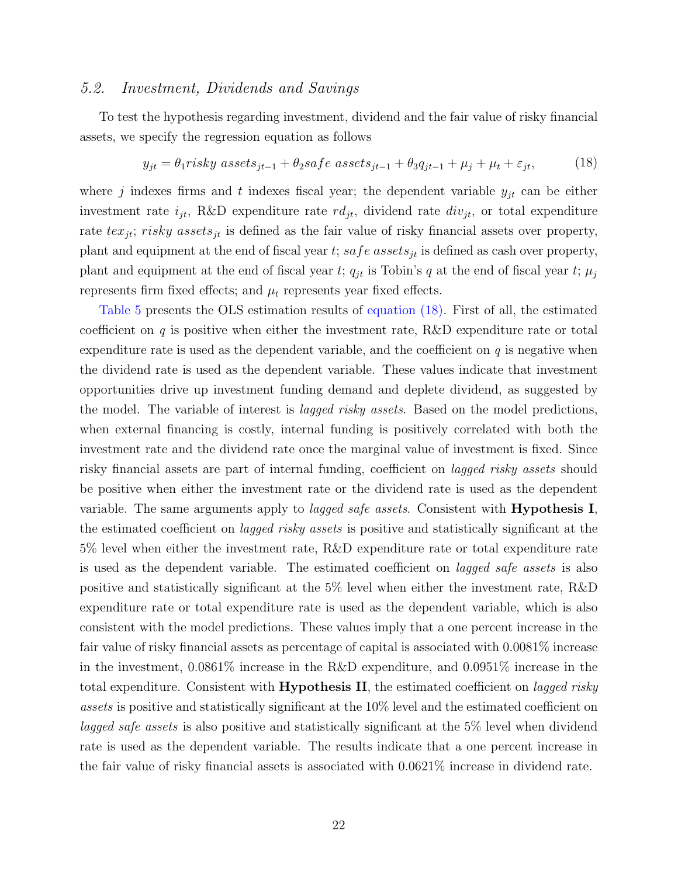#### 5.2. Investment, Dividends and Savings

To test the hypothesis regarding investment, dividend and the fair value of risky financial assets, we specify the regression equation as follows

<span id="page-22-0"></span>
$$
y_{jt} = \theta_1 risky \; assets_{jt-1} + \theta_2 safe \; assets_{jt-1} + \theta_3 q_{jt-1} + \mu_j + \mu_t + \varepsilon_{jt}, \tag{18}
$$

where j indexes firms and t indexes fiscal year; the dependent variable  $y_{jt}$  can be either investment rate  $i_{jt}$ , R&D expenditure rate  $rd_{jt}$ , dividend rate  $div_{jt}$ , or total expenditure rate  $textrm{ }text_{it}$ ; risky assets<sub>it</sub> is defined as the fair value of risky financial assets over property, plant and equipment at the end of fiscal year t; safe assets<sub>it</sub> is defined as cash over property, plant and equipment at the end of fiscal year t;  $q_{jt}$  is Tobin's q at the end of fiscal year t;  $\mu_j$ represents firm fixed effects; and  $\mu_t$  represents year fixed effects.

[Table 5](#page-45-0) presents the OLS estimation results of [equation \(18\).](#page-22-0) First of all, the estimated coefficient on q is positive when either the investment rate,  $R\&D$  expenditure rate or total expenditure rate is used as the dependent variable, and the coefficient on  $q$  is negative when the dividend rate is used as the dependent variable. These values indicate that investment opportunities drive up investment funding demand and deplete dividend, as suggested by the model. The variable of interest is lagged risky assets. Based on the model predictions, when external financing is costly, internal funding is positively correlated with both the investment rate and the dividend rate once the marginal value of investment is fixed. Since risky financial assets are part of internal funding, coefficient on lagged risky assets should be positive when either the investment rate or the dividend rate is used as the dependent variable. The same arguments apply to *lagged safe assets*. Consistent with **Hypothesis I**, the estimated coefficient on lagged risky assets is positive and statistically significant at the 5% level when either the investment rate, R&D expenditure rate or total expenditure rate is used as the dependent variable. The estimated coefficient on lagged safe assets is also positive and statistically significant at the 5% level when either the investment rate, R&D expenditure rate or total expenditure rate is used as the dependent variable, which is also consistent with the model predictions. These values imply that a one percent increase in the fair value of risky financial assets as percentage of capital is associated with 0.0081% increase in the investment, 0.0861% increase in the R&D expenditure, and 0.0951% increase in the total expenditure. Consistent with **Hypothesis II**, the estimated coefficient on *lagged risky* assets is positive and statistically significant at the 10% level and the estimated coefficient on lagged safe assets is also positive and statistically significant at the 5% level when dividend rate is used as the dependent variable. The results indicate that a one percent increase in the fair value of risky financial assets is associated with 0.0621% increase in dividend rate.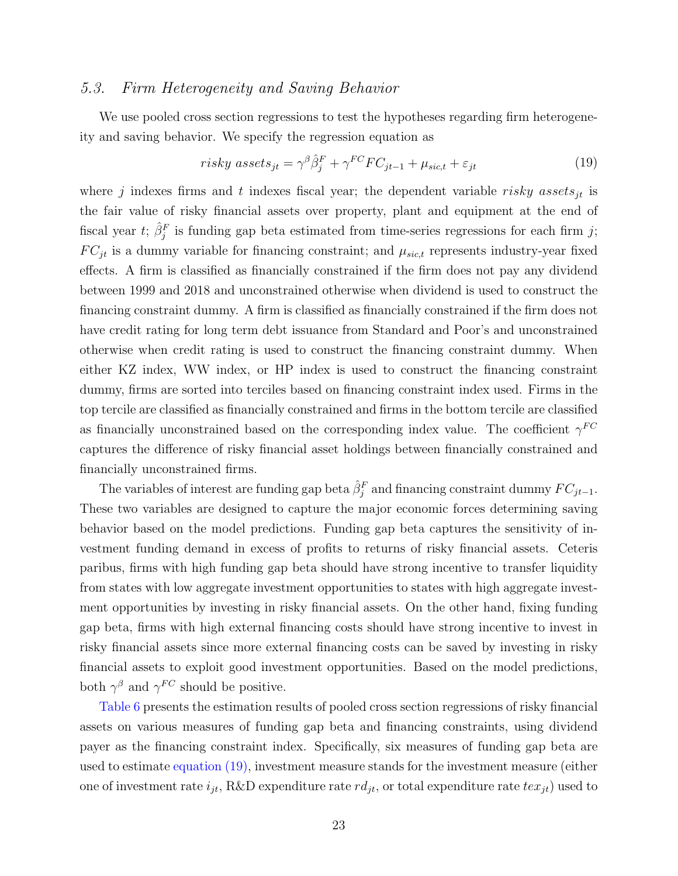#### 5.3. Firm Heterogeneity and Saving Behavior

We use pooled cross section regressions to test the hypotheses regarding firm heterogeneity and saving behavior. We specify the regression equation as

<span id="page-23-0"></span>
$$
risky\ assets_{jt} = \gamma^{\beta} \hat{\beta}_j^F + \gamma^{FC} FC_{jt-1} + \mu_{sic, t} + \varepsilon_{jt}
$$
\n(19)

where j indexes firms and t indexes fiscal year; the dependent variable risky assets<sub>jt</sub> is the fair value of risky financial assets over property, plant and equipment at the end of fiscal year t;  $\hat{\beta}_j^F$  is funding gap beta estimated from time-series regressions for each firm j;  $FC_{jt}$  is a dummy variable for financing constraint; and  $\mu_{sic,t}$  represents industry-year fixed effects. A firm is classified as financially constrained if the firm does not pay any dividend between 1999 and 2018 and unconstrained otherwise when dividend is used to construct the financing constraint dummy. A firm is classified as financially constrained if the firm does not have credit rating for long term debt issuance from Standard and Poor's and unconstrained otherwise when credit rating is used to construct the financing constraint dummy. When either KZ index, WW index, or HP index is used to construct the financing constraint dummy, firms are sorted into terciles based on financing constraint index used. Firms in the top tercile are classified as financially constrained and firms in the bottom tercile are classified as financially unconstrained based on the corresponding index value. The coefficient  $\gamma^{FC}$ captures the difference of risky financial asset holdings between financially constrained and financially unconstrained firms.

The variables of interest are funding gap beta  $\hat{\beta}_j^F$  and financing constraint dummy  $FC_{jt-1}$ . These two variables are designed to capture the major economic forces determining saving behavior based on the model predictions. Funding gap beta captures the sensitivity of investment funding demand in excess of profits to returns of risky financial assets. Ceteris paribus, firms with high funding gap beta should have strong incentive to transfer liquidity from states with low aggregate investment opportunities to states with high aggregate investment opportunities by investing in risky financial assets. On the other hand, fixing funding gap beta, firms with high external financing costs should have strong incentive to invest in risky financial assets since more external financing costs can be saved by investing in risky financial assets to exploit good investment opportunities. Based on the model predictions, both  $\gamma^{\beta}$  and  $\gamma^{FC}$  should be positive.

[Table 6](#page-46-0) presents the estimation results of pooled cross section regressions of risky financial assets on various measures of funding gap beta and financing constraints, using dividend payer as the financing constraint index. Specifically, six measures of funding gap beta are used to estimate [equation \(19\),](#page-23-0) investment measure stands for the investment measure (either one of investment rate  $i_{jt}$ , R&D expenditure rate  $rd_{jt}$ , or total expenditure rate  $tex_{jt}$ ) used to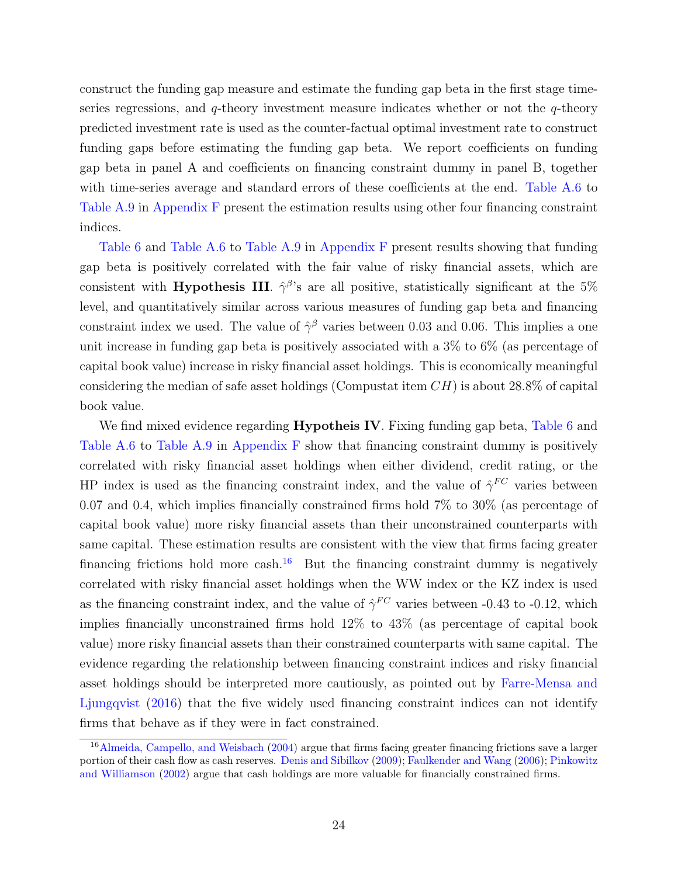construct the funding gap measure and estimate the funding gap beta in the first stage timeseries regressions, and  $q$ -theory investment measure indicates whether or not the  $q$ -theory predicted investment rate is used as the counter-factual optimal investment rate to construct funding gaps before estimating the funding gap beta. We report coefficients on funding gap beta in panel A and coefficients on financing constraint dummy in panel B, together with time-series average and standard errors of these coefficients at the end. [Table A.6](#page-46-0) to [Table A.9](#page-49-0) in [Appendix F](#page-62-0) present the estimation results using other four financing constraint indices.

[Table 6](#page-46-0) and [Table A.6](#page-46-0) to [Table A.9](#page-49-0) in [Appendix F](#page-62-0) present results showing that funding gap beta is positively correlated with the fair value of risky financial assets, which are consistent with Hypothesis III.  $\hat{\gamma}^{\beta}$ 's are all positive, statistically significant at the 5% level, and quantitatively similar across various measures of funding gap beta and financing constraint index we used. The value of  $\hat{\gamma}^{\beta}$  varies between 0.03 and 0.06. This implies a one unit increase in funding gap beta is positively associated with a 3% to 6% (as percentage of capital book value) increase in risky financial asset holdings. This is economically meaningful considering the median of safe asset holdings (Compustat item  $CH$ ) is about 28.8% of capital book value.

We find mixed evidence regarding **Hypotheis IV**. Fixing funding gap beta, [Table 6](#page-46-0) and [Table A.6](#page-46-0) to [Table A.9](#page-49-0) in [Appendix F](#page-62-0) show that financing constraint dummy is positively correlated with risky financial asset holdings when either dividend, credit rating, or the HP index is used as the financing constraint index, and the value of  $\hat{\gamma}^{FC}$  varies between 0.07 and 0.4, which implies financially constrained firms hold 7% to 30% (as percentage of capital book value) more risky financial assets than their unconstrained counterparts with same capital. These estimation results are consistent with the view that firms facing greater financing frictions hold more cash.<sup>[16](#page-24-0)</sup> But the financing constraint dummy is negatively correlated with risky financial asset holdings when the WW index or the KZ index is used as the financing constraint index, and the value of  $\hat{\gamma}^{FC}$  varies between -0.43 to -0.12, which implies financially unconstrained firms hold 12% to 43% (as percentage of capital book value) more risky financial assets than their constrained counterparts with same capital. The evidence regarding the relationship between financing constraint indices and risky financial asset holdings should be interpreted more cautiously, as pointed out by [Farre-Mensa and](#page-32-2) [Ljungqvist](#page-32-2) [\(2016\)](#page-32-2) that the five widely used financing constraint indices can not identify firms that behave as if they were in fact constrained.

<span id="page-24-0"></span><sup>&</sup>lt;sup>16</sup>[Almeida, Campello, and Weisbach](#page-30-7) [\(2004\)](#page-30-7) argue that firms facing greater financing frictions save a larger portion of their cash flow as cash reserves. [Denis and Sibilkov](#page-31-9) [\(2009\)](#page-31-9); [Faulkender and Wang](#page-32-11) [\(2006\)](#page-32-11); [Pinkowitz](#page-34-8) [and Williamson](#page-34-8) [\(2002\)](#page-34-8) argue that cash holdings are more valuable for financially constrained firms.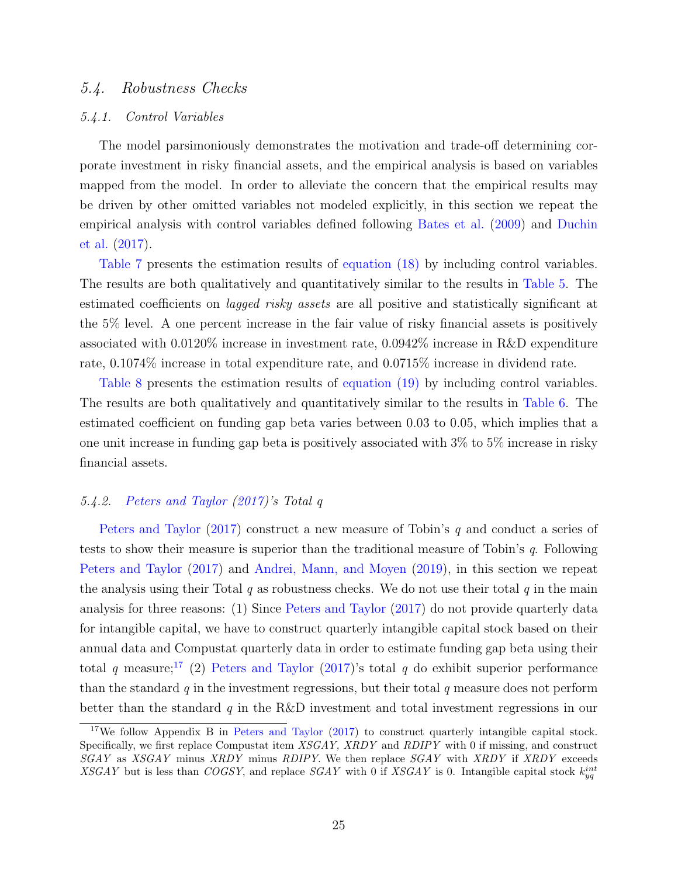#### 5.4. Robustness Checks

#### 5.4.1. Control Variables

The model parsimoniously demonstrates the motivation and trade-off determining corporate investment in risky financial assets, and the empirical analysis is based on variables mapped from the model. In order to alleviate the concern that the empirical results may be driven by other omitted variables not modeled explicitly, in this section we repeat the empirical analysis with control variables defined following [Bates et al.](#page-30-2) [\(2009\)](#page-30-2) and [Duchin](#page-32-0) [et al.](#page-32-0) [\(2017\)](#page-32-0).

[Table 7](#page-47-0) presents the estimation results of [equation \(18\)](#page-22-0) by including control variables. The results are both qualitatively and quantitatively similar to the results in [Table 5.](#page-45-0) The estimated coefficients on *lagged risky assets* are all positive and statistically significant at the 5% level. A one percent increase in the fair value of risky financial assets is positively associated with 0.0120% increase in investment rate, 0.0942% increase in R&D expenditure rate, 0.1074% increase in total expenditure rate, and 0.0715% increase in dividend rate.

[Table 8](#page-48-0) presents the estimation results of [equation \(19\)](#page-23-0) by including control variables. The results are both qualitatively and quantitatively similar to the results in [Table 6.](#page-46-0) The estimated coefficient on funding gap beta varies between 0.03 to 0.05, which implies that a one unit increase in funding gap beta is positively associated with 3% to 5% increase in risky financial assets.

#### 5.4.2. [Peters and Taylor](#page-34-9) [\(2017\)](#page-34-9)'s Total q

[Peters and Taylor](#page-34-9) [\(2017\)](#page-34-9) construct a new measure of Tobin's q and conduct a series of tests to show their measure is superior than the traditional measure of Tobin's q. Following [Peters and Taylor](#page-34-9) [\(2017\)](#page-34-9) and [Andrei, Mann, and Moyen](#page-30-8) [\(2019\)](#page-30-8), in this section we repeat the analysis using their Total q as robustness checks. We do not use their total q in the main analysis for three reasons: (1) Since [Peters and Taylor](#page-34-9) [\(2017\)](#page-34-9) do not provide quarterly data for intangible capital, we have to construct quarterly intangible capital stock based on their annual data and Compustat quarterly data in order to estimate funding gap beta using their total q measure;<sup>[17](#page-25-0)</sup> (2) [Peters and Taylor](#page-34-9) [\(2017\)](#page-34-9)'s total q do exhibit superior performance than the standard  $q$  in the investment regressions, but their total  $q$  measure does not perform better than the standard q in the R&D investment and total investment regressions in our

<span id="page-25-0"></span><sup>&</sup>lt;sup>17</sup>We follow Appendix B in [Peters and Taylor](#page-34-9) [\(2017\)](#page-34-9) to construct quarterly intangible capital stock. Specifically, we first replace Compustat item XSGAY, XRDY and RDIPY with 0 if missing, and construct  $SGAY$  as  $XSGAY$  minus  $XRDY$  minus  $RDIPY$ . We then replace  $SGAY$  with  $XRDY$  if  $XRDY$  exceeds XSGAY but is less than COGSY, and replace SGAY with 0 if XSGAY is 0. Intangible capital stock  $k_{yq}^{int}$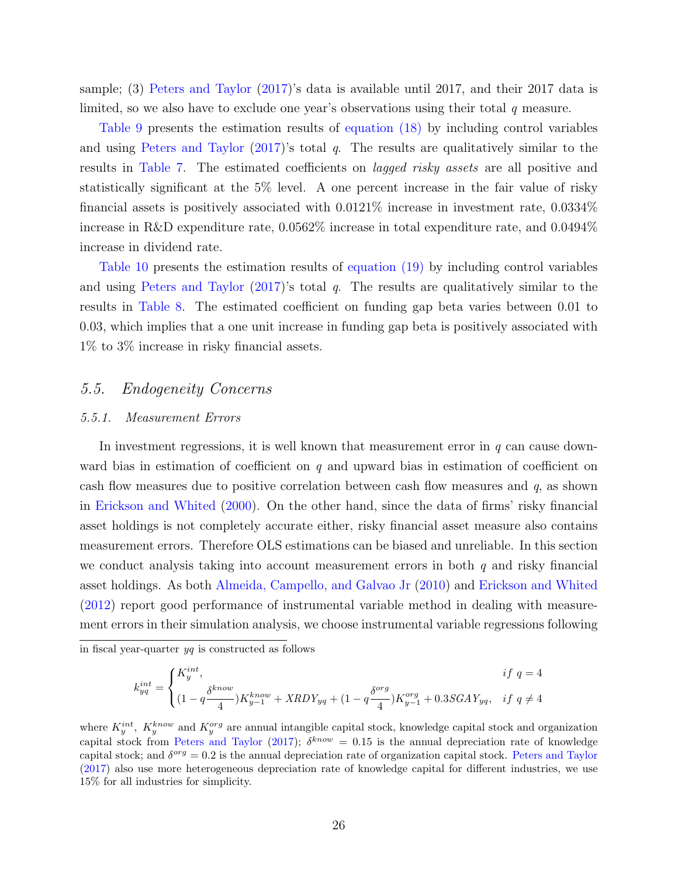sample; (3) [Peters and Taylor](#page-34-9) [\(2017\)](#page-34-9)'s data is available until 2017, and their 2017 data is limited, so we also have to exclude one year's observations using their total  $q$  measure.

[Table 9](#page-49-0) presents the estimation results of [equation \(18\)](#page-22-0) by including control variables and using [Peters and Taylor](#page-34-9)  $(2017)$ 's total q. The results are qualitatively similar to the results in [Table 7.](#page-47-0) The estimated coefficients on lagged risky assets are all positive and statistically significant at the 5% level. A one percent increase in the fair value of risky financial assets is positively associated with 0.0121% increase in investment rate, 0.0334% increase in R&D expenditure rate, 0.0562% increase in total expenditure rate, and 0.0494% increase in dividend rate.

[Table 10](#page-50-0) presents the estimation results of [equation \(19\)](#page-23-0) by including control variables and using [Peters and Taylor](#page-34-9)  $(2017)$ 's total q. The results are qualitatively similar to the results in [Table 8.](#page-48-0) The estimated coefficient on funding gap beta varies between 0.01 to 0.03, which implies that a one unit increase in funding gap beta is positively associated with 1% to 3% increase in risky financial assets.

### 5.5. Endogeneity Concerns

#### 5.5.1. Measurement Errors

In investment regressions, it is well known that measurement error in  $q$  can cause downward bias in estimation of coefficient on  $q$  and upward bias in estimation of coefficient on cash flow measures due to positive correlation between cash flow measures and  $q$ , as shown in [Erickson and Whited](#page-32-12) [\(2000\)](#page-32-12). On the other hand, since the data of firms' risky financial asset holdings is not completely accurate either, risky financial asset measure also contains measurement errors. Therefore OLS estimations can be biased and unreliable. In this section we conduct analysis taking into account measurement errors in both  $q$  and risky financial asset holdings. As both [Almeida, Campello, and Galvao Jr](#page-30-9) [\(2010\)](#page-30-9) and [Erickson and Whited](#page-32-9) [\(2012\)](#page-32-9) report good performance of instrumental variable method in dealing with measurement errors in their simulation analysis, we choose instrumental variable regressions following

$$
k_{yq}^{int} = \begin{cases} K_{y}^{int}, & if \ q = 4 \\ (1 - q\frac{\delta^{know}}{4})K_{y-1}^{know} + XRDY_{yq} + (1 - q\frac{\delta^{org}}{4})K_{y-1}^{org} + 0.3SGAY_{yq}, & if \ q \neq 4 \end{cases}
$$

in fiscal year-quarter  $yq$  is constructed as follows

where  $K_y^{int}$ ,  $K_y^{know}$  and  $K_y^{org}$  are annual intangible capital stock, knowledge capital stock and organization capital stock from [Peters and Taylor](#page-34-9) [\(2017\)](#page-34-9);  $\delta^{know} = 0.15$  is the annual depreciation rate of knowledge capital stock; and  $\delta^{org} = 0.2$  is the annual depreciation rate of organization capital stock. [Peters and Taylor](#page-34-9) [\(2017\)](#page-34-9) also use more heterogeneous depreciation rate of knowledge capital for different industries, we use 15% for all industries for simplicity.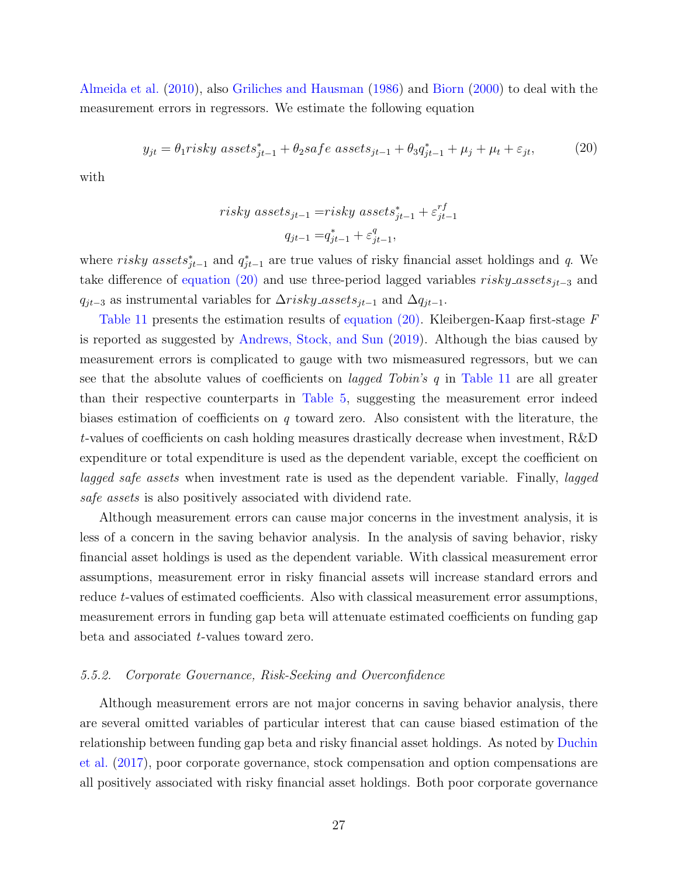[Almeida et al.](#page-30-9) [\(2010\)](#page-30-9), also [Griliches and Hausman](#page-33-11) [\(1986\)](#page-33-11) and [Biorn](#page-31-10) [\(2000\)](#page-31-10) to deal with the measurement errors in regressors. We estimate the following equation

<span id="page-27-0"></span>
$$
y_{jt} = \theta_1 risky\;assets_{jt-1}^* + \theta_2 safe\;assets_{jt-1} + \theta_3 q_{jt-1}^* + \mu_j + \mu_t + \varepsilon_{jt},\tag{20}
$$

with

$$
risky\ assets_{jt-1} = risky\ assets_{jt-1}^* + \varepsilon_{jt-1}^{rf}
$$

$$
q_{jt-1} = q_{jt-1}^* + \varepsilon_{jt-1}^q,
$$

where risky assets<sub>j<sup>†-1</sup></sub> and  $q_{jt-1}^*$  are true values of risky financial asset holdings and q. We take difference of [equation \(20\)](#page-27-0) and use three-period lagged variables  $risky\_assets_{jt-3}$  and  $q_{jt-3}$  as instrumental variables for  $\Delta risky\_assets_{jt-1}$  and  $\Delta q_{jt-1}.$ 

[Table 11](#page-51-0) presents the estimation results of [equation \(20\).](#page-27-0) Kleibergen-Kaap first-stage  $F$ is reported as suggested by [Andrews, Stock, and Sun](#page-30-10) [\(2019\)](#page-30-10). Although the bias caused by measurement errors is complicated to gauge with two mismeasured regressors, but we can see that the absolute values of coefficients on *lagged Tobin's*  $q$  in [Table 11](#page-51-0) are all greater than their respective counterparts in [Table 5,](#page-45-0) suggesting the measurement error indeed biases estimation of coefficients on  $q$  toward zero. Also consistent with the literature, the t-values of coefficients on cash holding measures drastically decrease when investment, R&D expenditure or total expenditure is used as the dependent variable, except the coefficient on lagged safe assets when investment rate is used as the dependent variable. Finally, lagged safe assets is also positively associated with dividend rate.

Although measurement errors can cause major concerns in the investment analysis, it is less of a concern in the saving behavior analysis. In the analysis of saving behavior, risky financial asset holdings is used as the dependent variable. With classical measurement error assumptions, measurement error in risky financial assets will increase standard errors and reduce t-values of estimated coefficients. Also with classical measurement error assumptions, measurement errors in funding gap beta will attenuate estimated coefficients on funding gap beta and associated t-values toward zero.

#### 5.5.2. Corporate Governance, Risk-Seeking and Overconfidence

Although measurement errors are not major concerns in saving behavior analysis, there are several omitted variables of particular interest that can cause biased estimation of the relationship between funding gap beta and risky financial asset holdings. As noted by [Duchin](#page-32-0) [et al.](#page-32-0) [\(2017\)](#page-32-0), poor corporate governance, stock compensation and option compensations are all positively associated with risky financial asset holdings. Both poor corporate governance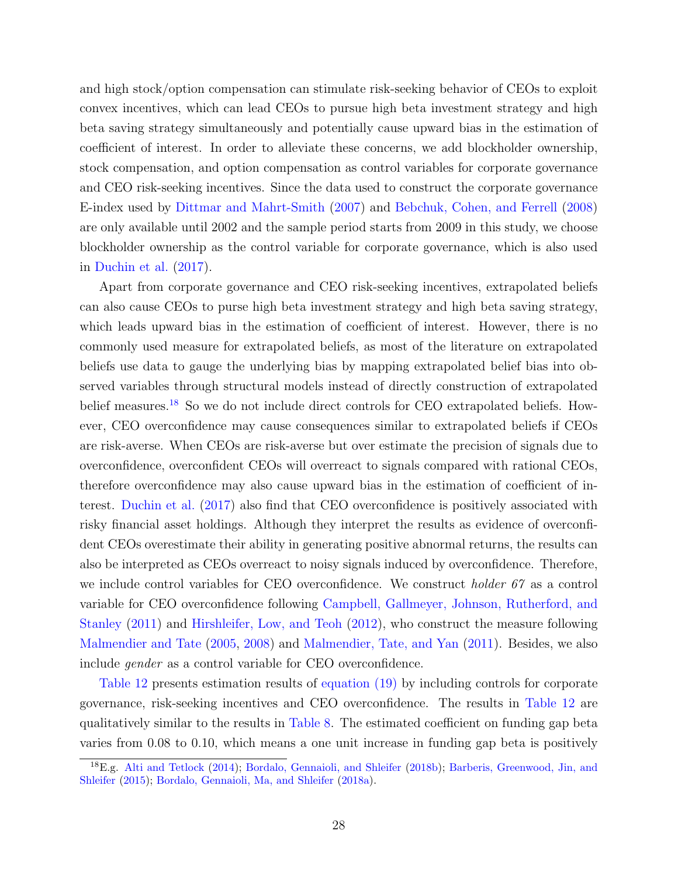and high stock/option compensation can stimulate risk-seeking behavior of CEOs to exploit convex incentives, which can lead CEOs to pursue high beta investment strategy and high beta saving strategy simultaneously and potentially cause upward bias in the estimation of coefficient of interest. In order to alleviate these concerns, we add blockholder ownership, stock compensation, and option compensation as control variables for corporate governance and CEO risk-seeking incentives. Since the data used to construct the corporate governance E-index used by [Dittmar and Mahrt-Smith](#page-32-13) [\(2007\)](#page-32-13) and [Bebchuk, Cohen, and Ferrell](#page-30-11) [\(2008\)](#page-30-11) are only available until 2002 and the sample period starts from 2009 in this study, we choose blockholder ownership as the control variable for corporate governance, which is also used in [Duchin et al.](#page-32-0) [\(2017\)](#page-32-0).

Apart from corporate governance and CEO risk-seeking incentives, extrapolated beliefs can also cause CEOs to purse high beta investment strategy and high beta saving strategy, which leads upward bias in the estimation of coefficient of interest. However, there is no commonly used measure for extrapolated beliefs, as most of the literature on extrapolated beliefs use data to gauge the underlying bias by mapping extrapolated belief bias into observed variables through structural models instead of directly construction of extrapolated belief measures.<sup>[18](#page-28-0)</sup> So we do not include direct controls for CEO extrapolated beliefs. However, CEO overconfidence may cause consequences similar to extrapolated beliefs if CEOs are risk-averse. When CEOs are risk-averse but over estimate the precision of signals due to overconfidence, overconfident CEOs will overreact to signals compared with rational CEOs, therefore overconfidence may also cause upward bias in the estimation of coefficient of interest. [Duchin et al.](#page-32-0) [\(2017\)](#page-32-0) also find that CEO overconfidence is positively associated with risky financial asset holdings. Although they interpret the results as evidence of overconfident CEOs overestimate their ability in generating positive abnormal returns, the results can also be interpreted as CEOs overreact to noisy signals induced by overconfidence. Therefore, we include control variables for CEO overconfidence. We construct holder 67 as a control variable for CEO overconfidence following [Campbell, Gallmeyer, Johnson, Rutherford, and](#page-31-11) [Stanley](#page-31-11) [\(2011\)](#page-31-11) and [Hirshleifer, Low, and Teoh](#page-33-12) [\(2012\)](#page-33-12), who construct the measure following [Malmendier and Tate](#page-33-13) [\(2005,](#page-33-13) [2008\)](#page-33-14) and [Malmendier, Tate, and Yan](#page-34-10) [\(2011\)](#page-34-10). Besides, we also include gender as a control variable for CEO overconfidence.

[Table 12](#page-52-0) presents estimation results of [equation \(19\)](#page-23-0) by including controls for corporate governance, risk-seeking incentives and CEO overconfidence. The results in [Table 12](#page-52-0) are qualitatively similar to the results in [Table 8.](#page-48-0) The estimated coefficient on funding gap beta varies from 0.08 to 0.10, which means a one unit increase in funding gap beta is positively

<span id="page-28-0"></span><sup>18</sup>E.g. [Alti and Tetlock](#page-30-12) [\(2014\)](#page-30-12); [Bordalo, Gennaioli, and Shleifer](#page-31-12) [\(2018b\)](#page-31-12); [Barberis, Greenwood, Jin, and](#page-30-13) [Shleifer](#page-30-13) [\(2015\)](#page-30-13); [Bordalo, Gennaioli, Ma, and Shleifer](#page-31-13) [\(2018a\)](#page-31-13).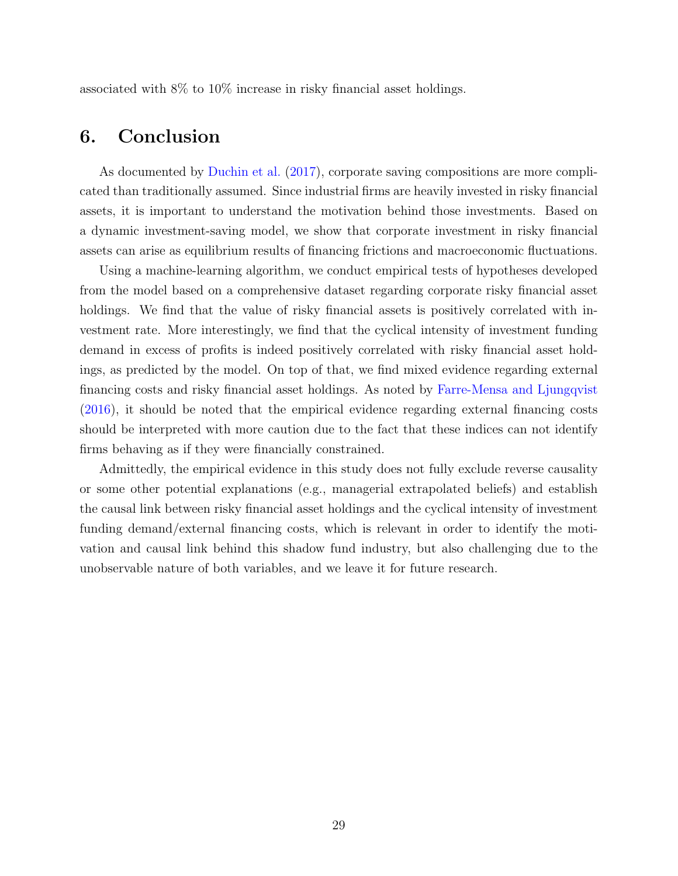associated with 8% to 10% increase in risky financial asset holdings.

## <span id="page-29-0"></span>6. Conclusion

As documented by [Duchin et al.](#page-32-0) [\(2017\)](#page-32-0), corporate saving compositions are more complicated than traditionally assumed. Since industrial firms are heavily invested in risky financial assets, it is important to understand the motivation behind those investments. Based on a dynamic investment-saving model, we show that corporate investment in risky financial assets can arise as equilibrium results of financing frictions and macroeconomic fluctuations.

Using a machine-learning algorithm, we conduct empirical tests of hypotheses developed from the model based on a comprehensive dataset regarding corporate risky financial asset holdings. We find that the value of risky financial assets is positively correlated with investment rate. More interestingly, we find that the cyclical intensity of investment funding demand in excess of profits is indeed positively correlated with risky financial asset holdings, as predicted by the model. On top of that, we find mixed evidence regarding external financing costs and risky financial asset holdings. As noted by [Farre-Mensa and Ljungqvist](#page-32-2) [\(2016\)](#page-32-2), it should be noted that the empirical evidence regarding external financing costs should be interpreted with more caution due to the fact that these indices can not identify firms behaving as if they were financially constrained.

Admittedly, the empirical evidence in this study does not fully exclude reverse causality or some other potential explanations (e.g., managerial extrapolated beliefs) and establish the causal link between risky financial asset holdings and the cyclical intensity of investment funding demand/external financing costs, which is relevant in order to identify the motivation and causal link behind this shadow fund industry, but also challenging due to the unobservable nature of both variables, and we leave it for future research.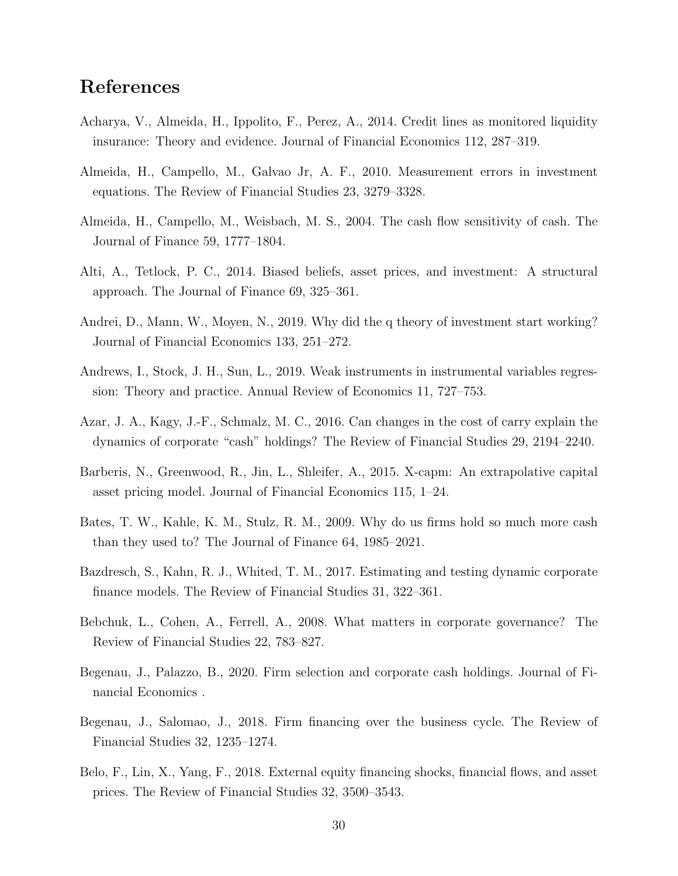## References

- <span id="page-30-1"></span>Acharya, V., Almeida, H., Ippolito, F., Perez, A., 2014. Credit lines as monitored liquidity insurance: Theory and evidence. Journal of Financial Economics 112, 287–319.
- <span id="page-30-9"></span>Almeida, H., Campello, M., Galvao Jr, A. F., 2010. Measurement errors in investment equations. The Review of Financial Studies 23, 3279–3328.
- <span id="page-30-7"></span>Almeida, H., Campello, M., Weisbach, M. S., 2004. The cash flow sensitivity of cash. The Journal of Finance 59, 1777–1804.
- <span id="page-30-12"></span>Alti, A., Tetlock, P. C., 2014. Biased beliefs, asset prices, and investment: A structural approach. The Journal of Finance 69, 325–361.
- <span id="page-30-8"></span>Andrei, D., Mann, W., Moyen, N., 2019. Why did the q theory of investment start working? Journal of Financial Economics 133, 251–272.
- <span id="page-30-10"></span>Andrews, I., Stock, J. H., Sun, L., 2019. Weak instruments in instrumental variables regression: Theory and practice. Annual Review of Economics 11, 727–753.
- <span id="page-30-4"></span>Azar, J. A., Kagy, J.-F., Schmalz, M. C., 2016. Can changes in the cost of carry explain the dynamics of corporate "cash" holdings? The Review of Financial Studies 29, 2194–2240.
- <span id="page-30-13"></span>Barberis, N., Greenwood, R., Jin, L., Shleifer, A., 2015. X-capm: An extrapolative capital asset pricing model. Journal of Financial Economics 115, 1–24.
- <span id="page-30-2"></span>Bates, T. W., Kahle, K. M., Stulz, R. M., 2009. Why do us firms hold so much more cash than they used to? The Journal of Finance 64, 1985–2021.
- <span id="page-30-5"></span>Bazdresch, S., Kahn, R. J., Whited, T. M., 2017. Estimating and testing dynamic corporate finance models. The Review of Financial Studies 31, 322–361.
- <span id="page-30-11"></span>Bebchuk, L., Cohen, A., Ferrell, A., 2008. What matters in corporate governance? The Review of Financial Studies 22, 783–827.
- <span id="page-30-3"></span>Begenau, J., Palazzo, B., 2020. Firm selection and corporate cash holdings. Journal of Financial Economics .
- <span id="page-30-0"></span>Begenau, J., Salomao, J., 2018. Firm financing over the business cycle. The Review of Financial Studies 32, 1235–1274.
- <span id="page-30-6"></span>Belo, F., Lin, X., Yang, F., 2018. External equity financing shocks, financial flows, and asset prices. The Review of Financial Studies 32, 3500–3543.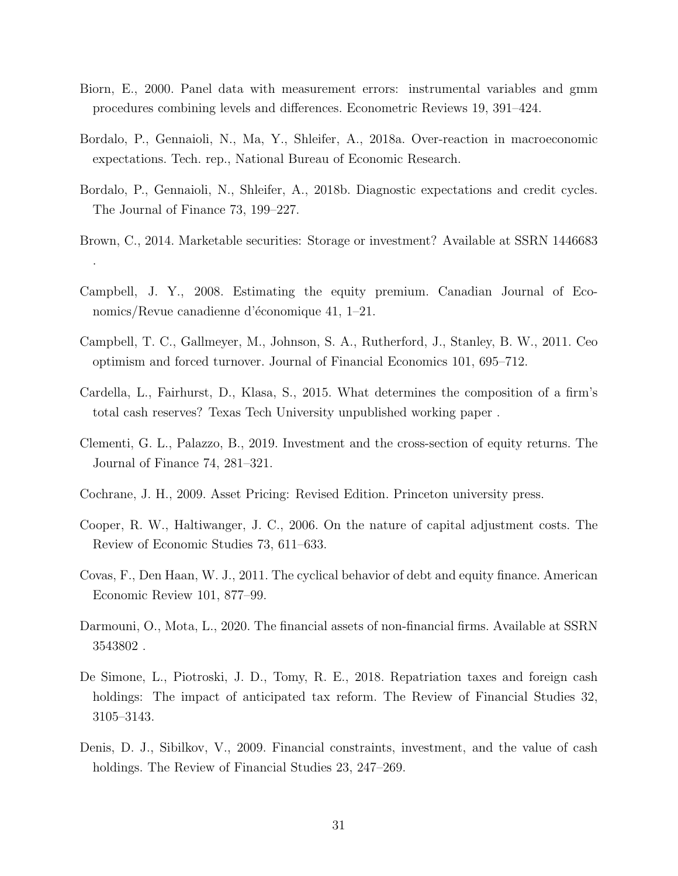- <span id="page-31-10"></span>Biorn, E., 2000. Panel data with measurement errors: instrumental variables and gmm procedures combining levels and differences. Econometric Reviews 19, 391–424.
- <span id="page-31-13"></span>Bordalo, P., Gennaioli, N., Ma, Y., Shleifer, A., 2018a. Over-reaction in macroeconomic expectations. Tech. rep., National Bureau of Economic Research.
- <span id="page-31-12"></span>Bordalo, P., Gennaioli, N., Shleifer, A., 2018b. Diagnostic expectations and credit cycles. The Journal of Finance 73, 199–227.
- <span id="page-31-2"></span>Brown, C., 2014. Marketable securities: Storage or investment? Available at SSRN 1446683 .
- <span id="page-31-8"></span>Campbell, J. Y., 2008. Estimating the equity premium. Canadian Journal of Economics/Revue canadienne d'économique 41,  $1-21$ .
- <span id="page-31-11"></span>Campbell, T. C., Gallmeyer, M., Johnson, S. A., Rutherford, J., Stanley, B. W., 2011. Ceo optimism and forced turnover. Journal of Financial Economics 101, 695–712.
- <span id="page-31-3"></span>Cardella, L., Fairhurst, D., Klasa, S., 2015. What determines the composition of a firm's total cash reserves? Texas Tech University unpublished working paper .
- <span id="page-31-5"></span>Clementi, G. L., Palazzo, B., 2019. Investment and the cross-section of equity returns. The Journal of Finance 74, 281–321.
- <span id="page-31-7"></span>Cochrane, J. H., 2009. Asset Pricing: Revised Edition. Princeton university press.
- <span id="page-31-6"></span>Cooper, R. W., Haltiwanger, J. C., 2006. On the nature of capital adjustment costs. The Review of Economic Studies 73, 611–633.
- <span id="page-31-1"></span>Covas, F., Den Haan, W. J., 2011. The cyclical behavior of debt and equity finance. American Economic Review 101, 877–99.
- <span id="page-31-4"></span>Darmouni, O., Mota, L., 2020. The financial assets of non-financial firms. Available at SSRN 3543802 .
- <span id="page-31-0"></span>De Simone, L., Piotroski, J. D., Tomy, R. E., 2018. Repatriation taxes and foreign cash holdings: The impact of anticipated tax reform. The Review of Financial Studies 32, 3105–3143.
- <span id="page-31-9"></span>Denis, D. J., Sibilkov, V., 2009. Financial constraints, investment, and the value of cash holdings. The Review of Financial Studies 23, 247–269.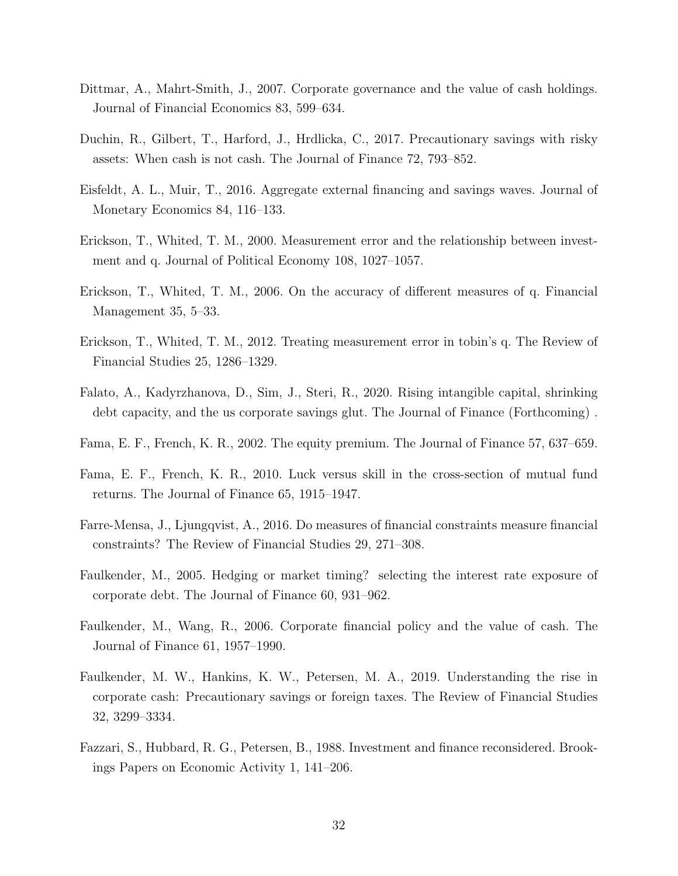- <span id="page-32-13"></span>Dittmar, A., Mahrt-Smith, J., 2007. Corporate governance and the value of cash holdings. Journal of Financial Economics 83, 599–634.
- <span id="page-32-0"></span>Duchin, R., Gilbert, T., Harford, J., Hrdlicka, C., 2017. Precautionary savings with risky assets: When cash is not cash. The Journal of Finance 72, 793–852.
- <span id="page-32-6"></span>Eisfeldt, A. L., Muir, T., 2016. Aggregate external financing and savings waves. Journal of Monetary Economics 84, 116–133.
- <span id="page-32-12"></span>Erickson, T., Whited, T. M., 2000. Measurement error and the relationship between investment and q. Journal of Political Economy 108, 1027–1057.
- <span id="page-32-10"></span>Erickson, T., Whited, T. M., 2006. On the accuracy of different measures of q. Financial Management 35, 5–33.
- <span id="page-32-9"></span>Erickson, T., Whited, T. M., 2012. Treating measurement error in tobin's q. The Review of Financial Studies 25, 1286–1329.
- <span id="page-32-3"></span>Falato, A., Kadyrzhanova, D., Sim, J., Steri, R., 2020. Rising intangible capital, shrinking debt capacity, and the us corporate savings glut. The Journal of Finance (Forthcoming) .
- <span id="page-32-7"></span>Fama, E. F., French, K. R., 2002. The equity premium. The Journal of Finance 57, 637–659.
- <span id="page-32-1"></span>Fama, E. F., French, K. R., 2010. Luck versus skill in the cross-section of mutual fund returns. The Journal of Finance 65, 1915–1947.
- <span id="page-32-2"></span>Farre-Mensa, J., Ljungqvist, A., 2016. Do measures of financial constraints measure financial constraints? The Review of Financial Studies 29, 271–308.
- <span id="page-32-5"></span>Faulkender, M., 2005. Hedging or market timing? selecting the interest rate exposure of corporate debt. The Journal of Finance 60, 931–962.
- <span id="page-32-11"></span>Faulkender, M., Wang, R., 2006. Corporate financial policy and the value of cash. The Journal of Finance 61, 1957–1990.
- <span id="page-32-4"></span>Faulkender, M. W., Hankins, K. W., Petersen, M. A., 2019. Understanding the rise in corporate cash: Precautionary savings or foreign taxes. The Review of Financial Studies 32, 3299–3334.
- <span id="page-32-8"></span>Fazzari, S., Hubbard, R. G., Petersen, B., 1988. Investment and finance reconsidered. Brookings Papers on Economic Activity 1, 141–206.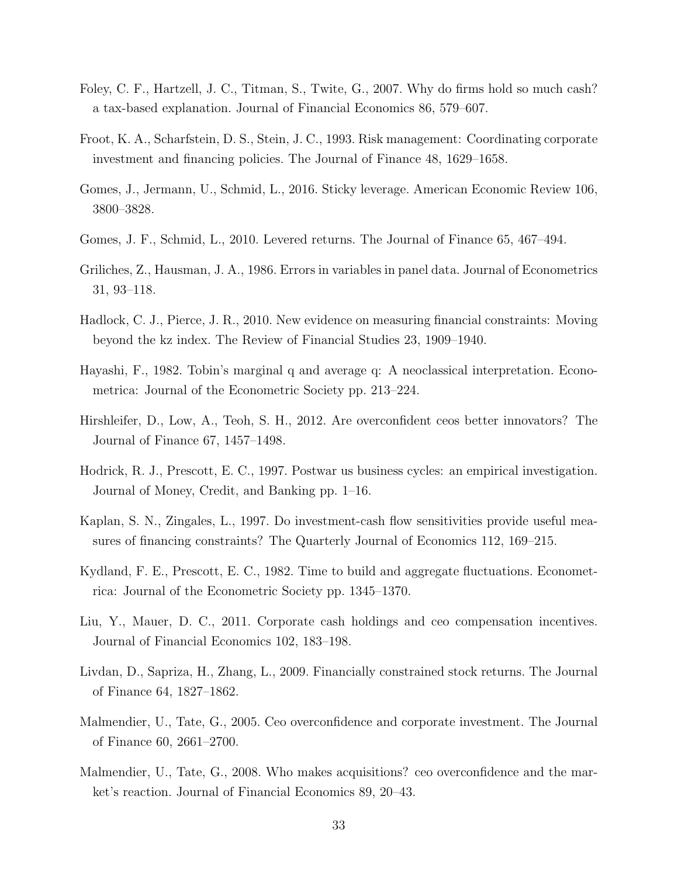- <span id="page-33-0"></span>Foley, C. F., Hartzell, J. C., Titman, S., Twite, G., 2007. Why do firms hold so much cash? a tax-based explanation. Journal of Financial Economics 86, 579–607.
- <span id="page-33-4"></span>Froot, K. A., Scharfstein, D. S., Stein, J. C., 1993. Risk management: Coordinating corporate investment and financing policies. The Journal of Finance 48, 1629–1658.
- <span id="page-33-5"></span>Gomes, J., Jermann, U., Schmid, L., 2016. Sticky leverage. American Economic Review 106, 3800–3828.
- <span id="page-33-6"></span>Gomes, J. F., Schmid, L., 2010. Levered returns. The Journal of Finance 65, 467–494.
- <span id="page-33-11"></span>Griliches, Z., Hausman, J. A., 1986. Errors in variables in panel data. Journal of Econometrics 31, 93–118.
- <span id="page-33-1"></span>Hadlock, C. J., Pierce, J. R., 2010. New evidence on measuring financial constraints: Moving beyond the kz index. The Review of Financial Studies 23, 1909–1940.
- <span id="page-33-9"></span>Hayashi, F., 1982. Tobin's marginal q and average q: A neoclassical interpretation. Econometrica: Journal of the Econometric Society pp. 213–224.
- <span id="page-33-12"></span>Hirshleifer, D., Low, A., Teoh, S. H., 2012. Are overconfident ceos better innovators? The Journal of Finance 67, 1457–1498.
- <span id="page-33-10"></span>Hodrick, R. J., Prescott, E. C., 1997. Postwar us business cycles: an empirical investigation. Journal of Money, Credit, and Banking pp. 1–16.
- <span id="page-33-2"></span>Kaplan, S. N., Zingales, L., 1997. Do investment-cash flow sensitivities provide useful measures of financing constraints? The Quarterly Journal of Economics 112, 169–215.
- <span id="page-33-8"></span>Kydland, F. E., Prescott, E. C., 1982. Time to build and aggregate fluctuations. Econometrica: Journal of the Econometric Society pp. 1345–1370.
- <span id="page-33-3"></span>Liu, Y., Mauer, D. C., 2011. Corporate cash holdings and ceo compensation incentives. Journal of Financial Economics 102, 183–198.
- <span id="page-33-7"></span>Livdan, D., Sapriza, H., Zhang, L., 2009. Financially constrained stock returns. The Journal of Finance 64, 1827–1862.
- <span id="page-33-13"></span>Malmendier, U., Tate, G., 2005. Ceo overconfidence and corporate investment. The Journal of Finance 60, 2661–2700.
- <span id="page-33-14"></span>Malmendier, U., Tate, G., 2008. Who makes acquisitions? ceo overconfidence and the market's reaction. Journal of Financial Economics 89, 20–43.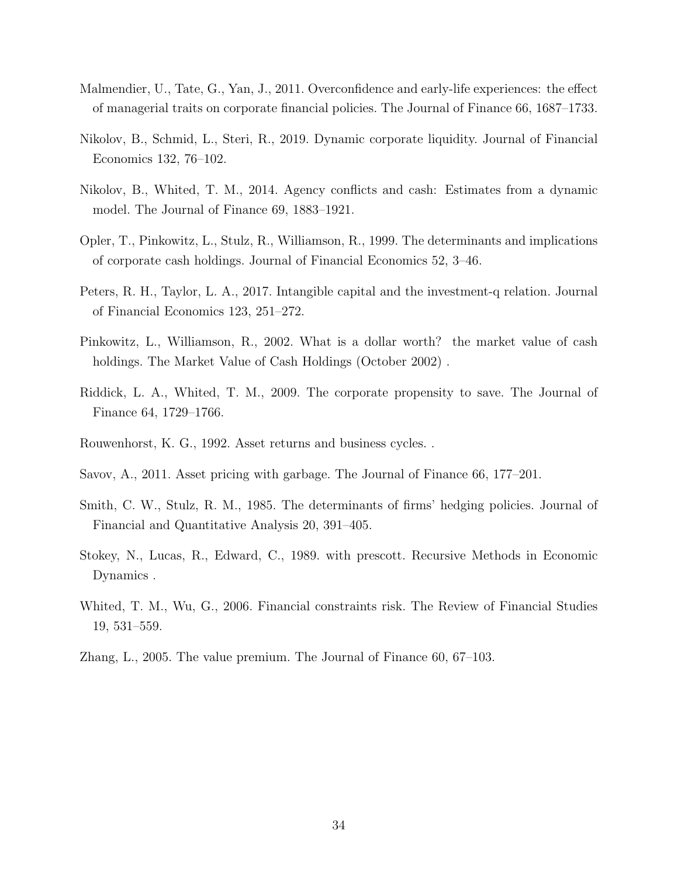- <span id="page-34-10"></span>Malmendier, U., Tate, G., Yan, J., 2011. Overconfidence and early-life experiences: the effect of managerial traits on corporate financial policies. The Journal of Finance 66, 1687–1733.
- <span id="page-34-3"></span>Nikolov, B., Schmid, L., Steri, R., 2019. Dynamic corporate liquidity. Journal of Financial Economics 132, 76–102.
- <span id="page-34-7"></span>Nikolov, B., Whited, T. M., 2014. Agency conflicts and cash: Estimates from a dynamic model. The Journal of Finance 69, 1883–1921.
- <span id="page-34-0"></span>Opler, T., Pinkowitz, L., Stulz, R., Williamson, R., 1999. The determinants and implications of corporate cash holdings. Journal of Financial Economics 52, 3–46.
- <span id="page-34-9"></span>Peters, R. H., Taylor, L. A., 2017. Intangible capital and the investment-q relation. Journal of Financial Economics 123, 251–272.
- <span id="page-34-8"></span>Pinkowitz, L., Williamson, R., 2002. What is a dollar worth? the market value of cash holdings. The Market Value of Cash Holdings (October 2002).
- <span id="page-34-1"></span>Riddick, L. A., Whited, T. M., 2009. The corporate propensity to save. The Journal of Finance 64, 1729–1766.
- <span id="page-34-12"></span>Rouwenhorst, K. G., 1992. Asset returns and business cycles. .
- <span id="page-34-6"></span>Savov, A., 2011. Asset pricing with garbage. The Journal of Finance 66, 177–201.
- <span id="page-34-4"></span>Smith, C. W., Stulz, R. M., 1985. The determinants of firms' hedging policies. Journal of Financial and Quantitative Analysis 20, 391–405.
- <span id="page-34-11"></span>Stokey, N., Lucas, R., Edward, C., 1989. with prescott. Recursive Methods in Economic Dynamics .
- <span id="page-34-2"></span>Whited, T. M., Wu, G., 2006. Financial constraints risk. The Review of Financial Studies 19, 531–559.
- <span id="page-34-5"></span>Zhang, L., 2005. The value premium. The Journal of Finance 60, 67–103.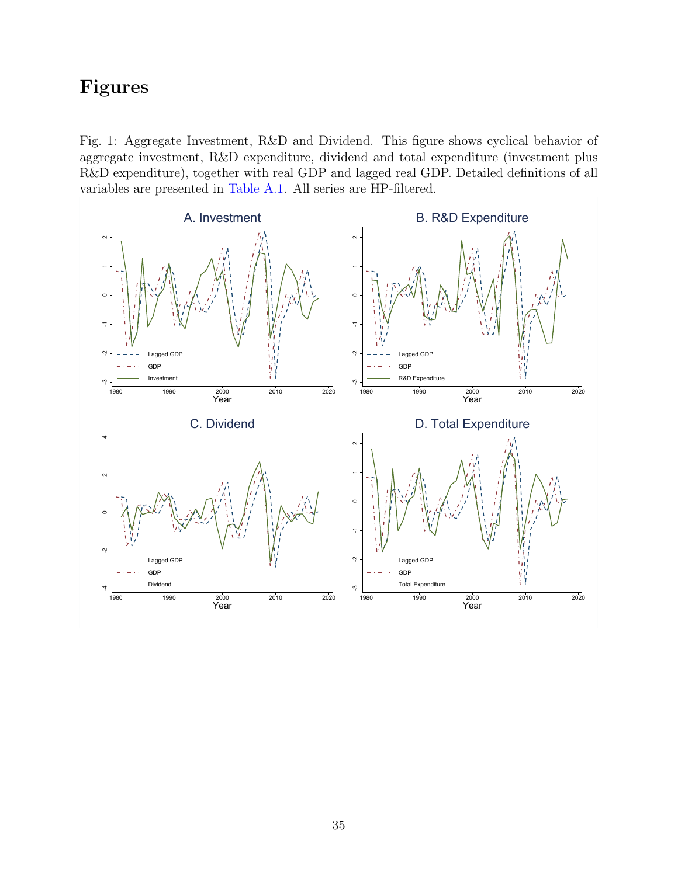# Figures

<span id="page-35-0"></span>Fig. 1: Aggregate Investment, R&D and Dividend. This figure shows cyclical behavior of aggregate investment, R&D expenditure, dividend and total expenditure (investment plus R&D expenditure), together with real GDP and lagged real GDP. Detailed definitions of all variables are presented in [Table A.1.](#page-41-0) All series are HP-filtered.

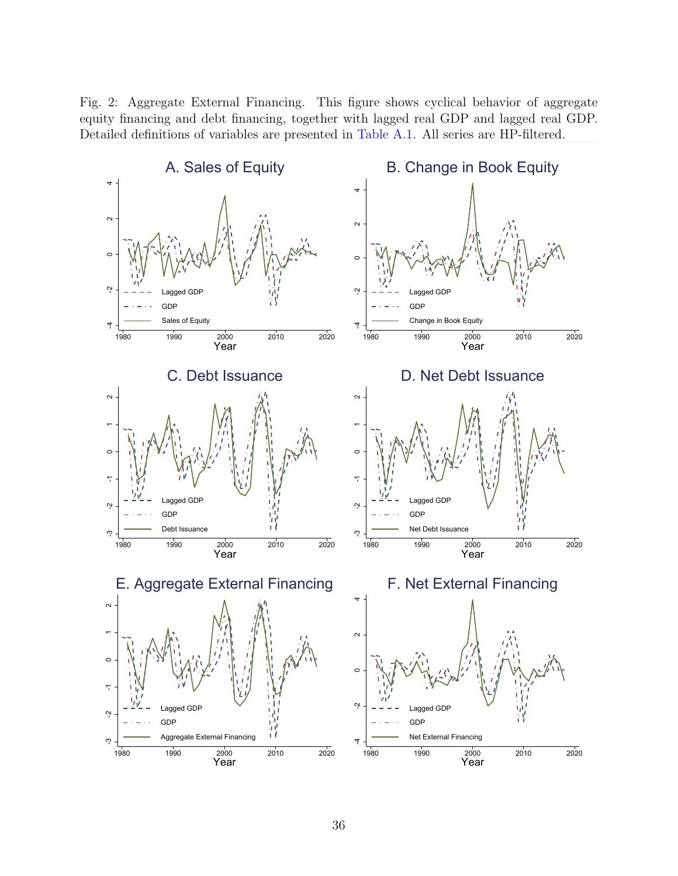<span id="page-36-0"></span>Fig. 2: Aggregate External Financing. This figure shows cyclical behavior of aggregate equity financing and debt financing, together with lagged real GDP and lagged real GDP. Detailed definitions of variables are presented in [Table A.1.](#page-41-0) All series are HP-filtered.

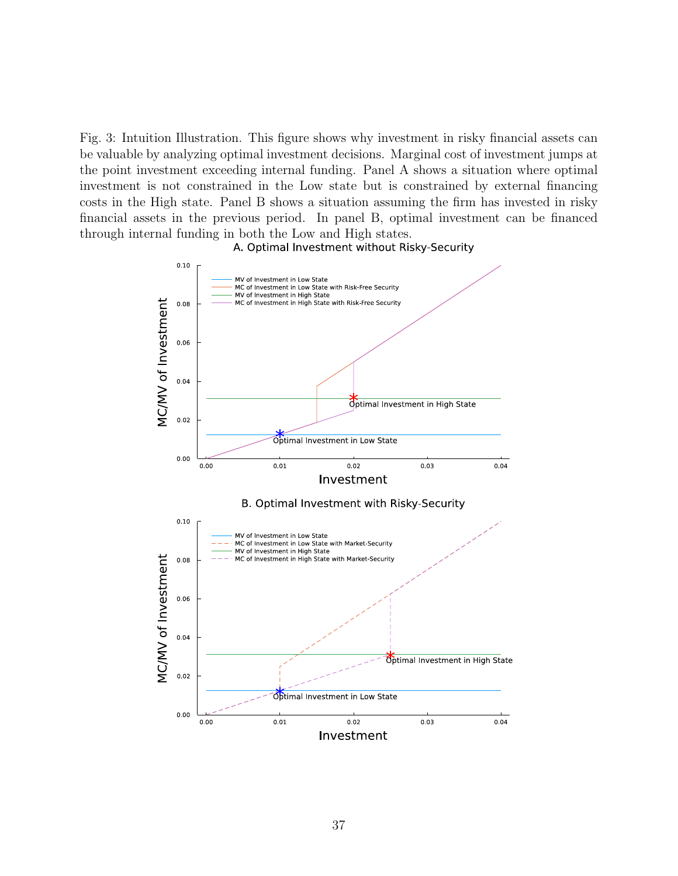<span id="page-37-0"></span>Fig. 3: Intuition Illustration. This figure shows why investment in risky financial assets can be valuable by analyzing optimal investment decisions. Marginal cost of investment jumps at the point investment exceeding internal funding. Panel A shows a situation where optimal investment is not constrained in the Low state but is constrained by external financing costs in the High state. Panel B shows a situation assuming the firm has invested in risky financial assets in the previous period. In panel B, optimal investment can be financed through internal funding in both the Low and High states.



A. Optimal Investment without Risky-Security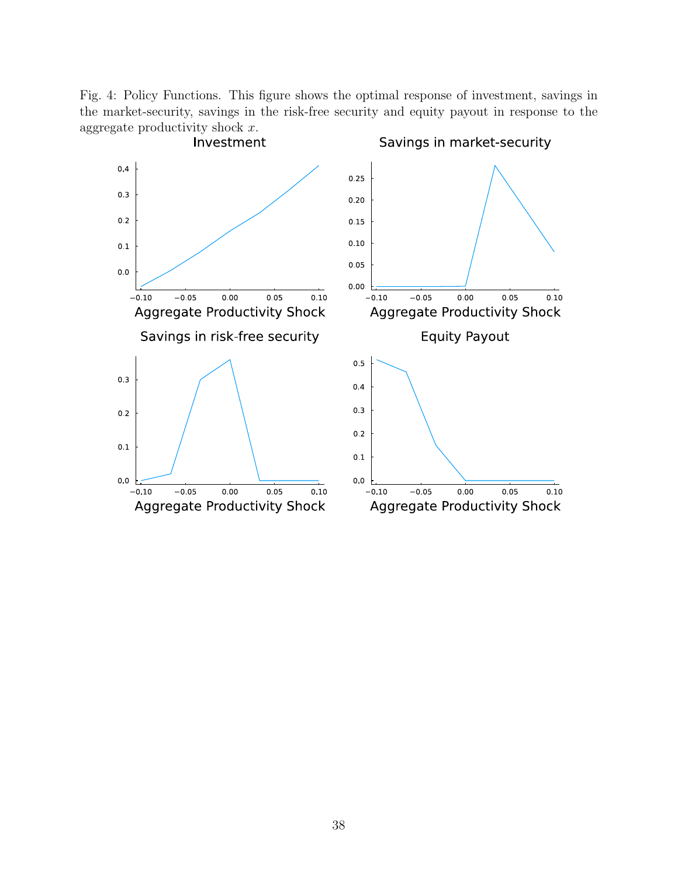<span id="page-38-0"></span>Fig. 4: Policy Functions. This figure shows the optimal response of investment, savings in the market-security, savings in the risk-free security and equity payout in response to the aggregate productivity shock  $x$ .

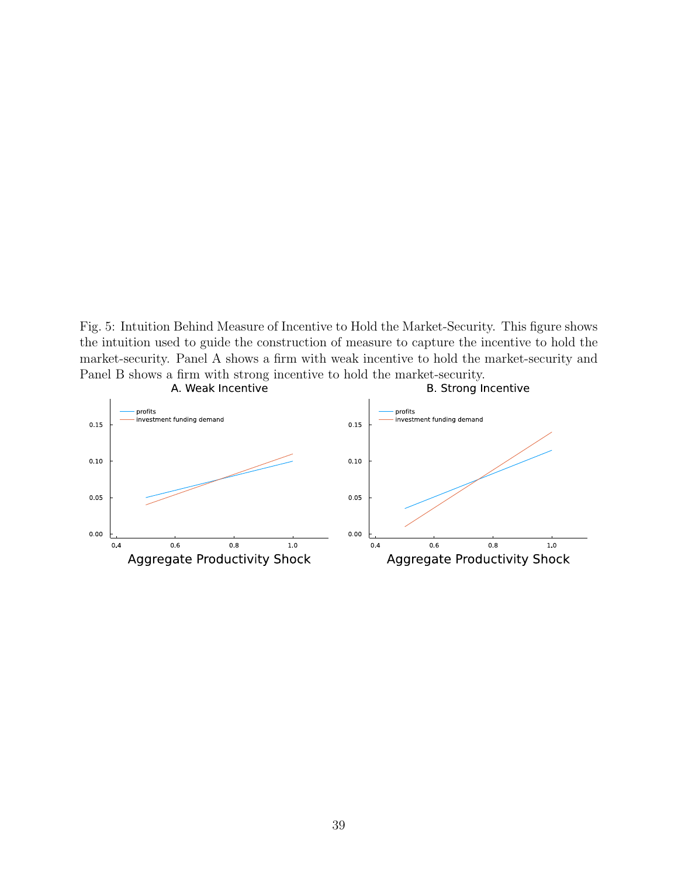<span id="page-39-0"></span>Fig. 5: Intuition Behind Measure of Incentive to Hold the Market-Security. This figure shows the intuition used to guide the construction of measure to capture the incentive to hold the market-security. Panel A shows a firm with weak incentive to hold the market-security and Panel B shows a firm with strong incentive to hold the market-security.

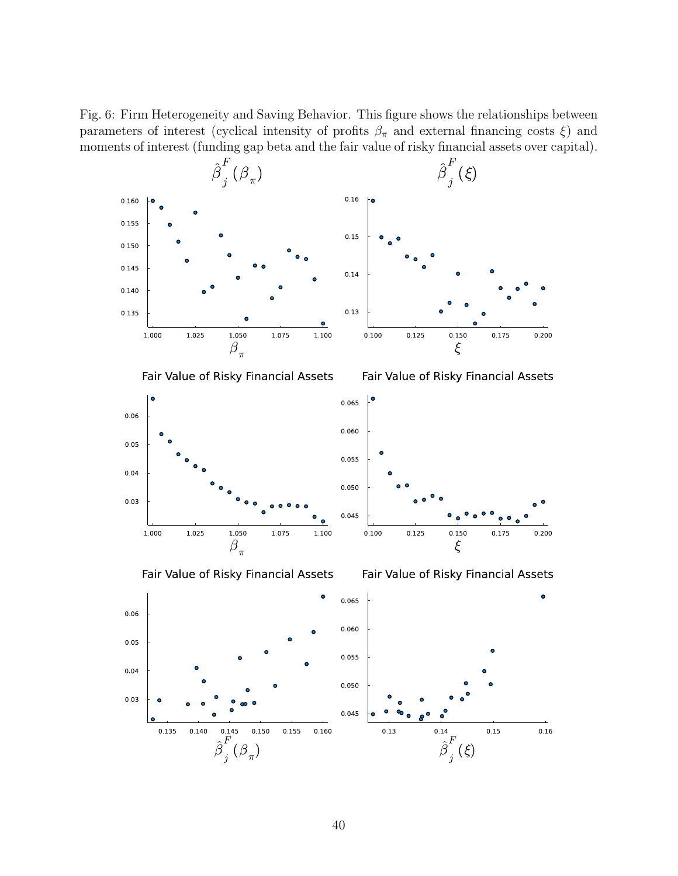<span id="page-40-0"></span>Fig. 6: Firm Heterogeneity and Saving Behavior. This figure shows the relationships between parameters of interest (cyclical intensity of profits  $\beta_{\pi}$  and external financing costs  $\xi$ ) and moments of interest (funding gap beta and the fair value of risky financial assets over capital).

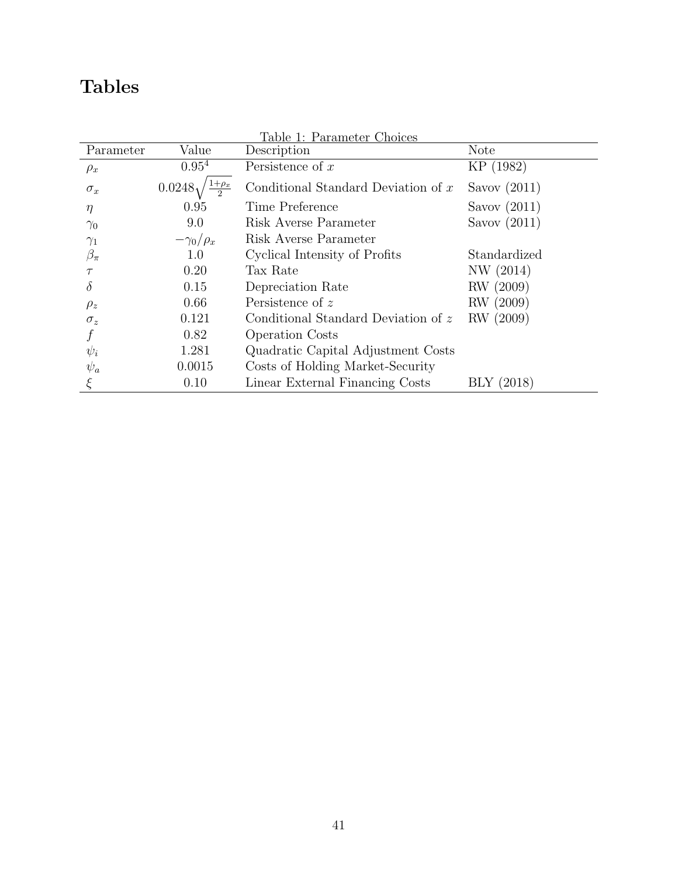# Tables

<span id="page-41-0"></span>

| Table 1: Parameter Choices |                    |                                       |                |  |  |  |
|----------------------------|--------------------|---------------------------------------|----------------|--|--|--|
| Parameter                  | Value              | Description                           | <b>Note</b>    |  |  |  |
| $\rho_x$                   | $0.95^{4}$         | Persistence of $x$                    | KP (1982)      |  |  |  |
| $\sigma_x$                 | 0.0248             | Conditional Standard Deviation of $x$ | Savov $(2011)$ |  |  |  |
| $\eta$                     | 0.95               | Time Preference                       | Savov $(2011)$ |  |  |  |
| $\gamma_0$                 | 9.0                | Risk Averse Parameter                 | Savov $(2011)$ |  |  |  |
| $\gamma_1$                 | $-\gamma_0/\rho_x$ | Risk Averse Parameter                 |                |  |  |  |
| $\beta_\pi$                | 1.0                | Cyclical Intensity of Profits         | Standardized   |  |  |  |
| $\tau$                     | 0.20               | Tax Rate                              | NW (2014)      |  |  |  |
| $\delta$                   | 0.15               | Depreciation Rate                     | RW (2009)      |  |  |  |
| $\rho_z$                   | 0.66               | Persistence of z                      | RW (2009)      |  |  |  |
| $\sigma_z$                 | 0.121              | Conditional Standard Deviation of z   | RW (2009)      |  |  |  |
|                            | 0.82               | <b>Operation Costs</b>                |                |  |  |  |
| $\psi_i$                   | 1.281              | Quadratic Capital Adjustment Costs    |                |  |  |  |
| $\psi_a$                   | 0.0015             | Costs of Holding Market-Security      |                |  |  |  |
|                            | 0.10               | Linear External Financing Costs       | (2018)<br>BLY  |  |  |  |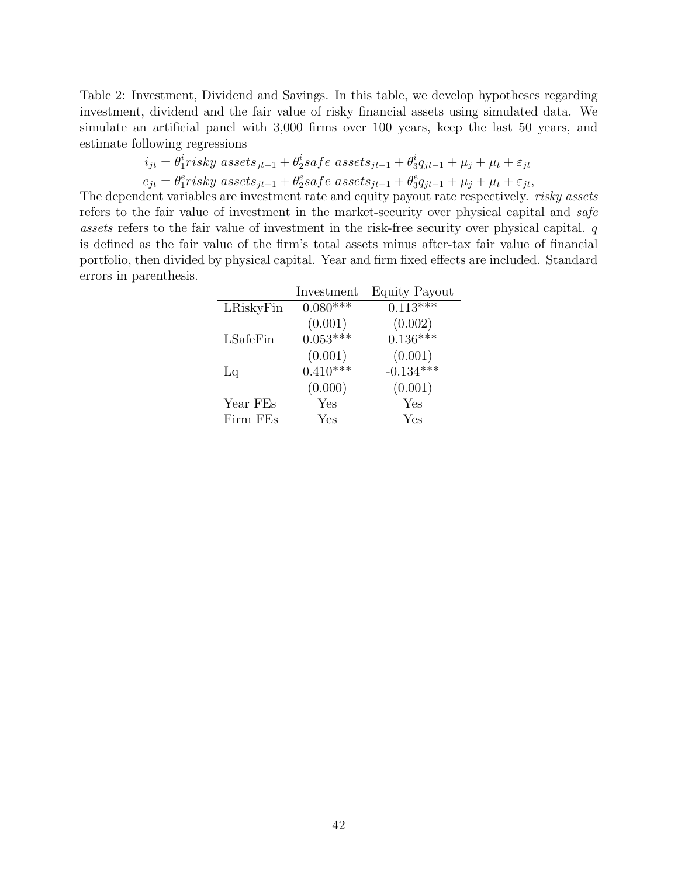<span id="page-42-0"></span>Table 2: Investment, Dividend and Savings. In this table, we develop hypotheses regarding investment, dividend and the fair value of risky financial assets using simulated data. We simulate an artificial panel with 3,000 firms over 100 years, keep the last 50 years, and estimate following regressions

$$
i_{jt} = \theta_1^i \r{r} is ky \;assets_{jt-1} + \theta_2^i \s{a} \r{f} e \;assets_{jt-1} + \theta_3^i q_{jt-1} + \mu_j + \mu_t + \varepsilon_{jt}
$$
  

$$
e_{jt} = \theta_1^e \r{r} is ky \;assets_{jt-1} + \theta_2^e \s{a} \r{f} e \;assets_{jt-1} + \theta_3^e q_{jt-1} + \mu_j + \mu_t + \varepsilon_{jt},
$$

The dependent variables are investment rate and equity payout rate respectively. *risky assets* refers to the fair value of investment in the market-security over physical capital and safe assets refers to the fair value of investment in the risk-free security over physical capital. q is defined as the fair value of the firm's total assets minus after-tax fair value of financial portfolio, then divided by physical capital. Year and firm fixed effects are included. Standard errors in parenthesis.

|           | Investment | Equity Payout |
|-----------|------------|---------------|
| LRiskyFin | $0.080***$ | $0.113***$    |
|           | (0.001)    | (0.002)       |
| LSafeFin  | $0.053***$ | $0.136***$    |
|           | (0.001)    | (0.001)       |
| Lq        | $0.410***$ | $-0.134***$   |
|           | (0.000)    | (0.001)       |
| Year FEs  | Yes        | Yes           |
| Firm FEs  | Yes        | Yes           |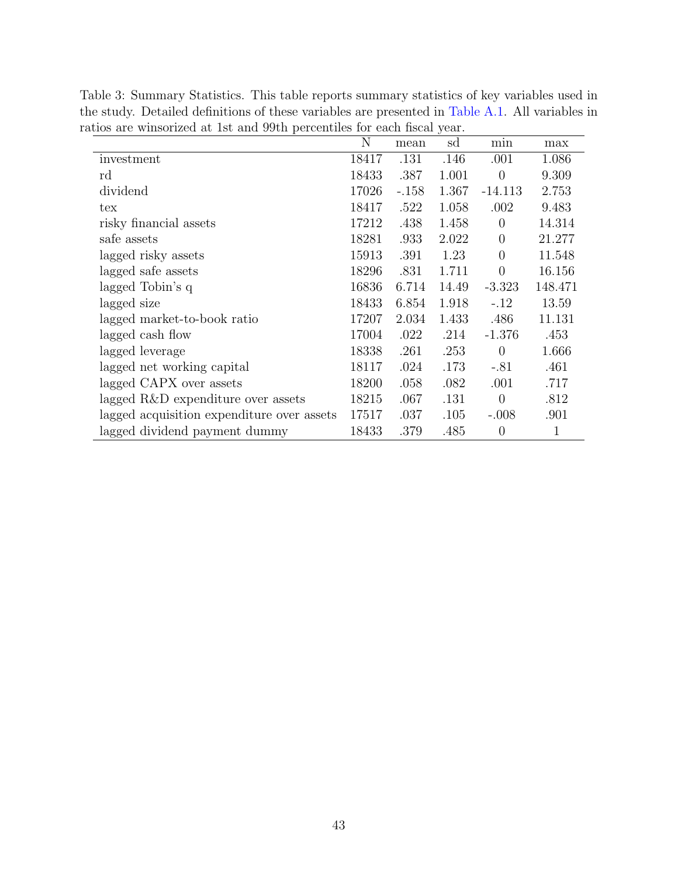| $\mathbf N$ | mean    | sd    | min            | max         |
|-------------|---------|-------|----------------|-------------|
| 18417       | .131    | .146  | .001           | 1.086       |
| 18433       | .387    | 1.001 | $\overline{0}$ | 9.309       |
| 17026       | $-.158$ | 1.367 | $-14.113$      | 2.753       |
| 18417       | .522    | 1.058 | .002           | 9.483       |
| 17212       | .438    | 1.458 | $\theta$       | 14.314      |
| 18281       | .933    | 2.022 | $\theta$       | 21.277      |
| 15913       | .391    | 1.23  | $\overline{0}$ | 11.548      |
| 18296       | .831    | 1.711 | $\overline{0}$ | 16.156      |
| 16836       | 6.714   | 14.49 | $-3.323$       | 148.471     |
| 18433       | 6.854   | 1.918 | $-.12$         | 13.59       |
| 17207       | 2.034   | 1.433 | .486           | 11.131      |
| 17004       | .022    | .214  | $-1.376$       | .453        |
| 18338       | .261    | .253  | $\overline{0}$ | 1.666       |
| 18117       | .024    | .173  | $-.81$         | .461        |
| 18200       | .058    | .082  | .001           | .717        |
| 18215       | .067    | .131  | $\overline{0}$ | .812        |
| 17517       | .037    | .105  | $-.008$        | .901        |
| 18433       | .379    | .485  | $\theta$       | $\mathbf 1$ |
|             |         |       |                |             |

<span id="page-43-0"></span>Table 3: Summary Statistics. This table reports summary statistics of key variables used in the study. Detailed definitions of these variables are presented in [Table A.1.](#page-41-0) All variables in ratios are winsorized at 1st and 99th percentiles for each fiscal year.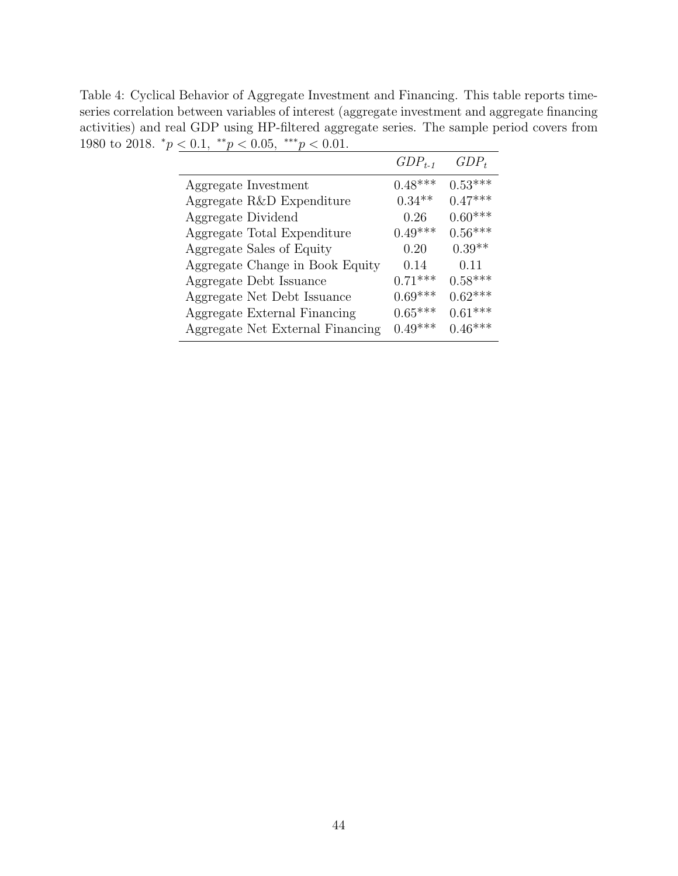<span id="page-44-0"></span>Table 4: Cyclical Behavior of Aggregate Investment and Financing. This table reports timeseries correlation between variables of interest (aggregate investment and aggregate financing activities) and real GDP using HP-filtered aggregate series. The sample period covers from 1980 to 2018.  ${}^*p < 0.1, {}^{**}p < 0.05, {}^{***}p < 0.01$ .

|                                  | $GDP_{t-1}$ | $GDP_t$   |
|----------------------------------|-------------|-----------|
| Aggregate Investment             | $0.48***$   | $0.53***$ |
| Aggregate R&D Expenditure        | $0.34**$    | $0.47***$ |
| Aggregate Dividend               | 0.26        | $0.60***$ |
| Aggregate Total Expenditure      | $0.49***$   | $0.56***$ |
| Aggregate Sales of Equity        | 0.20        | $0.39**$  |
| Aggregate Change in Book Equity  | 0.14        | 0.11      |
| Aggregate Debt Issuance          | $0.71***$   | $0.58***$ |
| Aggregate Net Debt Issuance      | $0.69***$   | $0.62***$ |
| Aggregate External Financing     | $0.65***$   | $0.61***$ |
| Aggregate Net External Financing | $0.49***$   | $0.46***$ |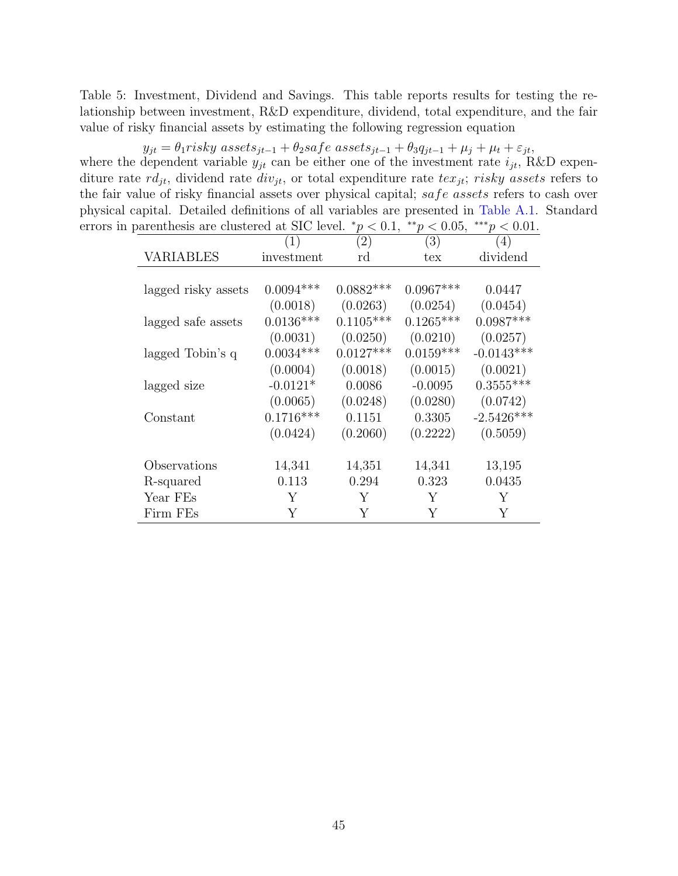<span id="page-45-0"></span>Table 5: Investment, Dividend and Savings. This table reports results for testing the relationship between investment, R&D expenditure, dividend, total expenditure, and the fair value of risky financial assets by estimating the following regression equation

 $y_{jt} = \theta_1 \text{risky}\text{ assets}_{jt-1} + \theta_2 \text{safe}\text{ assets}_{jt-1} + \theta_3 q_{jt-1} + \mu_j + \mu_t + \varepsilon_{jt},$ where the dependent variable  $y_{jt}$  can be either one of the investment rate  $i_{jt}$ , R&D expenditure rate  $rd_{it}$ , dividend rate  $div_{it}$ , or total expenditure rate  $tex_{it}$ ; risky assets refers to the fair value of risky financial assets over physical capital; safe assets refers to cash over physical capital. Detailed definitions of all variables are presented in [Table A.1.](#page-41-0) Standard errors in parenthesis are clustered at SIC level.  $\frac{*p}{<}0.1, \frac{**p}{<}0.05, \frac{***p}{<}0.01$ .

|                     | (1)         | (2)         | (3)         | (4)          |
|---------------------|-------------|-------------|-------------|--------------|
| <b>VARIABLES</b>    | investment  | rd          | tex         | dividend     |
|                     |             |             |             |              |
| lagged risky assets | $0.0094***$ | $0.0882***$ | $0.0967***$ | 0.0447       |
|                     | (0.0018)    | (0.0263)    | (0.0254)    | (0.0454)     |
| lagged safe assets  | $0.0136***$ | $0.1105***$ | $0.1265***$ | $0.0987***$  |
|                     | (0.0031)    | (0.0250)    | (0.0210)    | (0.0257)     |
| lagged Tobin's q    | $0.0034***$ | $0.0127***$ | $0.0159***$ | $-0.0143***$ |
|                     | (0.0004)    | (0.0018)    | (0.0015)    | (0.0021)     |
| lagged size         | $-0.0121*$  | 0.0086      | $-0.0095$   | $0.3555***$  |
|                     | (0.0065)    | (0.0248)    | (0.0280)    | (0.0742)     |
| Constant            | $0.1716***$ | 0.1151      | 0.3305      | $-2.5426***$ |
|                     | (0.0424)    | (0.2060)    | (0.2222)    | (0.5059)     |
| Observations        | 14,341      | 14,351      | 14,341      | 13,195       |
| R-squared           | 0.113       | 0.294       | 0.323       | 0.0435       |
| Year FEs            | Υ           | Y           | Y           | Y            |
| Firm FEs            | Y           | Y           | Y           | Υ            |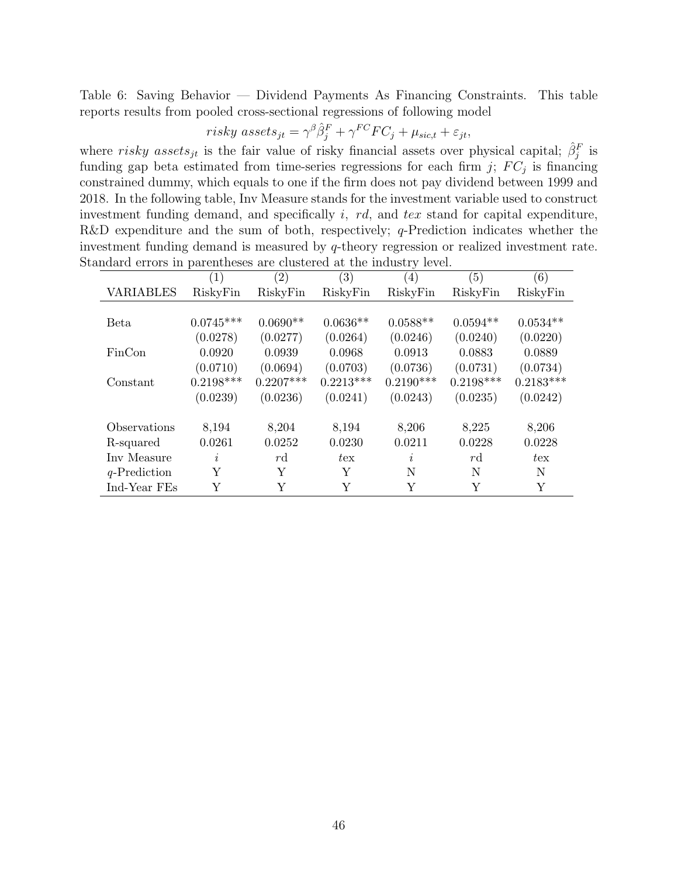<span id="page-46-0"></span>Table 6: Saving Behavior — Dividend Payments As Financing Constraints. This table reports results from pooled cross-sectional regressions of following model

$$
risky\; assets_{jt} = \gamma^{\beta} \hat{\beta}_j^F + \gamma^{FC} FC_j + \mu_{sic, t} + \varepsilon_{jt},
$$

where risky assets<sub>jt</sub> is the fair value of risky financial assets over physical capital;  $\hat{\beta}_j^F$  is funding gap beta estimated from time-series regressions for each firm  $j$ ;  $FC_j$  is financing constrained dummy, which equals to one if the firm does not pay dividend between 1999 and 2018. In the following table, Inv Measure stands for the investment variable used to construct investment funding demand, and specifically  $i$ ,  $rd$ , and  $tex$  stand for capital expenditure, R&D expenditure and the sum of both, respectively;  $q$ -Prediction indicates whether the investment funding demand is measured by q-theory regression or realized investment rate. Standard errors in parentheses are clustered at the industry level.

|                  | $\left(1\right)$ | $\left( 2\right)$ | $\left( 3\right)$ | $\left( 4\right)$ | (5)         | (6)          |
|------------------|------------------|-------------------|-------------------|-------------------|-------------|--------------|
| <b>VARIABLES</b> | RiskyFin         | RiskyFin          | RiskyFin          | RiskyFin          | RiskyFin    | RiskyFin     |
|                  |                  |                   |                   |                   |             |              |
| Beta             | $0.0745***$      | $0.0690**$        | $0.0636**$        | $0.0588**$        | $0.0594**$  | $0.0534**$   |
|                  | (0.0278)         | (0.0277)          | (0.0264)          | (0.0246)          | (0.0240)    | (0.0220)     |
| FinCon           | 0.0920           | 0.0939            | 0.0968            | 0.0913            | 0.0883      | 0.0889       |
|                  | (0.0710)         | (0.0694)          | (0.0703)          | (0.0736)          | (0.0731)    | (0.0734)     |
| Constant         | $0.2198***$      | $0.2207***$       | $0.2213***$       | $0.2190***$       | $0.2198***$ | $0.2183***$  |
|                  | (0.0239)         | (0.0236)          | (0.0241)          | (0.0243)          | (0.0235)    | (0.0242)     |
|                  |                  |                   |                   |                   |             |              |
| Observations     | 8,194            | 8,204             | 8,194             | 8,206             | 8,225       | 8,206        |
| R-squared        | 0.0261           | 0.0252            | 0.0230            | 0.0211            | 0.0228      | 0.0228       |
| Inv Measure      | $\imath$         | $r\mathrm{d}$     | $t_{\rm ex}$      | I.                | rd          | $t_{\rm ex}$ |
| $q$ -Prediction  | Υ                | Y                 | Y                 | N                 | N           | N            |
| Ind-Year FEs     | Y                | Y                 | Y                 | Y                 | Y           | Y            |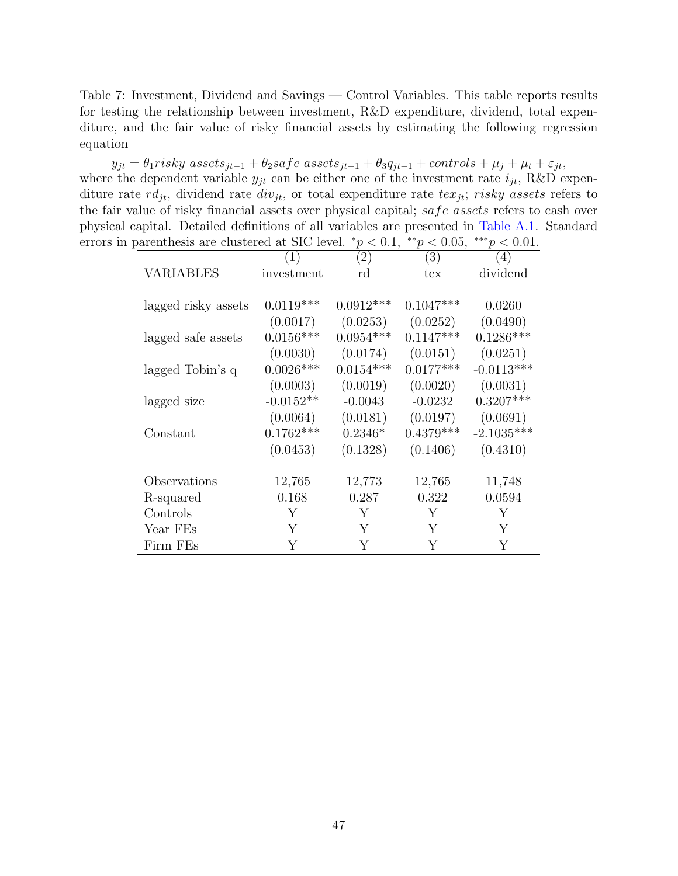<span id="page-47-0"></span>Table 7: Investment, Dividend and Savings — Control Variables. This table reports results for testing the relationship between investment, R&D expenditure, dividend, total expenditure, and the fair value of risky financial assets by estimating the following regression equation

 $y_{jt} = \theta_1$ risky assets<sub>jt−1</sub> +  $\theta_2$ safe assets<sub>jt−1</sub> +  $\theta_3 q_{jt-1}$  + controls +  $\mu_j$  +  $\mu_t$  +  $\varepsilon_{jt}$ , where the dependent variable  $y_{jt}$  can be either one of the investment rate  $i_{jt}$ , R&D expenditure rate  $rd_{jt}$ , dividend rate  $div_{jt}$ , or total expenditure rate  $tex_{jt}$ ; risky assets refers to the fair value of risky financial assets over physical capital; safe assets refers to cash over physical capital. Detailed definitions of all variables are presented in [Table A.1.](#page-41-0) Standard errors in parenthesis are clustered at SIC level.  $\frac{*p}{<}0.1, \frac{**p}{<}0.05, \frac{***p}{<}0.01$ .

|                     | (1)         | (2)         | (3)         | (4)          |
|---------------------|-------------|-------------|-------------|--------------|
| VARIABLES           | investment  | rd          | tex         | dividend     |
|                     |             |             |             |              |
| lagged risky assets | $0.0119***$ | $0.0912***$ | $0.1047***$ | 0.0260       |
|                     | (0.0017)    | (0.0253)    | (0.0252)    | (0.0490)     |
| lagged safe assets  | $0.0156***$ | $0.0954***$ | $0.1147***$ | $0.1286***$  |
|                     | (0.0030)    | (0.0174)    | (0.0151)    | (0.0251)     |
| lagged Tobin's q    | $0.0026***$ | $0.0154***$ | $0.0177***$ | $-0.0113***$ |
|                     | (0.0003)    | (0.0019)    | (0.0020)    | (0.0031)     |
| lagged size         | $-0.0152**$ | $-0.0043$   | $-0.0232$   | $0.3207***$  |
|                     | (0.0064)    | (0.0181)    | (0.0197)    | (0.0691)     |
| Constant            | $0.1762***$ | $0.2346*$   | $0.4379***$ | $-2.1035***$ |
|                     | (0.0453)    | (0.1328)    | (0.1406)    | (0.4310)     |
|                     |             |             |             |              |
| Observations        | 12,765      | 12,773      | 12,765      | 11,748       |
| R-squared           | 0.168       | 0.287       | 0.322       | 0.0594       |
| Controls            | Y           | Y           | Y           | Y            |
| Year FEs            | Y           | Y           | Y           | Y            |
| Firm FEs            | Υ           | Y           | Y           | Y            |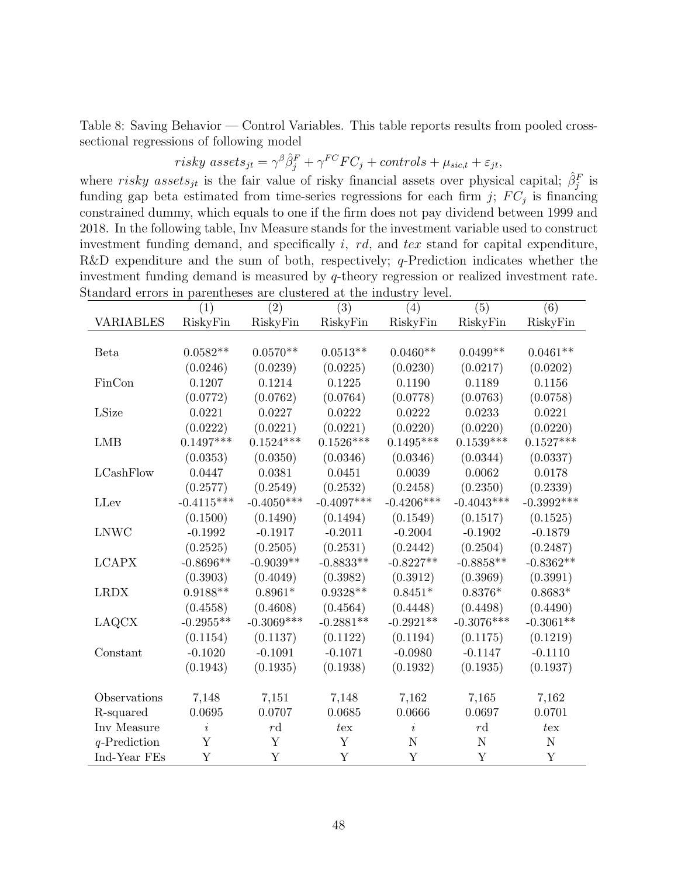<span id="page-48-0"></span>Table 8: Saving Behavior — Control Variables. This table reports results from pooled crosssectional regressions of following model

 $risky\ assets_{jt} = \gamma^{\beta} \hat{\beta}_j^F + \gamma^{FC} FC_j + controls + \mu_{sic, t} + \varepsilon_{jt},$ 

where risky assets<sub>jt</sub> is the fair value of risky financial assets over physical capital;  $\hat{\beta}_j^F$  is funding gap beta estimated from time-series regressions for each firm  $j$ ;  $FC_j$  is financing constrained dummy, which equals to one if the firm does not pay dividend between 1999 and 2018. In the following table, Inv Measure stands for the investment variable used to construct investment funding demand, and specifically i, rd, and tex stand for capital expenditure, R&D expenditure and the sum of both, respectively;  $q$ -Prediction indicates whether the investment funding demand is measured by q-theory regression or realized investment rate. Standard errors in parentheses are clustered at the industry level.

|                  | (1)            | (2)           | (3)          | (4)          | (5)          | (6)          |
|------------------|----------------|---------------|--------------|--------------|--------------|--------------|
| <b>VARIABLES</b> | RiskyFin       | RiskyFin      | RiskyFin     | RiskyFin     | RiskyFin     | RiskyFin     |
|                  |                |               |              |              |              |              |
| Beta             | $0.0582**$     | $0.0570**$    | $0.0513**$   | $0.0460**$   | $0.0499**$   | $0.0461**$   |
|                  | (0.0246)       | (0.0239)      | (0.0225)     | (0.0230)     | (0.0217)     | (0.0202)     |
| FinCon           | 0.1207         | 0.1214        | 0.1225       | 0.1190       | 0.1189       | 0.1156       |
|                  | (0.0772)       | (0.0762)      | (0.0764)     | (0.0778)     | (0.0763)     | (0.0758)     |
| LSize            | 0.0221         | 0.0227        | 0.0222       | 0.0222       | 0.0233       | 0.0221       |
|                  | (0.0222)       | (0.0221)      | (0.0221)     | (0.0220)     | (0.0220)     | (0.0220)     |
| <b>LMB</b>       | $0.1497***$    | $0.1524***$   | $0.1526***$  | $0.1495***$  | $0.1539***$  | $0.1527***$  |
|                  | (0.0353)       | (0.0350)      | (0.0346)     | (0.0346)     | (0.0344)     | (0.0337)     |
| LCashFlow        | 0.0447         | 0.0381        | 0.0451       | 0.0039       | 0.0062       | 0.0178       |
|                  | (0.2577)       | (0.2549)      | (0.2532)     | (0.2458)     | (0.2350)     | (0.2339)     |
| LLev             | $-0.4115***$   | $-0.4050***$  | $-0.4097***$ | $-0.4206***$ | $-0.4043***$ | $-0.3992***$ |
|                  | (0.1500)       | (0.1490)      | (0.1494)     | (0.1549)     | (0.1517)     | (0.1525)     |
| <b>LNWC</b>      | $-0.1992$      | $-0.1917$     | $-0.2011$    | $-0.2004$    | $-0.1902$    | $-0.1879$    |
|                  | (0.2525)       | (0.2505)      | (0.2531)     | (0.2442)     | (0.2504)     | (0.2487)     |
| <b>LCAPX</b>     | $-0.8696**$    | $-0.9039**$   | $-0.8833**$  | $-0.8227**$  | $-0.8858**$  | $-0.8362**$  |
|                  | (0.3903)       | (0.4049)      | (0.3982)     | (0.3912)     | (0.3969)     | (0.3991)     |
| <b>LRDX</b>      | $0.9188**$     | $0.8961*$     | $0.9328**$   | $0.8451*$    | $0.8376*$    | $0.8683*$    |
|                  | (0.4558)       | (0.4608)      | (0.4564)     | (0.4448)     | (0.4498)     | (0.4490)     |
| <b>LAQCX</b>     | $-0.2955**$    | $-0.3069***$  | $-0.2881**$  | $-0.2921**$  | $-0.3076***$ | $-0.3061**$  |
|                  | (0.1154)       | (0.1137)      | (0.1122)     | (0.1194)     | (0.1175)     | (0.1219)     |
| Constant         | $-0.1020$      | $-0.1091$     | $-0.1071$    | $-0.0980$    | $-0.1147$    | $-0.1110$    |
|                  | (0.1943)       | (0.1935)      | (0.1938)     | (0.1932)     | (0.1935)     | (0.1937)     |
|                  |                |               |              |              |              |              |
| Observations     | 7,148          | 7,151         | 7,148        | 7,162        | 7,165        | 7,162        |
| R-squared        | 0.0695         | 0.0707        | 0.0685       | 0.0666       | 0.0697       | 0.0701       |
| Inv Measure      | $\dot{\imath}$ | $r\mathrm{d}$ | $t$ ex       | $\dot{i}$    | r d          | $t_{ex}$     |
| $q$ -Prediction  | Y              | Y             | Y            | N            | N            | $\mathbf N$  |
| Ind-Year FEs     | Y              | Y             | Y            | Y            | Y            | Y            |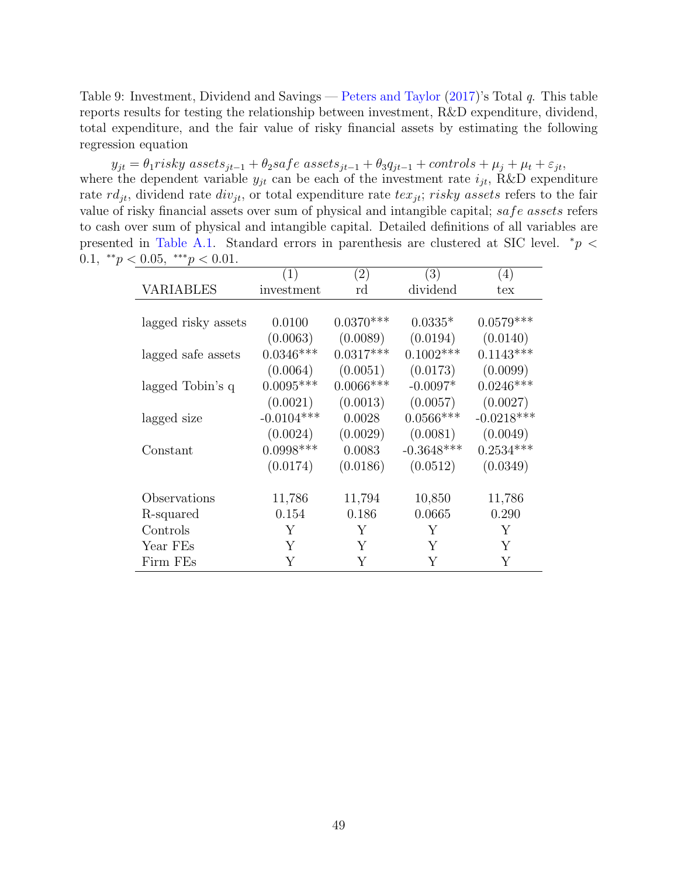<span id="page-49-0"></span>Table 9: Investment, Dividend and Savings — [Peters and Taylor](#page-34-9) [\(2017\)](#page-34-9)'s Total q. This table reports results for testing the relationship between investment, R&D expenditure, dividend, total expenditure, and the fair value of risky financial assets by estimating the following regression equation

 $y_{jt} = \theta_1$ risky assets<sub>jt−1</sub> +  $\theta_2$ safe assets<sub>jt−1</sub> +  $\theta_3 q_{jt-1}$  + controls +  $\mu_j$  +  $\mu_t$  +  $\varepsilon_{jt}$ , where the dependent variable  $y_{jt}$  can be each of the investment rate  $i_{jt}$ , R&D expenditure rate  $rd_{it}$ , dividend rate  $div_{it}$ , or total expenditure rate  $tex_{it}$ ; risky assets refers to the fair value of risky financial assets over sum of physical and intangible capital; safe assets refers to cash over sum of physical and intangible capital. Detailed definitions of all variables are presented in [Table A.1.](#page-41-0) Standard errors in parenthesis are clustered at SIC level.  $*_p$  < 0.1,  $^{\ast\ast}p < 0.05$ ,  $^{\ast\ast\ast}p < 0.01$ .

|                     | (1)          | (2)         | (3)          | $\left(4\right)$ |
|---------------------|--------------|-------------|--------------|------------------|
| VARIABLES           | investment   | rd          | dividend     | tex              |
|                     |              |             |              |                  |
| lagged risky assets | 0.0100       | $0.0370***$ | $0.0335*$    | $0.0579***$      |
|                     | (0.0063)     | (0.0089)    | (0.0194)     | (0.0140)         |
| lagged safe assets  | $0.0346***$  | $0.0317***$ | $0.1002***$  | $0.1143***$      |
|                     | (0.0064)     | (0.0051)    | (0.0173)     | (0.0099)         |
| lagged Tobin's q    | $0.0095***$  | $0.0066***$ | $-0.0097*$   | $0.0246***$      |
|                     | (0.0021)     | (0.0013)    | (0.0057)     | (0.0027)         |
| lagged size         | $-0.0104***$ | 0.0028      | $0.0566***$  | $-0.0218***$     |
|                     | (0.0024)     | (0.0029)    | (0.0081)     | (0.0049)         |
| Constant            | $0.0998***$  | 0.0083      | $-0.3648***$ | $0.2534***$      |
|                     | (0.0174)     | (0.0186)    | (0.0512)     | (0.0349)         |
|                     |              |             |              |                  |
| Observations        | 11,786       | 11,794      | 10,850       | 11,786           |
| R-squared           | 0.154        | 0.186       | 0.0665       | 0.290            |
| Controls            | Y            | Υ           | Υ            | Υ                |
| Year FEs            | Y            | Y           | Υ            | Y                |
| Firm FEs            | Y            | Y           | Y            | Y                |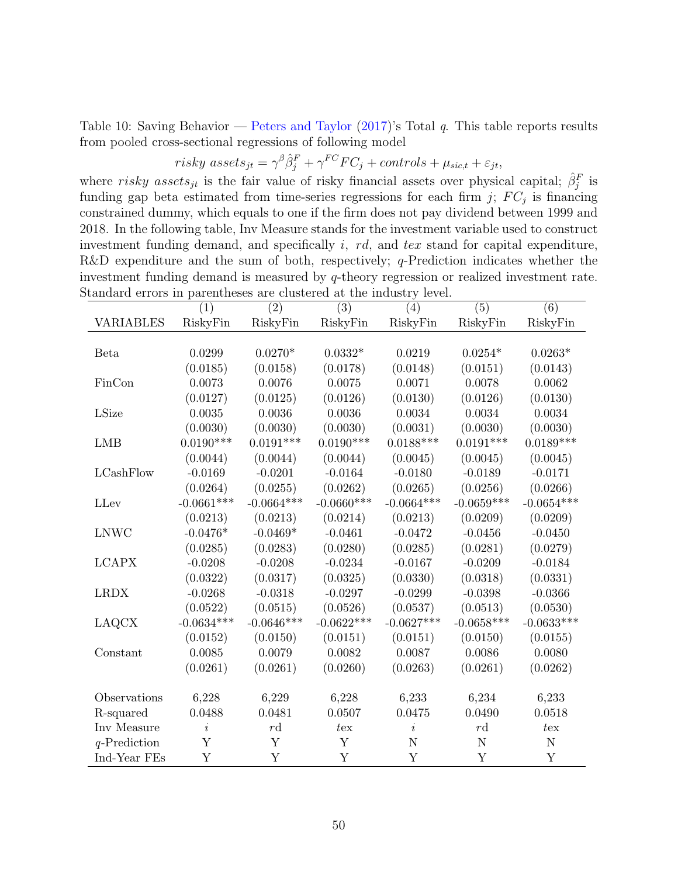Table 10: Saving Behavior — [Peters and Taylor](#page-34-9) [\(2017\)](#page-34-9)'s Total q. This table reports results from pooled cross-sectional regressions of following model

<span id="page-50-0"></span> $risky\ assets_{jt} = \gamma^{\beta} \hat{\beta}_j^F + \gamma^{FC} FC_j + controls + \mu_{sic, t} + \varepsilon_{jt},$ 

where risky assets<sub>jt</sub> is the fair value of risky financial assets over physical capital;  $\hat{\beta}_j^F$  is funding gap beta estimated from time-series regressions for each firm  $j$ ;  $FC_j$  is financing constrained dummy, which equals to one if the firm does not pay dividend between 1999 and 2018. In the following table, Inv Measure stands for the investment variable used to construct investment funding demand, and specifically i, rd, and tex stand for capital expenditure, R&D expenditure and the sum of both, respectively;  $q$ -Prediction indicates whether the investment funding demand is measured by q-theory regression or realized investment rate. Standard errors in parentheses are clustered at the industry level.

|                  | (1)          | $\overline{(2)}$ | $\overline{(3)}$ | $\overline{(4)}$ | $\overline{(5)}$ | $\overline{(6)}$ |
|------------------|--------------|------------------|------------------|------------------|------------------|------------------|
| <b>VARIABLES</b> | RiskyFin     | RiskyFin         | RiskyFin         | RiskyFin         | RiskyFin         | RiskyFin         |
|                  |              |                  |                  |                  |                  |                  |
| Beta             | 0.0299       | $0.0270*$        | $0.0332*$        | 0.0219           | $0.0254*$        | $0.0263*$        |
|                  | (0.0185)     | (0.0158)         | (0.0178)         | (0.0148)         | (0.0151)         | (0.0143)         |
| FinCon           | 0.0073       | 0.0076           | 0.0075           | 0.0071           | 0.0078           | 0.0062           |
|                  | (0.0127)     | (0.0125)         | (0.0126)         | (0.0130)         | (0.0126)         | (0.0130)         |
| LSize            | 0.0035       | 0.0036           | 0.0036           | 0.0034           | 0.0034           | 0.0034           |
|                  | (0.0030)     | (0.0030)         | (0.0030)         | (0.0031)         | (0.0030)         | (0.0030)         |
| <b>LMB</b>       | $0.0190***$  | $0.0191***$      | $0.0190***$      | $0.0188***$      | $0.0191***$      | $0.0189***$      |
|                  | (0.0044)     | (0.0044)         | (0.0044)         | (0.0045)         | (0.0045)         | (0.0045)         |
| LCashFlow        | $-0.0169$    | $-0.0201$        | $-0.0164$        | $-0.0180$        | $-0.0189$        | $-0.0171$        |
|                  | (0.0264)     | (0.0255)         | (0.0262)         | (0.0265)         | (0.0256)         | (0.0266)         |
| LLev             | $-0.0661***$ | $-0.0664***$     | $-0.0660***$     | $-0.0664***$     | $-0.0659***$     | $-0.0654***$     |
|                  | (0.0213)     | (0.0213)         | (0.0214)         | (0.0213)         | (0.0209)         | (0.0209)         |
| <b>LNWC</b>      | $-0.0476*$   | $-0.0469*$       | $-0.0461$        | $-0.0472$        | $-0.0456$        | $-0.0450$        |
|                  | (0.0285)     | (0.0283)         | (0.0280)         | (0.0285)         | (0.0281)         | (0.0279)         |
| <b>LCAPX</b>     | $-0.0208$    | $-0.0208$        | $-0.0234$        | $-0.0167$        | $-0.0209$        | $-0.0184$        |
|                  | (0.0322)     | (0.0317)         | (0.0325)         | (0.0330)         | (0.0318)         | (0.0331)         |
| <b>LRDX</b>      | $-0.0268$    | $-0.0318$        | $-0.0297$        | $-0.0299$        | $-0.0398$        | $-0.0366$        |
|                  | (0.0522)     | (0.0515)         | (0.0526)         | (0.0537)         | (0.0513)         | (0.0530)         |
| <b>LAQCX</b>     | $-0.0634***$ | $-0.0646***$     | $-0.0622***$     | $-0.0627***$     | $-0.0658***$     | $-0.0633***$     |
|                  | (0.0152)     | (0.0150)         | (0.0151)         | (0.0151)         | (0.0150)         | (0.0155)         |
| Constant         | 0.0085       | 0.0079           | 0.0082           | 0.0087           | 0.0086           | 0.0080           |
|                  | (0.0261)     | (0.0261)         | (0.0260)         | (0.0263)         | (0.0261)         | (0.0262)         |
|                  |              |                  |                  |                  |                  |                  |
| Observations     | 6,228        | 6,229            | 6,228            | 6,233            | 6,234            | 6,233            |
| R-squared        | 0.0488       | 0.0481           | 0.0507           | 0.0475           | 0.0490           | 0.0518           |
| Inv Measure      | $\it i$      | $r\mathrm{d}$    | tex              | $\dot{\imath}$   | $r\mathrm{d}$    | $t_{ex}$         |
| $q$ -Prediction  | Y            | Y                | Y                | N                | N                | N                |
| Ind-Year FEs     | Y            | Y                | Y                | Y                | Y                | Y                |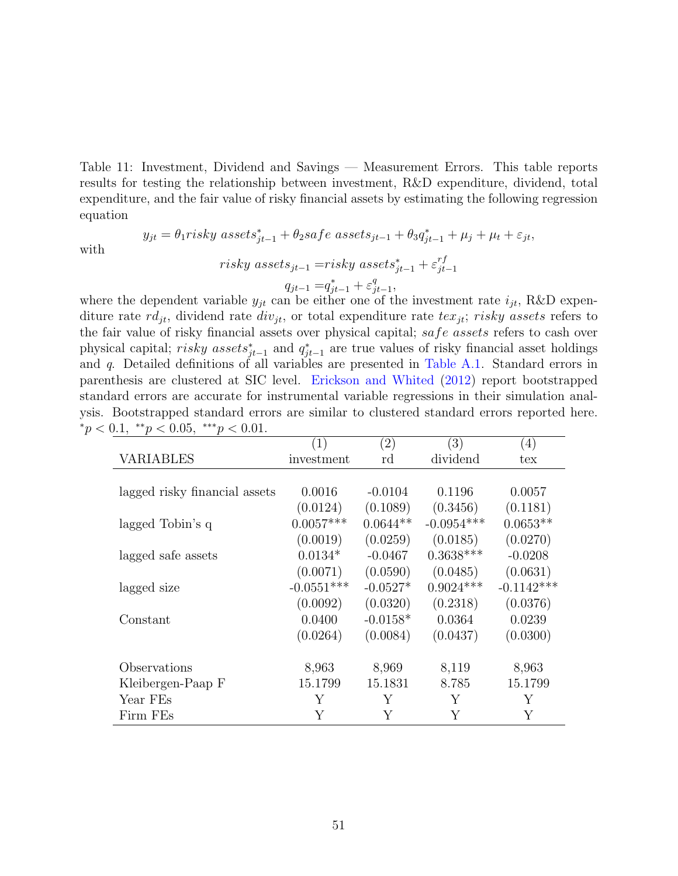<span id="page-51-0"></span>Table 11: Investment, Dividend and Savings — Measurement Errors. This table reports results for testing the relationship between investment, R&D expenditure, dividend, total expenditure, and the fair value of risky financial assets by estimating the following regression equation

$$
y_{jt} = \theta_1 \text{risky assets}_{jt-1}^* + \theta_2 \text{safe assets}_{jt-1} + \theta_3 q_{jt-1}^* + \mu_j + \mu_t + \varepsilon_{jt},
$$
  
 
$$
\text{risky assets}_{j\text{test}} = \text{risky assets}_{j\text{test}}^* + \epsilon_j^{rf}
$$

with

 $risky\;assets_{jt-1} = risky\;assets^*_{jt-1} + \varepsilon^{rf}_{jt}$  $jt-1$  $q_{jt-1} = q_{jt-1}^* + \varepsilon_j^q$ q<br>jt−1,

where the dependent variable  $y_{jt}$  can be either one of the investment rate  $i_{jt}$ , R&D expenditure rate  $rd_{it}$ , dividend rate  $div_{it}$ , or total expenditure rate  $tex_{it}ity$ ; risky assets refers to the fair value of risky financial assets over physical capital; safe assets refers to cash over physical capital; risky assets<sub>j<sup>†-1</sup></sub> and  $q_{jt-1}^*$  are true values of risky financial asset holdings and q. Detailed definitions of all variables are presented in [Table A.1.](#page-41-0) Standard errors in parenthesis are clustered at SIC level. [Erickson and Whited](#page-32-9) [\(2012\)](#page-32-9) report bootstrapped standard errors are accurate for instrumental variable regressions in their simulation analysis. Bootstrapped standard errors are similar to clustered standard errors reported here.  ${}^*p < 0.1, {}^*{}^*p < 0.05, {}^*{}^*{}^*p < 0.01.$ 

|                               | (1)          | $\left( 2\right)$ | (3)          | (4)          |
|-------------------------------|--------------|-------------------|--------------|--------------|
| <b>VARIABLES</b>              | investment   | rd                | dividend     | tex          |
|                               |              |                   |              |              |
| lagged risky financial assets | 0.0016       | $-0.0104$         | 0.1196       | 0.0057       |
|                               | (0.0124)     | (0.1089)          | (0.3456)     | (0.1181)     |
| lagged Tobin's q              | $0.0057***$  | $0.0644**$        | $-0.0954***$ | $0.0653**$   |
|                               | (0.0019)     | (0.0259)          | (0.0185)     | (0.0270)     |
| lagged safe assets            | $0.0134*$    | $-0.0467$         | $0.3638***$  | $-0.0208$    |
|                               | (0.0071)     | (0.0590)          | (0.0485)     | (0.0631)     |
| lagged size                   | $-0.0551***$ | $-0.0527*$        | $0.9024***$  | $-0.1142***$ |
|                               | (0.0092)     | (0.0320)          | (0.2318)     | (0.0376)     |
| Constant                      | 0.0400       | $-0.0158*$        | 0.0364       | 0.0239       |
|                               | (0.0264)     | (0.0084)          | (0.0437)     | (0.0300)     |
|                               |              |                   |              |              |
| Observations                  | 8,963        | 8,969             | 8,119        | 8,963        |
| Kleibergen-Paap F             | 15.1799      | 15.1831           | 8.785        | 15.1799      |
| Year FEs                      | Y            | Y                 | Y            | Y            |
| Firm FEs                      | Y            | Y                 | Y            | Y            |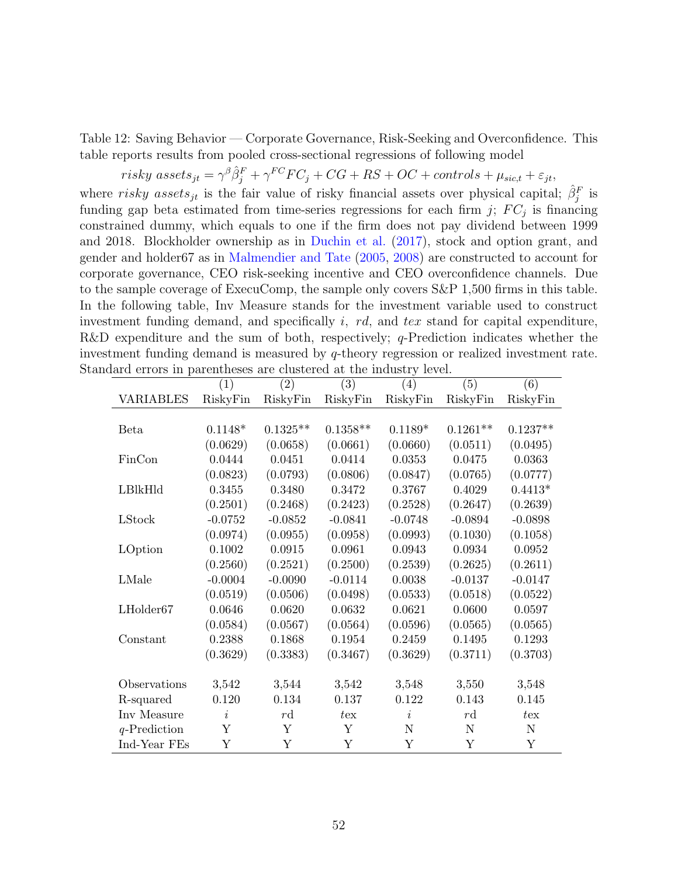Table 12: Saving Behavior — Corporate Governance, Risk-Seeking and Overconfidence. This table reports results from pooled cross-sectional regressions of following model

<span id="page-52-0"></span>
$$
risky\ assets_{jt} = \gamma^{\beta} \hat{\beta}_j^F + \gamma^{FC} FC_j + CG + RS + OC + controls + \mu_{sic, t} + \varepsilon_{jt},
$$

where risky assets<sub>jt</sub> is the fair value of risky financial assets over physical capital;  $\hat{\beta}_j^F$  is funding gap beta estimated from time-series regressions for each firm  $j$ ;  $FC_j$  is financing constrained dummy, which equals to one if the firm does not pay dividend between 1999 and 2018. Blockholder ownership as in [Duchin et al.](#page-32-0) [\(2017\)](#page-32-0), stock and option grant, and gender and holder67 as in [Malmendier and Tate](#page-33-13) [\(2005,](#page-33-13) [2008\)](#page-33-14) are constructed to account for corporate governance, CEO risk-seeking incentive and CEO overconfidence channels. Due to the sample coverage of ExecuComp, the sample only covers S&P 1,500 firms in this table. In the following table, Inv Measure stands for the investment variable used to construct investment funding demand, and specifically i, rd, and tex stand for capital expenditure, R&D expenditure and the sum of both, respectively;  $q$ -Prediction indicates whether the investment funding demand is measured by q-theory regression or realized investment rate. Standard errors in parentheses are clustered at the industry level.

|                 | (1)       | (2)        | (3)          | (4)       | (5)           | (6)        |
|-----------------|-----------|------------|--------------|-----------|---------------|------------|
| VARIABLES       | RiskyFin  | RiskyFin   | RiskyFin     | RiskyFin  | RiskyFin      | RiskyFin   |
|                 |           |            |              |           |               |            |
| Beta            | $0.1148*$ | $0.1325**$ | $0.1358**$   | $0.1189*$ | $0.1261**$    | $0.1237**$ |
|                 | (0.0629)  | (0.0658)   | (0.0661)     | (0.0660)  | (0.0511)      | (0.0495)   |
| FinCon          | 0.0444    | 0.0451     | 0.0414       | 0.0353    | 0.0475        | 0.0363     |
|                 | (0.0823)  | (0.0793)   | (0.0806)     | (0.0847)  | (0.0765)      | (0.0777)   |
| LBIkHId         | 0.3455    | 0.3480     | 0.3472       | 0.3767    | 0.4029        | $0.4413*$  |
|                 | (0.2501)  | (0.2468)   | (0.2423)     | (0.2528)  | (0.2647)      | (0.2639)   |
| LStock          | $-0.0752$ | $-0.0852$  | $-0.0841$    | $-0.0748$ | $-0.0894$     | $-0.0898$  |
|                 | (0.0974)  | (0.0955)   | (0.0958)     | (0.0993)  | (0.1030)      | (0.1058)   |
| LOption         | 0.1002    | 0.0915     | 0.0961       | 0.0943    | 0.0934        | 0.0952     |
|                 | (0.2560)  | (0.2521)   | (0.2500)     | (0.2539)  | (0.2625)      | (0.2611)   |
| LMale           | $-0.0004$ | $-0.0090$  | $-0.0114$    | 0.0038    | $-0.0137$     | $-0.0147$  |
|                 | (0.0519)  | (0.0506)   | (0.0498)     | (0.0533)  | (0.0518)      | (0.0522)   |
| LHolder67       | 0.0646    | 0.0620     | 0.0632       | 0.0621    | 0.0600        | 0.0597     |
|                 | (0.0584)  | (0.0567)   | (0.0564)     | (0.0596)  | (0.0565)      | (0.0565)   |
| Constant        | 0.2388    | 0.1868     | 0.1954       | 0.2459    | 0.1495        | 0.1293     |
|                 | (0.3629)  | (0.3383)   | (0.3467)     | (0.3629)  | (0.3711)      | (0.3703)   |
| Observations    | 3,542     | 3,544      | 3,542        | 3,548     | 3,550         | 3,548      |
| R-squared       | 0.120     | 0.134      | 0.137        | 0.122     | 0.143         | 0.145      |
| Inv Measure     | $\dot{i}$ | rd         | $t_{\rm ex}$ | $\dot{i}$ | $r\mathrm{d}$ | $t_{ex}$   |
| $q$ -Prediction | Υ         | Y          | Y            | N         | N             | N          |
| Ind-Year FEs    | Υ         | Y          | Y            | Y         | Y             | Y          |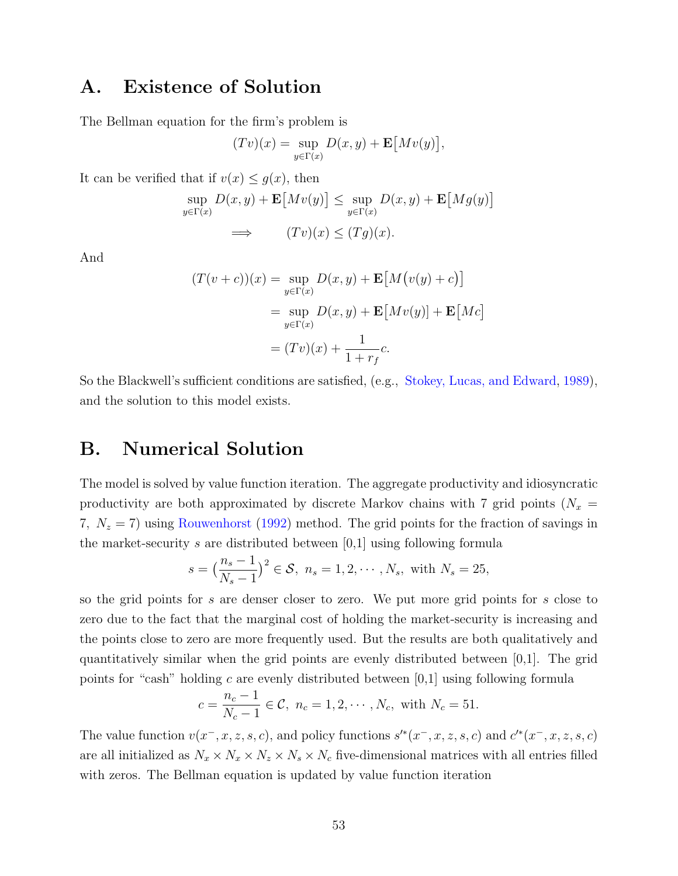## A. Existence of Solution

The Bellman equation for the firm's problem is

$$
(Tv)(x) = \sup_{y \in \Gamma(x)} D(x, y) + \mathbf{E}[Mv(y)]
$$

,

It can be verified that if  $v(x) \leq g(x)$ , then

$$
\sup_{y \in \Gamma(x)} D(x, y) + \mathbf{E}[Mv(y)] \le \sup_{y \in \Gamma(x)} D(x, y) + \mathbf{E}[Mg(y)]
$$
  
\n
$$
\implies (Tv)(x) \le (Tg)(x).
$$

And

$$
(T(v+c))(x) = \sup_{y \in \Gamma(x)} D(x, y) + \mathbf{E}[M(v(y) + c)]
$$
  
= 
$$
\sup_{y \in \Gamma(x)} D(x, y) + \mathbf{E}[Mv(y)] + \mathbf{E}[Mc]
$$
  
= 
$$
(Tv)(x) + \frac{1}{1 + r_f}c.
$$

So the Blackwell's sufficient conditions are satisfied, (e.g., [Stokey, Lucas, and Edward,](#page-34-11) [1989\)](#page-34-11), and the solution to this model exists.

### B. Numerical Solution

The model is solved by value function iteration. The aggregate productivity and idiosyncratic productivity are both approximated by discrete Markov chains with 7 grid points ( $N_x$  = 7,  $N_z = 7$ ) using [Rouwenhorst](#page-34-12) [\(1992\)](#page-34-12) method. The grid points for the fraction of savings in the market-security s are distributed between  $[0,1]$  using following formula

$$
s = \left(\frac{n_s - 1}{N_s - 1}\right)^2 \in S, n_s = 1, 2, \cdots, N_s, \text{ with } N_s = 25,
$$

so the grid points for s are denser closer to zero. We put more grid points for s close to zero due to the fact that the marginal cost of holding the market-security is increasing and the points close to zero are more frequently used. But the results are both qualitatively and quantitatively similar when the grid points are evenly distributed between [0,1]. The grid points for "cash" holding c are evenly distributed between  $[0,1]$  using following formula

$$
c = \frac{n_c - 1}{N_c - 1} \in \mathcal{C}, n_c = 1, 2, \cdots, N_c, \text{ with } N_c = 51.
$$

The value function  $v(x^-, x, z, s, c)$ , and policy functions  $s'^*(x^-, x, z, s, c)$  and  $c'^*(x^-, x, z, s, c)$ are all initialized as  $N_x \times N_x \times N_z \times N_s \times N_c$  five-dimensional matrices with all entries filled with zeros. The Bellman equation is updated by value function iteration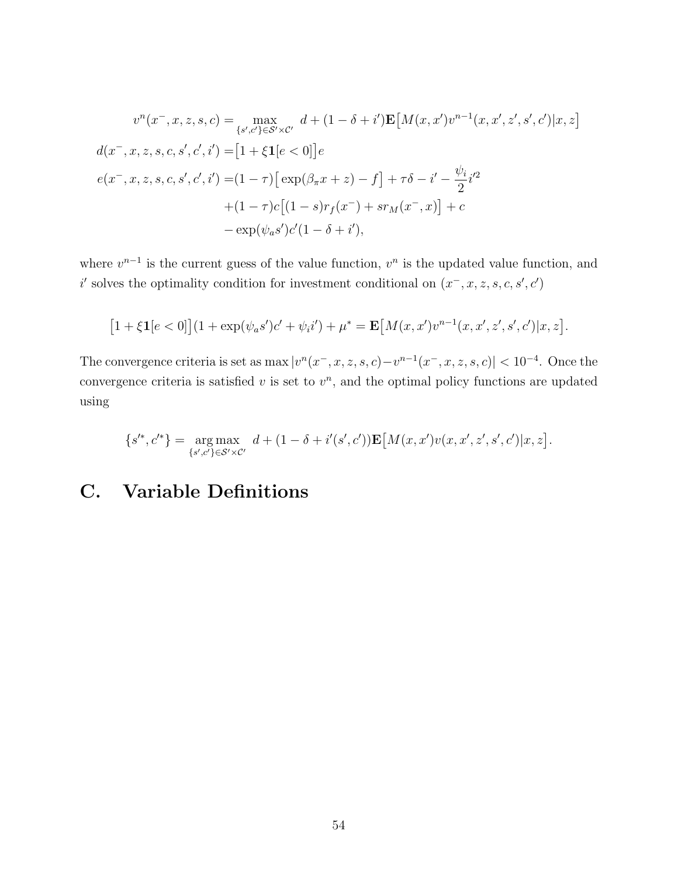$$
v^{n}(x^{-}, x, z, s, c) = \max_{\{s', c'\} \in S' \times C'} d + (1 - \delta + i') \mathbf{E}[M(x, x')v^{n-1}(x, x', z', s', c')]x, z]
$$
  

$$
d(x^{-}, x, z, s, c, s', c', i') = [1 + \xi \mathbf{1}[e < 0]]e
$$
  

$$
e(x^{-}, x, z, s, c, s', c', i') = (1 - \tau) [\exp(\beta_{\pi}x + z) - f] + \tau \delta - i' - \frac{\psi_{i}}{2}i'^{2}
$$
  

$$
+ (1 - \tau)c[(1 - s)r_{f}(x^{-}) + sr_{M}(x^{-}, x)] + c
$$
  

$$
- \exp(\psi_{a}s')c'(1 - \delta + i'),
$$

where  $v^{n-1}$  is the current guess of the value function,  $v^n$  is the updated value function, and i' solves the optimality condition for investment conditional on  $(x^-, x, z, s, c, s', c')$ 

$$
[1 + \xi \mathbf{1}[e < 0]](1 + \exp(\psi_a s')c' + \psi_i i') + \mu^* = \mathbf{E}[M(x, x')v^{n-1}(x, x', z', s', c')|x, z].
$$

The convergence criteria is set as max  $|v^n(x^-, x, z, s, c)-v^{n-1}(x^-, x, z, s, c)| < 10^{-4}$ . Once the convergence criteria is satisfied  $v$  is set to  $v<sup>n</sup>$ , and the optimal policy functions are updated using

$$
\{s'^*,c'^*\} = \underset{\{s',c'\} \in \mathcal{S}' \times \mathcal{C}'}{\arg \max} \ d + (1 - \delta + i'(s',c')) \mathbf{E}\big[M(x,x')v(x,x',z',s',c')|x,z\big].
$$

# <span id="page-54-0"></span>C. Variable Definitions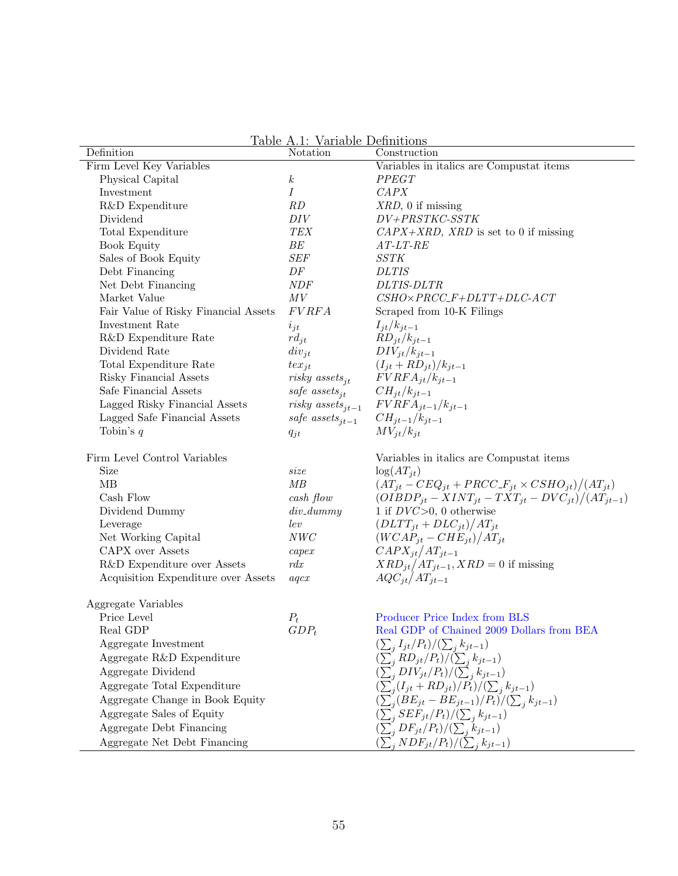Table A.1: Variable Definitions

| Definition                           | Notation                            | Construction                                                      |
|--------------------------------------|-------------------------------------|-------------------------------------------------------------------|
| Firm Level Key Variables             |                                     | Variables in italics are Compustat items                          |
| Physical Capital                     | $\boldsymbol{k}$                    | PPEGT                                                             |
| Investment                           | Ι                                   | CAPX                                                              |
| R&D Expenditure                      | RD                                  | $XRD$ , 0 if missing                                              |
| Dividend                             | DIV                                 | $DV + PRSTKC\text{-}SSTK$                                         |
| Total Expenditure                    | ${\cal TEX}$                        | $CAPX+XRD$ , XRD is set to 0 if missing                           |
| Book Equity                          | ${\cal BE}$                         | $AT-LT\text{-}RE$                                                 |
| Sales of Book Equity                 | SEF                                 | <b>SSTK</b>                                                       |
| Debt Financing                       | $\cal DF$                           | <b>DLTIS</b>                                                      |
| Net Debt Financing                   | $\emph{NDF}$                        | DLTIS-DLTR                                                        |
| Market Value                         | ${\cal M}{\cal V}$                  | $CSHO \times PRCC\_F+DLTT+DLC\text{-}ACT$                         |
| Fair Value of Risky Financial Assets | FVRFA                               | Scraped from 10-K Filings                                         |
| Investment Rate                      | $i_{jt}$                            | $I_{jt}/k_{jt-1}$                                                 |
| R&D Expenditure Rate                 | $rd_{jt}$                           | $RD_{jt}/k_{jt-1}$                                                |
| Dividend Rate                        | $div_{jt}$                          | $DIV_{jt}/k_{jt-1}$                                               |
| Total Expenditure Rate               | $tex_{it}$                          | $(I_{jt}+RD_{jt})/k_{jt-1}$                                       |
| Risky Financial Assets               | risky assets <sub>it</sub>          | $FVRFA_{it}/k_{it-1}$                                             |
| Safe Financial Assets                | safe assets <sub>it</sub>           | $CH_{jt}/k_{jt-1}$                                                |
| Lagged Risky Financial Assets        | <i>risky</i> assets <sub>jt-1</sub> | $FVRFA_{jt-1}/k_{jt-1}$                                           |
| Lagged Safe Financial Assets         | safe assets <sub>it-1</sub>         | $CH_{jt-1}/k_{jt-1}$                                              |
| Tobin's $q$                          | $q_{jt}$                            | $MV_{it}/k_{it}$                                                  |
| Firm Level Control Variables         |                                     | Variables in italics are Compustat items                          |
| <b>Size</b>                          | size                                | $\log(AT_{it})$                                                   |
| MB                                   | MB                                  | $(AT_{jt} - CEQ_{jt} + PRCC \_F_{jt} \times CSHO_{jt})/(AT_{jt})$ |
| Cash Flow                            | cash flow                           | $(OIBDP_{jt} - XINT_{jt} - TXT_{jt} - DVC_{jt})/(AT_{jt-1})$      |
| Dividend Dummy                       | $div\_dummy$                        | 1 if $DVC>0$ , 0 otherwise                                        |
| Leverage                             | lev                                 | $(DLTT_{jt} + DLC_{jt})/AT_{jt}$                                  |
| Net Working Capital                  | $NWC$                               | $(WCAP_{jt}-CHE_{jt})/AT_{jt}$                                    |
| <b>CAPX</b> over Assets              | capex                               | $CAPX_{jt}/AT_{jt-1}$                                             |
| R&D Expenditure over Assets          | rdx                                 | $XRD_{jt}/AT_{jt-1}$ , $XRD = 0$ if missing                       |
| Acquisition Expenditure over Assets  | aqcx                                | $AQC_{jt}/AT_{jt-1}$                                              |
| Aggregate Variables                  |                                     |                                                                   |
| Price Level                          | $P_t$                               | Producer Price Index from BLS                                     |
| Real GDP                             | $GDP_t$                             | Real GDP of Chained 2009 Dollars from BEA                         |
| Aggregate Investment                 |                                     | $(\sum_j I_{jt}/P_t)/(\sum_j k_{jt-1})$                           |
| Aggregate R&D Expenditure            |                                     | $\left(\sum_j RD_{jt}/P_t\right)/(\sum_j k_{jt-1})$               |
| Aggregate Dividend                   |                                     | $(\sum_j DIV_{jt}/P_t)/(\sum_j k_{jt-1})$                         |
| Aggregate Total Expenditure          |                                     | $\left(\sum_j (I_{jt} + RD_{jt})/P_t\right)/(\sum_j k_{jt-1})$    |
| Aggregate Change in Book Equity      |                                     | $\left(\sum_j (BE_{jt} - BE_{jt-1})/P_t\right)/(\sum_j k_{jt-1})$ |
| Aggregate Sales of Equity            |                                     | $(\sum_{i}^{'} SEF_{jt}/P_t)/(\sum_{j} k_{jt-1})$                 |
| Aggregate Debt Financing             |                                     | $(\sum_{i} DF_{jt}/P_t)/(\sum_{i} k_{jt-1})$                      |
| Aggregate Net Debt Financing         |                                     | $\left(\sum_j NDF_{jt}/P_t\right)/(\sum_j k_{jt-1})$              |
|                                      |                                     |                                                                   |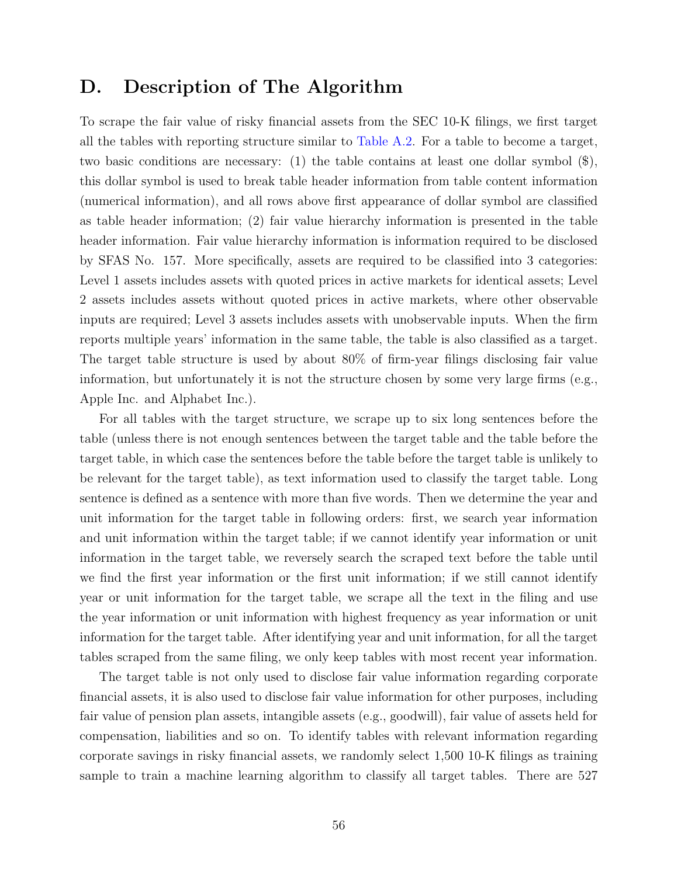## <span id="page-56-0"></span>D. Description of The Algorithm

To scrape the fair value of risky financial assets from the SEC 10-K filings, we first target all the tables with reporting structure similar to [Table A.2.](#page-42-0) For a table to become a target, two basic conditions are necessary: (1) the table contains at least one dollar symbol (\$), this dollar symbol is used to break table header information from table content information (numerical information), and all rows above first appearance of dollar symbol are classified as table header information; (2) fair value hierarchy information is presented in the table header information. Fair value hierarchy information is information required to be disclosed by SFAS No. 157. More specifically, assets are required to be classified into 3 categories: Level 1 assets includes assets with quoted prices in active markets for identical assets; Level 2 assets includes assets without quoted prices in active markets, where other observable inputs are required; Level 3 assets includes assets with unobservable inputs. When the firm reports multiple years' information in the same table, the table is also classified as a target. The target table structure is used by about 80% of firm-year filings disclosing fair value information, but unfortunately it is not the structure chosen by some very large firms (e.g., Apple Inc. and Alphabet Inc.).

For all tables with the target structure, we scrape up to six long sentences before the table (unless there is not enough sentences between the target table and the table before the target table, in which case the sentences before the table before the target table is unlikely to be relevant for the target table), as text information used to classify the target table. Long sentence is defined as a sentence with more than five words. Then we determine the year and unit information for the target table in following orders: first, we search year information and unit information within the target table; if we cannot identify year information or unit information in the target table, we reversely search the scraped text before the table until we find the first year information or the first unit information; if we still cannot identify year or unit information for the target table, we scrape all the text in the filing and use the year information or unit information with highest frequency as year information or unit information for the target table. After identifying year and unit information, for all the target tables scraped from the same filing, we only keep tables with most recent year information.

The target table is not only used to disclose fair value information regarding corporate financial assets, it is also used to disclose fair value information for other purposes, including fair value of pension plan assets, intangible assets (e.g., goodwill), fair value of assets held for compensation, liabilities and so on. To identify tables with relevant information regarding corporate savings in risky financial assets, we randomly select 1,500 10-K filings as training sample to train a machine learning algorithm to classify all target tables. There are 527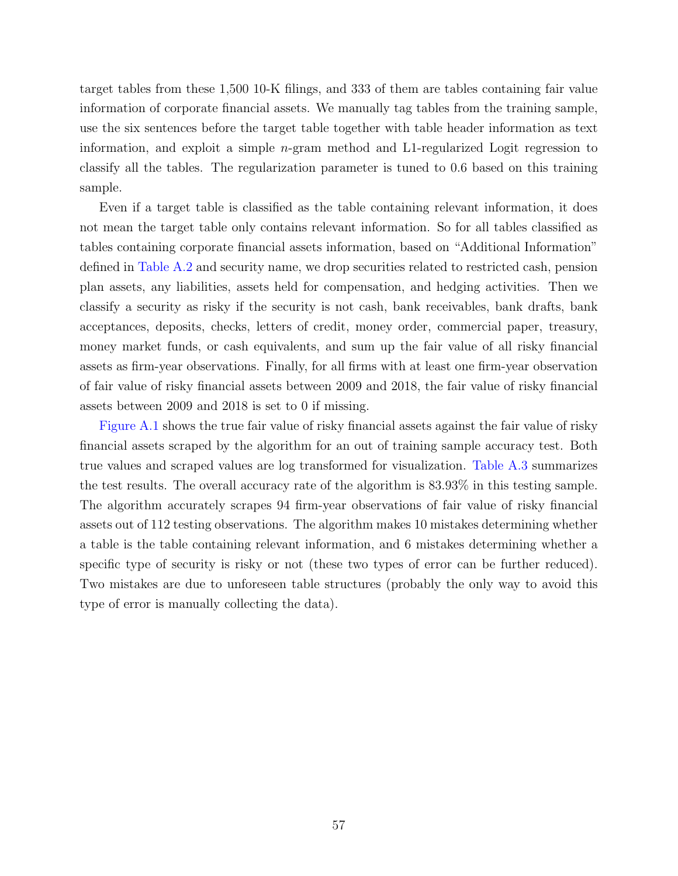target tables from these 1,500 10-K filings, and 333 of them are tables containing fair value information of corporate financial assets. We manually tag tables from the training sample, use the six sentences before the target table together with table header information as text information, and exploit a simple n-gram method and L1-regularized Logit regression to classify all the tables. The regularization parameter is tuned to 0.6 based on this training sample.

Even if a target table is classified as the table containing relevant information, it does not mean the target table only contains relevant information. So for all tables classified as tables containing corporate financial assets information, based on "Additional Information" defined in [Table A.2](#page-42-0) and security name, we drop securities related to restricted cash, pension plan assets, any liabilities, assets held for compensation, and hedging activities. Then we classify a security as risky if the security is not cash, bank receivables, bank drafts, bank acceptances, deposits, checks, letters of credit, money order, commercial paper, treasury, money market funds, or cash equivalents, and sum up the fair value of all risky financial assets as firm-year observations. Finally, for all firms with at least one firm-year observation of fair value of risky financial assets between 2009 and 2018, the fair value of risky financial assets between 2009 and 2018 is set to 0 if missing.

[Figure A.1](#page-35-0) shows the true fair value of risky financial assets against the fair value of risky financial assets scraped by the algorithm for an out of training sample accuracy test. Both true values and scraped values are log transformed for visualization. [Table A.3](#page-43-0) summarizes the test results. The overall accuracy rate of the algorithm is 83.93% in this testing sample. The algorithm accurately scrapes 94 firm-year observations of fair value of risky financial assets out of 112 testing observations. The algorithm makes 10 mistakes determining whether a table is the table containing relevant information, and 6 mistakes determining whether a specific type of security is risky or not (these two types of error can be further reduced). Two mistakes are due to unforeseen table structures (probably the only way to avoid this type of error is manually collecting the data).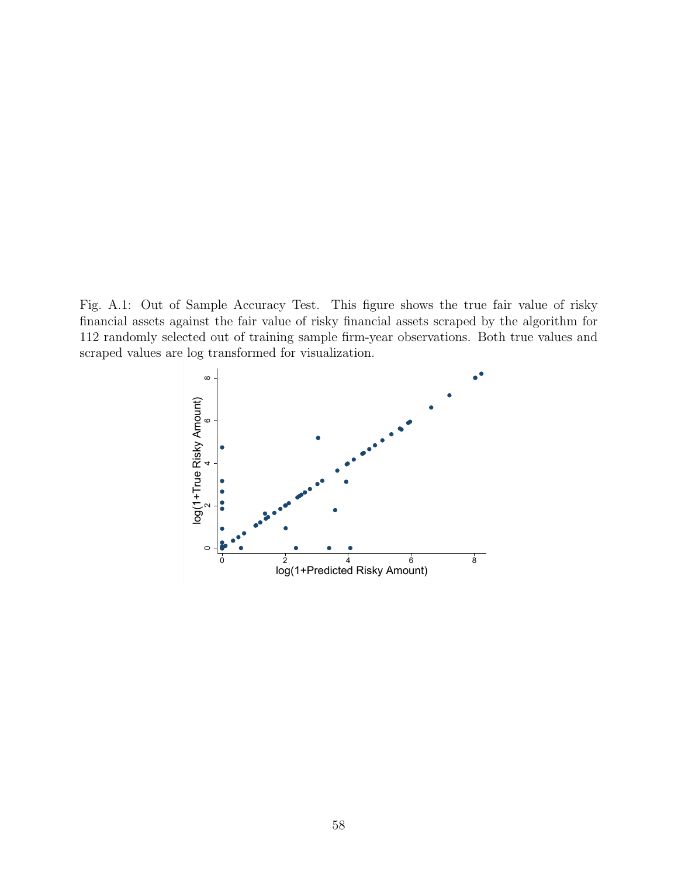Fig. A.1: Out of Sample Accuracy Test. This figure shows the true fair value of risky financial assets against the fair value of risky financial assets scraped by the algorithm for 112 randomly selected out of training sample firm-year observations. Both true values and scraped values are log transformed for visualization.

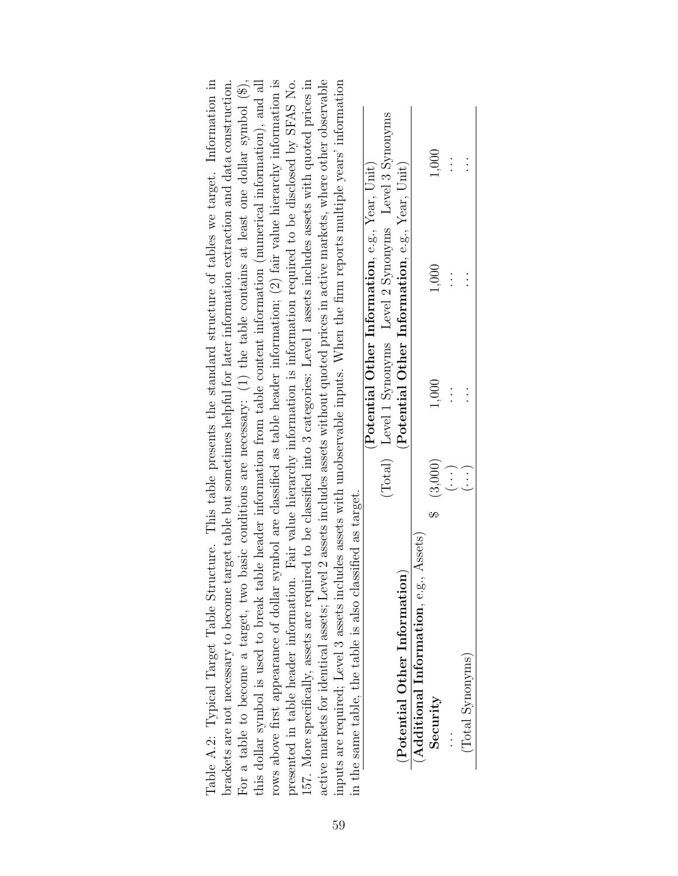| brackets are not necessary to become target table but sometimes helpful for later information extraction and data construction.      |                                                               |         |          |                                                    |                                                                                              |
|--------------------------------------------------------------------------------------------------------------------------------------|---------------------------------------------------------------|---------|----------|----------------------------------------------------|----------------------------------------------------------------------------------------------|
| For a table to become a target, two                                                                                                  |                                                               |         |          |                                                    | basic conditions are necessary: $(1)$ the table contains at least one dollar symbol $(\$\),$ |
| this dollar symbol is used to break table header information from table content information (numerical information), and all         |                                                               |         |          |                                                    |                                                                                              |
| rows above first appearance of dollar symbol are classified as table header information; (2) fair value hierarchy information is     |                                                               |         |          |                                                    |                                                                                              |
| presented in table header information. Fair value hierarchy information is information required to be disclosed by SFAS No.          |                                                               |         |          |                                                    |                                                                                              |
| 157. More specifically, assets are required to be classified into 3 categories: Level 1 assets includes assets with quoted prices in |                                                               |         |          |                                                    |                                                                                              |
| active markets for identical assets; Level 2 assets includes assets without quoted prices in active markets, where other observable  |                                                               |         |          |                                                    |                                                                                              |
| inputs are required; Level 3 assets includes assets with unobservable inputs. When the firm reports multiple years' information      |                                                               |         |          |                                                    |                                                                                              |
| in the same table, the table is also classified as target.                                                                           |                                                               |         |          |                                                    |                                                                                              |
|                                                                                                                                      |                                                               |         |          | (Potential Other Information, e.g., Year, Unit)    |                                                                                              |
|                                                                                                                                      |                                                               | (Total) |          | Level 1 Synonyms Level 2 Synonyms Level 3 Synonyms |                                                                                              |
| (Potential Other Information                                                                                                         |                                                               |         |          | (Potential Other Information, e.g., Year, Unit)    |                                                                                              |
| (Aditional Information, e.g., Assets)                                                                                                |                                                               |         |          |                                                    |                                                                                              |
| Security                                                                                                                             | (3,000)                                                       |         | 1,000    | 1,000                                              | 1,000                                                                                        |
|                                                                                                                                      | $\begin{array}{c} \fbox{.} \ \hbox{.} \ \hbox{.} \end{array}$ |         | $\vdots$ | $\vdots$                                           | $\vdots$                                                                                     |
| (Total Synonyms)                                                                                                                     | $\vdots$                                                      |         |          |                                                    |                                                                                              |

(Total Synonyms)  $(\cdots)$   $(\cdots)$ 

(Total Synonyms)

Table A.2: Typical Target Table Structure. This table presents the standard structure of tables we target. Information in

Table A.2: Typical Target Table Structure. This table presents the standard structure of tables we target. Information in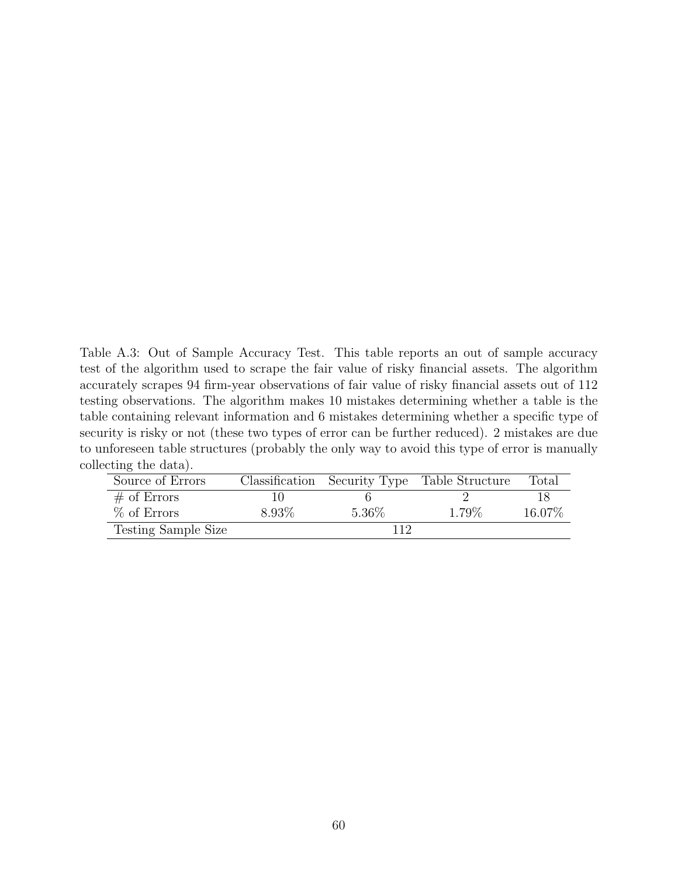Table A.3: Out of Sample Accuracy Test. This table reports an out of sample accuracy test of the algorithm used to scrape the fair value of risky financial assets. The algorithm accurately scrapes 94 firm-year observations of fair value of risky financial assets out of 112 testing observations. The algorithm makes 10 mistakes determining whether a table is the table containing relevant information and 6 mistakes determining whether a specific type of security is risky or not (these two types of error can be further reduced). 2 mistakes are due to unforeseen table structures (probably the only way to avoid this type of error is manually collecting the data).

| Source of Errors    |       |        | Classification Security Type Table Structure | Total  |
|---------------------|-------|--------|----------------------------------------------|--------|
| $\#$ of Errors      |       |        |                                              |        |
| $%$ of Errors       | 8.93% | 5.36\% | 1.79%                                        | 16.07% |
| Testing Sample Size |       |        |                                              |        |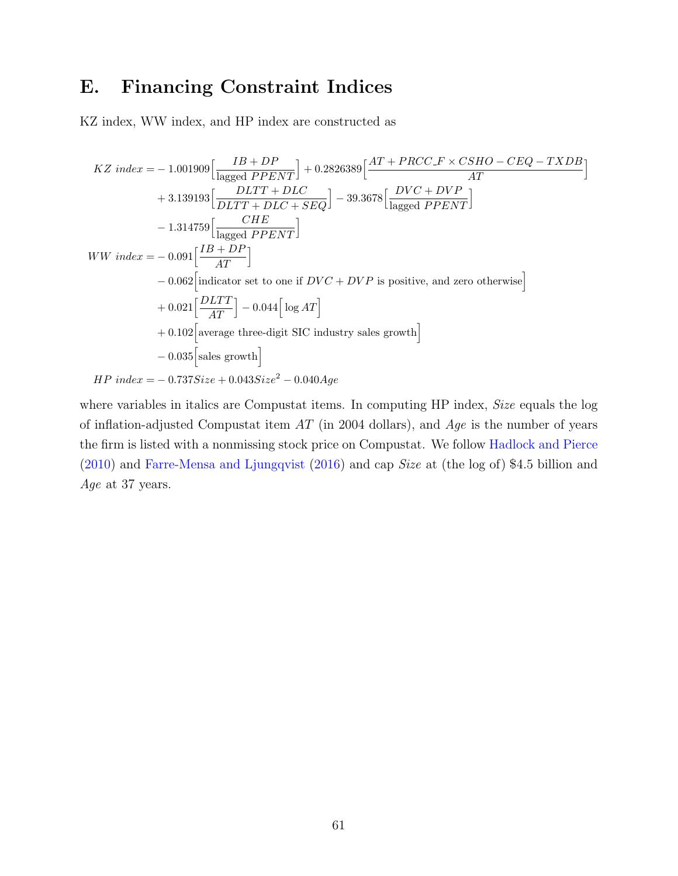## <span id="page-61-0"></span>E. Financing Constraint Indices

KZ index, WW index, and HP index are constructed as

$$
KZ\ index = -1.001909 \Big[ \frac{IB+DP}{\text{lagged } PPENT} \Big] + 0.2826389 \Big[ \frac{AT+PRCC\_F \times CSHO - CEQ - TXDB}{AT} \Big]
$$
  
+ 3.139193 \Big[ \frac{DLTT + DLC}{DLTT + DLC + SEQ} \Big] - 39.3678 \Big[ \frac{DVC + DVP}{\text{lagged } PPENT} \Big]   
- 1.314759 \Big[ \frac{CHE}{\text{lagged } PPENT} \Big]   
WW\ index = -0.091 \Big[ \frac{IB+DP}{AT} \Big]   
- 0.062 \Big[ \text{indicator set to one if } DVC + DVP \text{ is positive, and zero otherwise} \Big]   
+ 0.021 \Big[ \frac{DLTT}{AT} \Big] - 0.044 \Big[ \log AT \Big]   
+ 0.102 \Big[ \text{average three-digit SIC industry sales growth} \Big]  
= 0.035 [sales growth]   
HP\ index = -0.737Size + 0.043Size<sup>2</sup> - 0.040Age

where variables in italics are Compustat items. In computing HP index, Size equals the log of inflation-adjusted Compustat item  $AT$  (in 2004 dollars), and  $Age$  is the number of years the firm is listed with a nonmissing stock price on Compustat. We follow [Hadlock and Pierce](#page-33-1) [\(2010\)](#page-33-1) and [Farre-Mensa and Ljungqvist](#page-32-2) [\(2016\)](#page-32-2) and cap Size at (the log of) \$4.5 billion and Age at 37 years.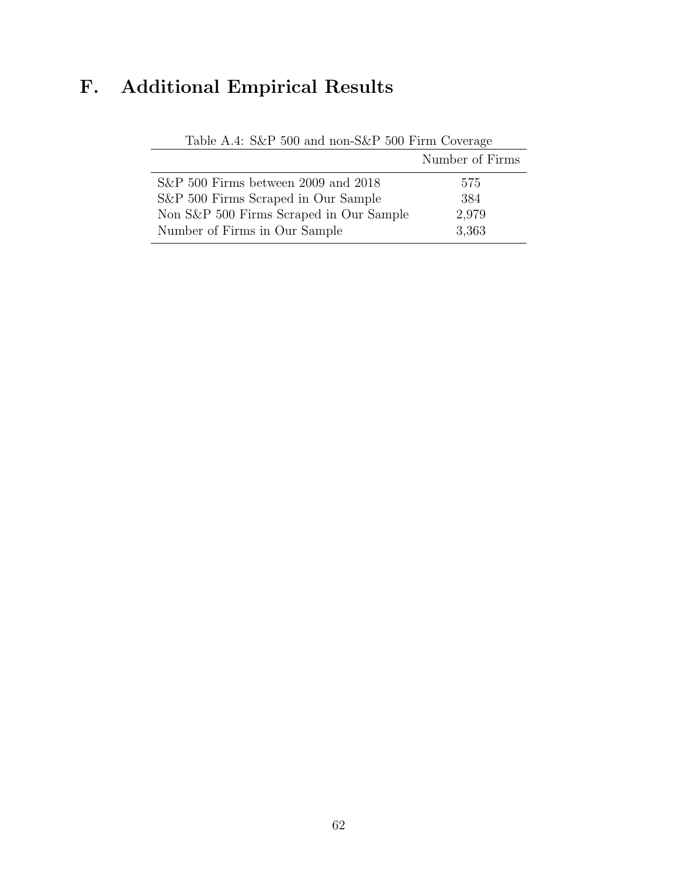# <span id="page-62-0"></span>F. Additional Empirical Results

|                                         | Number of Firms |
|-----------------------------------------|-----------------|
| $S\&P 500$ Firms between 2009 and 2018  | 575             |
| S&P 500 Firms Scraped in Our Sample     | 384             |
| Non S&P 500 Firms Scraped in Our Sample | 2,979           |
| Number of Firms in Our Sample           | 3,363           |

Table A.4: S&P 500 and non-S&P 500 Firm Coverage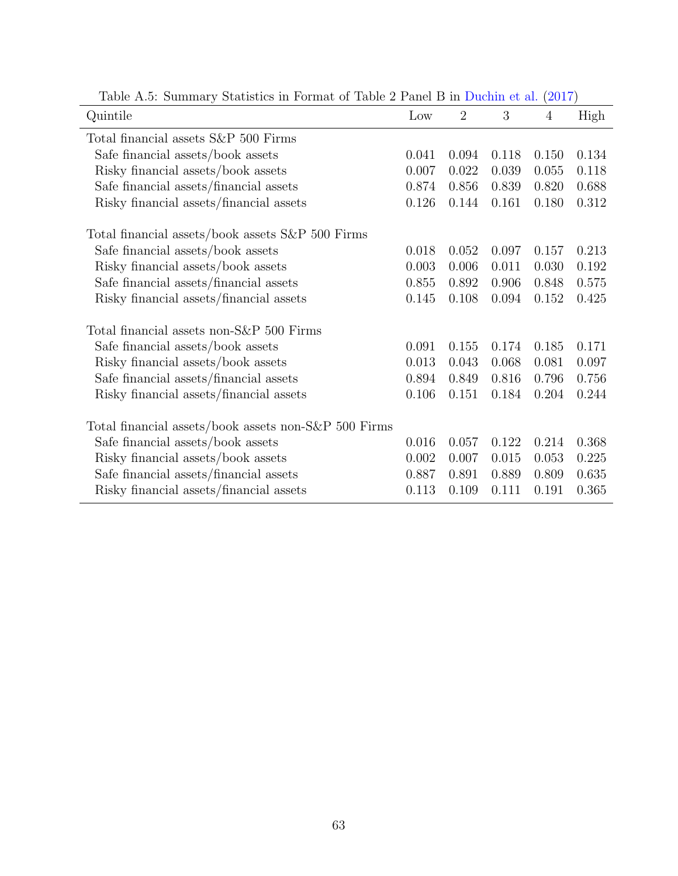| rapid 11.0. Summary Seachottes in Formac of Table 2 I and D in Dachin oc and $(201)$<br>Quintile | Low   | $\overline{2}$ | 3     | $\overline{4}$ | High  |
|--------------------------------------------------------------------------------------------------|-------|----------------|-------|----------------|-------|
| Total financial assets S&P 500 Firms                                                             |       |                |       |                |       |
| Safe financial assets/book assets                                                                | 0.041 | 0.094          | 0.118 | 0.150          | 0.134 |
| Risky financial assets/book assets                                                               | 0.007 | 0.022          | 0.039 | 0.055          | 0.118 |
| Safe financial assets/financial assets                                                           | 0.874 | 0.856          | 0.839 | 0.820          | 0.688 |
| Risky financial assets/financial assets                                                          | 0.126 | 0.144          | 0.161 | 0.180          | 0.312 |
| Total financial assets/book assets S&P 500 Firms                                                 |       |                |       |                |       |
| Safe financial assets/book assets                                                                | 0.018 | 0.052          | 0.097 | 0.157          | 0.213 |
| Risky financial assets/book assets                                                               | 0.003 | 0.006          | 0.011 | 0.030          | 0.192 |
| Safe financial assets/financial assets                                                           | 0.855 | 0.892          | 0.906 | 0.848          | 0.575 |
| Risky financial assets/financial assets                                                          | 0.145 | 0.108          | 0.094 | 0.152          | 0.425 |
| Total financial assets non-S&P 500 Firms                                                         |       |                |       |                |       |
| Safe financial assets/book assets                                                                | 0.091 | 0.155          | 0.174 | 0.185          | 0.171 |
| Risky financial assets/book assets                                                               | 0.013 | 0.043          | 0.068 | 0.081          | 0.097 |
| Safe financial assets/financial assets                                                           | 0.894 | 0.849          | 0.816 | 0.796          | 0.756 |
| Risky financial assets/financial assets                                                          | 0.106 | 0.151          | 0.184 | 0.204          | 0.244 |
| Total financial assets/book assets non-S&P 500 Firms                                             |       |                |       |                |       |
| Safe financial assets/book assets                                                                | 0.016 | 0.057          | 0.122 | 0.214          | 0.368 |
| Risky financial assets/book assets                                                               | 0.002 | 0.007          | 0.015 | 0.053          | 0.225 |
| Safe financial assets/financial assets                                                           | 0.887 | 0.891          | 0.889 | 0.809          | 0.635 |
| Risky financial assets/financial assets                                                          | 0.113 | 0.109          | 0.111 | 0.191          | 0.365 |

Table A.5: Summary Statistics in Format of Table 2 Panel B in [Duchin et al.](#page-32-0) [\(2017\)](#page-32-0)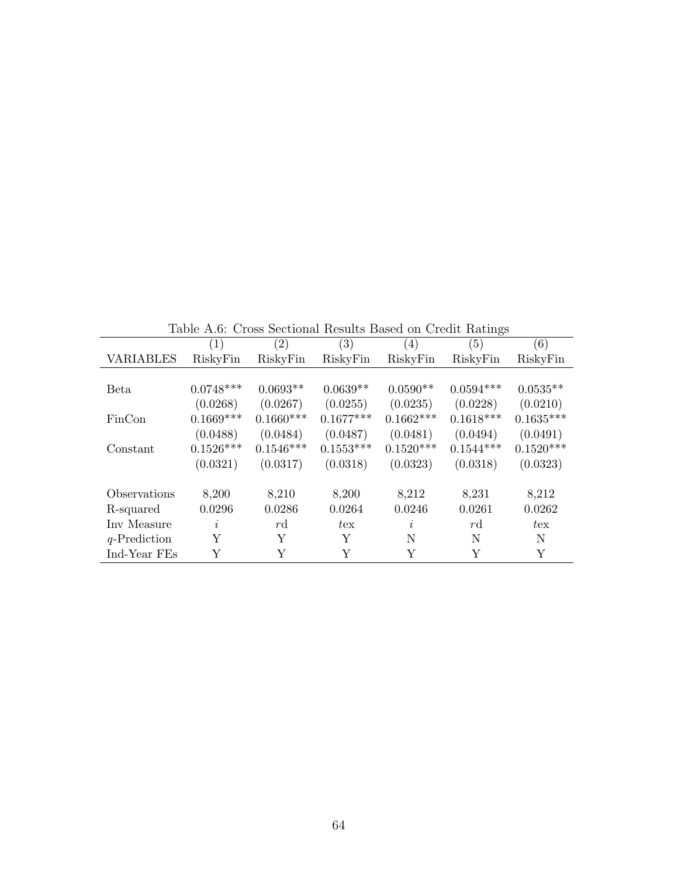|                  | Table TEO. Cross Dectional Results Dascu on Credit Ratings |             |                  |                |             |              |
|------------------|------------------------------------------------------------|-------------|------------------|----------------|-------------|--------------|
|                  | (1)                                                        | (2)         | $\left(3\right)$ | (4)            | (5)         | (6)          |
| <b>VARIABLES</b> | RiskyFin                                                   | RiskyFin    | RiskyFin         | RiskyFin       | RiskyFin    | RiskyFin     |
|                  |                                                            |             |                  |                |             |              |
| <b>Beta</b>      | $0.0748***$                                                | $0.0693**$  | $0.0639**$       | $0.0590**$     | $0.0594***$ | $0.0535**$   |
|                  | (0.0268)                                                   | (0.0267)    | (0.0255)         | (0.0235)       | (0.0228)    | (0.0210)     |
| FinCon           | $0.1669***$                                                | $0.1660***$ | $0.1677***$      | $0.1662***$    | $0.1618***$ | $0.1635***$  |
|                  | (0.0488)                                                   | (0.0484)    | (0.0487)         | (0.0481)       | (0.0494)    | (0.0491)     |
| Constant         | $0.1526***$                                                | $0.1546***$ | $0.1553***$      | $0.1520***$    | $0.1544***$ | $0.1520***$  |
|                  | (0.0321)                                                   | (0.0317)    | (0.0318)         | (0.0323)       | (0.0318)    | (0.0323)     |
| Observations     | 8,200                                                      | 8,210       | 8,200            | 8,212          | 8,231       | 8,212        |
| R-squared        | 0.0296                                                     | 0.0286      | 0.0264           | 0.0246         | 0.0261      | 0.0262       |
| Inv Measure      | I,                                                         | rd          | $t_{\rm ex}$     | $\mathfrak{p}$ | rd          | $t_{\rm ex}$ |
| $q$ -Prediction  | Y                                                          | Y           | Y                | N              | N           | N            |
| Ind-Year FEs     | Y                                                          | Y           | Y                | Y              | Y           | Y            |

Table A.6: Cross Sectional Results Based on Credit Ratings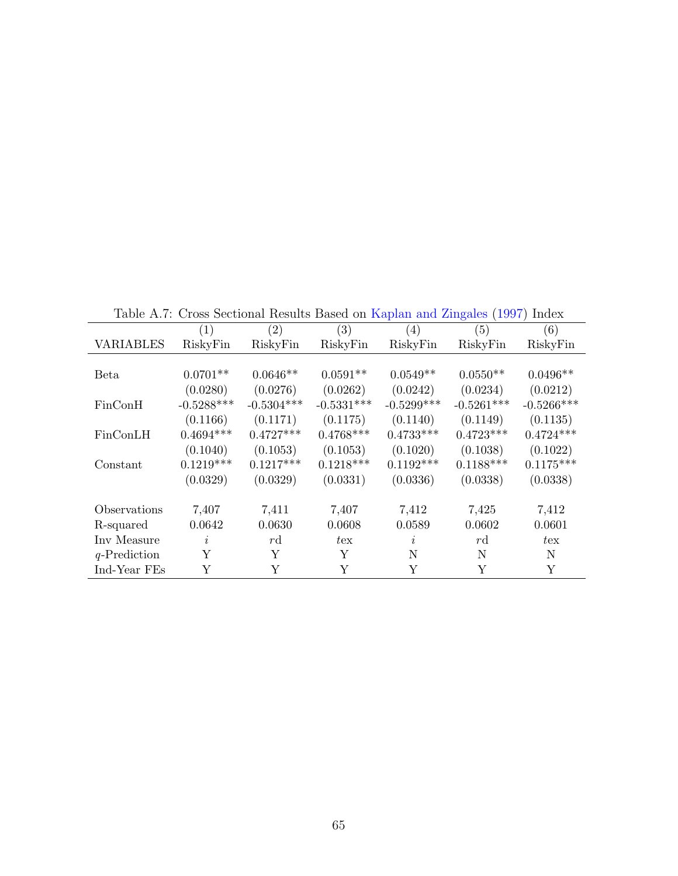|                  | Lable A.T. Cross becubilial results Dased on Rapian and Zingales (1997) midex |               |              |              |               |              |
|------------------|-------------------------------------------------------------------------------|---------------|--------------|--------------|---------------|--------------|
|                  | (1)                                                                           | (2)           | (3)          | (4)          | (5)           | (6)          |
| <b>VARIABLES</b> | RiskyFin                                                                      | RiskyFin      | RiskyFin     | RiskyFin     | RiskyFin      | RiskyFin     |
|                  |                                                                               |               |              |              |               |              |
| Beta             | $0.0701**$                                                                    | $0.0646**$    | $0.0591**$   | $0.0549**$   | $0.0550**$    | $0.0496**$   |
|                  | (0.0280)                                                                      | (0.0276)      | (0.0262)     | (0.0242)     | (0.0234)      | (0.0212)     |
| FinConH          | $-0.5288***$                                                                  | $-0.5304***$  | $-0.5331***$ | $-0.5299***$ | $-0.5261***$  | $-0.5266***$ |
|                  | (0.1166)                                                                      | (0.1171)      | (0.1175)     | (0.1140)     | (0.1149)      | (0.1135)     |
| FinConLH         | $0.4694***$                                                                   | $0.4727***$   | $0.4768***$  | $0.4733***$  | $0.4723***$   | $0.4724***$  |
|                  | (0.1040)                                                                      | (0.1053)      | (0.1053)     | (0.1020)     | (0.1038)      | (0.1022)     |
| Constant         | $0.1219***$                                                                   | $0.1217***$   | $0.1218***$  | $0.1192***$  | $0.1188***$   | $0.1175***$  |
|                  | (0.0329)                                                                      | (0.0329)      | (0.0331)     | (0.0336)     | (0.0338)      | (0.0338)     |
| Observations     | 7,407                                                                         | 7,411         | 7,407        | 7,412        | 7,425         | 7,412        |
|                  | 0.0642                                                                        | 0.0630        | 0.0608       | 0.0589       | 0.0602        | 0.0601       |
| R-squared        |                                                                               |               |              |              |               |              |
| Inv Measure      | i                                                                             | $r\mathrm{d}$ | $t_{\rm ex}$ | $\dot{i}$    | $r\mathrm{d}$ | $t_{\rm ex}$ |
| $q$ -Prediction  | Υ                                                                             | Υ             | Υ            | N            | N             | N            |
| Ind-Year FEs     | Y                                                                             | Y             | Y            | Y            | Y             | Y            |

Table A.7: Cross Sectional Results Based on [Kaplan and Zingales](#page-33-2) [\(1997\)](#page-33-2) Index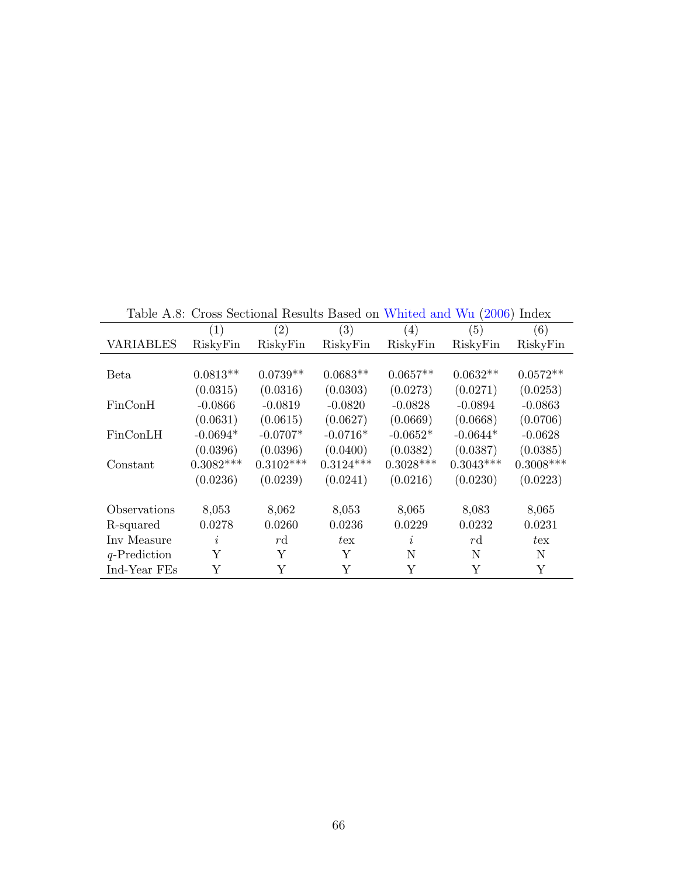|                 |             |             | Table A.S: Cross Sectional Results Based on Whited and Wu (2000) Index |                         |               |              |
|-----------------|-------------|-------------|------------------------------------------------------------------------|-------------------------|---------------|--------------|
|                 | (1)         | (2)         | (3)                                                                    | $\left( 4\right)$       | (5)           | (6)          |
| VARIABLES       | RiskyFin    | RiskyFin    | RiskyFin                                                               | RiskyFin                | RiskyFin      | RiskyFin     |
|                 |             |             |                                                                        |                         |               |              |
| Beta            | $0.0813**$  | $0.0739**$  | $0.0683**$                                                             | $0.0657**$              | $0.0632**$    | $0.0572**$   |
|                 | (0.0315)    | (0.0316)    | (0.0303)                                                               | (0.0273)                | (0.0271)      | (0.0253)     |
| FinConH         | $-0.0866$   | $-0.0819$   | $-0.0820$                                                              | $-0.0828$               | $-0.0894$     | $-0.0863$    |
|                 | (0.0631)    | (0.0615)    | (0.0627)                                                               | (0.0669)                | (0.0668)      | (0.0706)     |
| FinConLH        | $-0.0694*$  | $-0.0707*$  | $-0.0716*$                                                             | $-0.0652*$              | $-0.0644*$    | $-0.0628$    |
|                 | (0.0396)    | (0.0396)    | (0.0400)                                                               | (0.0382)                | (0.0387)      | (0.0385)     |
| Constant        | $0.3082***$ | $0.3102***$ | $0.3124***$                                                            | $0.3028***$             | $0.3043***$   | $0.3008***$  |
|                 | (0.0236)    | (0.0239)    | (0.0241)                                                               | (0.0216)                | (0.0230)      | (0.0223)     |
|                 |             |             |                                                                        |                         |               |              |
| Observations    | 8,053       | 8,062       | 8,053                                                                  | 8,065                   | 8,083         | 8,065        |
| R-squared       | 0.0278      | 0.0260      | 0.0236                                                                 | 0.0229                  | 0.0232        | 0.0231       |
| Inv Measure     | $\dot{i}$   | rd          | $t_{\rm ex}$                                                           | $\overline{\mathbf{r}}$ | $r\mathrm{d}$ | $t_{\rm ex}$ |
| $q$ -Prediction | Υ           | Υ           | Y                                                                      | N                       | N             | N            |
| Ind-Year FEs    | Y           | Y           | Y                                                                      | Y                       | Y             | Y            |

Table A.8: Cross Sectional Results Based on [Whited and Wu](#page-34-2) [\(2006\)](#page-34-2) Index